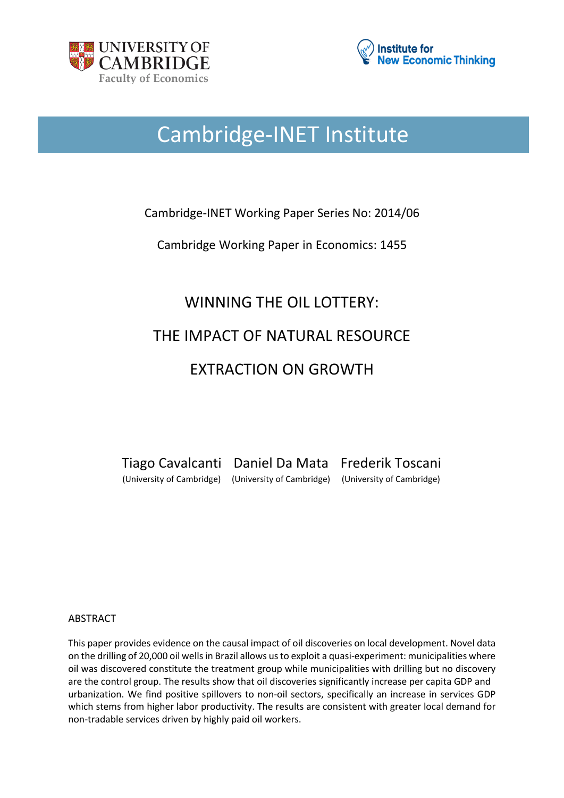



# Cambridge-INET Institute

## Cambridge-INET Working Paper Series No: 2014/06

Cambridge Working Paper in Economics: 1455

# WINNING THE OIL LOTTERY: THE IMPACT OF NATURAL RESOURCE EXTRACTION ON GROWTH

Tiago Cavalcanti Daniel Da Mata Frederik Toscani (University of Cambridge) (University of Cambridge) (University of Cambridge)

#### ABSTRACT

This paper provides evidence on the causal impact of oil discoveries on local development. Novel data on the drilling of 20,000 oil wells in Brazil allows us to exploit a quasi-experiment: municipalities where oil was discovered constitute the treatment group while municipalities with drilling but no discovery are the control group. The results show that oil discoveries significantly increase per capita GDP and urbanization. We find positive spillovers to non-oil sectors, specifically an increase in services GDP which stems from higher labor productivity. The results are consistent with greater local demand for non-tradable services driven by highly paid oil workers.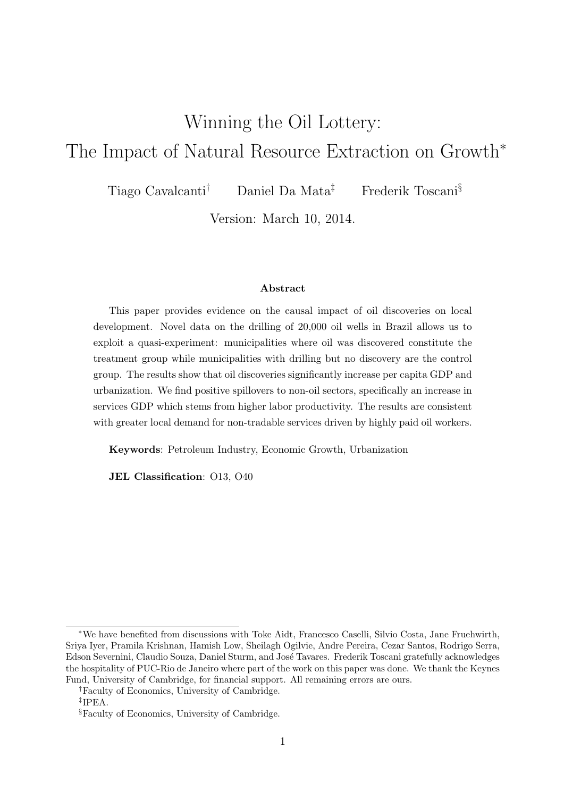# Winning the Oil Lottery: The Impact of Natural Resource Extraction on Growth*<sup>∗</sup>*

Tiago Cavalcanti*†* Daniel Da Mata*‡* Frederik Toscani*§*

Version: March 10, 2014.

#### **Abstract**

This paper provides evidence on the causal impact of oil discoveries on local development. Novel data on the drilling of 20,000 oil wells in Brazil allows us to exploit a quasi-experiment: municipalities where oil was discovered constitute the treatment group while municipalities with drilling but no discovery are the control group. The results show that oil discoveries significantly increase per capita GDP and urbanization. We find positive spillovers to non-oil sectors, specifically an increase in services GDP which stems from higher labor productivity. The results are consistent with greater local demand for non-tradable services driven by highly paid oil workers.

**Keywords**: Petroleum Industry, Economic Growth, Urbanization

**JEL Classification**: O13, O40

*<sup>∗</sup>*We have benefited from discussions with Toke Aidt, Francesco Caselli, Silvio Costa, Jane Fruehwirth, Sriya Iyer, Pramila Krishnan, Hamish Low, Sheilagh Ogilvie, Andre Pereira, Cezar Santos, Rodrigo Serra, Edson Severnini, Claudio Souza, Daniel Sturm, and José Tavares. Frederik Toscani gratefully acknowledges the hospitality of PUC-Rio de Janeiro where part of the work on this paper was done. We thank the Keynes Fund, University of Cambridge, for financial support. All remaining errors are ours.

*<sup>†</sup>*Faculty of Economics, University of Cambridge.

*<sup>‡</sup>* IPEA.

*<sup>§</sup>*Faculty of Economics, University of Cambridge.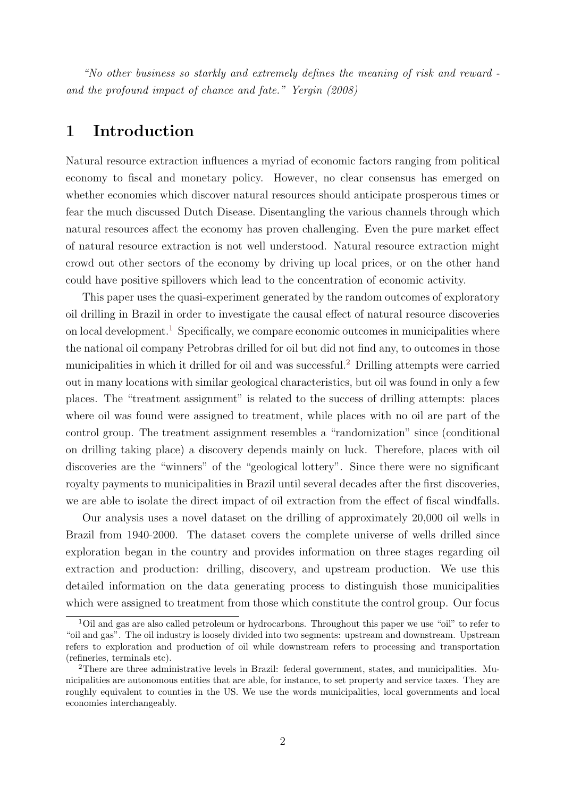*"No other business so starkly and extremely defines the meaning of risk and reward and the profound impact of chance and fate." Yergin (2008)*

## **1 Introduction**

Natural resource extraction influences a myriad of economic factors ranging from political economy to fiscal and monetary policy. However, no clear consensus has emerged on whether economies which discover natural resources should anticipate prosperous times or fear the much discussed Dutch Disease. Disentangling the various channels through which natural resources affect the economy has proven challenging. Even the pure market effect of natural resource extraction is not well understood. Natural resource extraction might crowd out other sectors of the economy by driving up local prices, or on the other hand could have positive spillovers which lead to the concentration of economic activity.

This paper uses the quasi-experiment generated by the random outcomes of exploratory oil drilling in Brazil in order to investigate the causal effect of natural resource discoveries on local development.<sup>1</sup> Specifically, we compare economic outcomes in municipalities where the national oil company Petrobras drilled for oil but did not find any, to outcomes in those municipalities in which it drilled for oil and was successful.<sup>2</sup> Drilling attempts were carried out in many locations with similar geological characteristics, but oil was found in only a few places. The "treatment assignment" is related to the success of drilling attempts: places where oil was found were assigned to treatment, while places with no oil are part of the control group. The treatment assignment resembles a "randomization" since (conditional on drilling taking place) a discovery depends mainly on luck. Therefore, places with oil discoveries are the "winners" of the "geological lottery". Since there were no significant royalty payments to municipalities in Brazil until several decades after the first discoveries, we are able to isolate the direct impact of oil extraction from the effect of fiscal windfalls.

Our analysis uses a novel dataset on the drilling of approximately 20,000 oil wells in Brazil from 1940-2000. The dataset covers the complete universe of wells drilled since exploration began in the country and provides information on three stages regarding oil extraction and production: drilling, discovery, and upstream production. We use this detailed information on the data generating process to distinguish those municipalities which were assigned to treatment from those which constitute the control group. Our focus

<sup>&</sup>lt;sup>1</sup>Oil and gas are also called petroleum or hydrocarbons. Throughout this paper we use "oil" to refer to "oil and gas". The oil industry is loosely divided into two segments: upstream and downstream. Upstream refers to exploration and production of oil while downstream refers to processing and transportation (refineries, terminals etc).

<sup>2</sup>There are three administrative levels in Brazil: federal government, states, and municipalities. Municipalities are autonomous entities that are able, for instance, to set property and service taxes. They are roughly equivalent to counties in the US. We use the words municipalities, local governments and local economies interchangeably.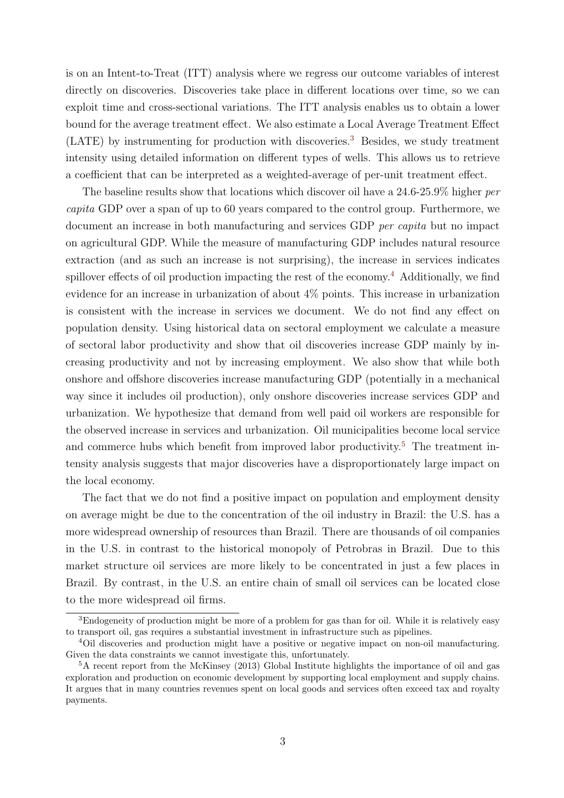is on an Intent-to-Treat (ITT) analysis where we regress our outcome variables of interest directly on discoveries. Discoveries take place in different locations over time, so we can exploit time and cross-sectional variations. The ITT analysis enables us to obtain a lower bound for the average treatment effect. We also estimate a Local Average Treatment Effect (LATE) by instrumenting for production with discoveries.<sup>3</sup> Besides, we study treatment intensity using detailed information on different types of wells. This allows us to retrieve a coefficient that can be interpreted as a weighted-average of per-unit treatment effect.

The baseline results show that locations which discover oil have a 24.6-25.9% higher *per capita* GDP over a span of up to 60 years compared to the control group. Furthermore, we document an increase in both manufacturing and services GDP *per capita* but no impact on agricultural GDP. While the measure of manufacturing GDP includes natural resource extraction (and as such an increase is not surprising), the increase in services indicates spillover effects of oil production impacting the rest of the economy.<sup>4</sup> Additionally, we find evidence for an increase in urbanization of about 4% points. This increase in urbanization is consistent with the increase in services we document. We do not find any effect on population density. Using historical data on sectoral employment we calculate a measure of sectoral labor productivity and show that oil discoveries increase GDP mainly by increasing productivity and not by increasing employment. We also show that while both onshore and offshore discoveries increase manufacturing GDP (potentially in a mechanical way since it includes oil production), only onshore discoveries increase services GDP and urbanization. We hypothesize that demand from well paid oil workers are responsible for the observed increase in services and urbanization. Oil municipalities become local service and commerce hubs which benefit from improved labor productivity.<sup>5</sup> The treatment intensity analysis suggests that major discoveries have a disproportionately large impact on the local economy.

The fact that we do not find a positive impact on population and employment density on average might be due to the concentration of the oil industry in Brazil: the U.S. has a more widespread ownership of resources than Brazil. There are thousands of oil companies in the U.S. in contrast to the historical monopoly of Petrobras in Brazil. Due to this market structure oil services are more likely to be concentrated in just a few places in Brazil. By contrast, in the U.S. an entire chain of small oil services can be located close to the more widespread oil firms.

<sup>&</sup>lt;sup>3</sup>Endogeneity of production might be more of a problem for gas than for oil. While it is relatively easy to transport oil, gas requires a substantial investment in infrastructure such as pipelines.

<sup>&</sup>lt;sup>4</sup>Oil discoveries and production might have a positive or negative impact on non-oil manufacturing. Given the data constraints we cannot investigate this, unfortunately.

<sup>&</sup>lt;sup>5</sup>A recent report from the McKinsey (2013) Global Institute highlights the importance of oil and gas exploration and production on economic development by supporting local employment and supply chains. It argues that in many countries revenues spent on local goods and services often exceed tax and royalty payments.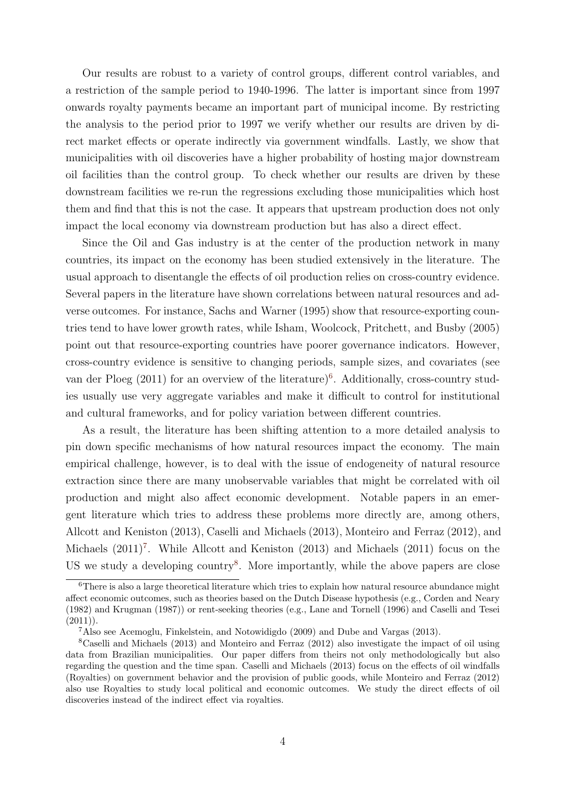Our results are robust to a variety of control groups, different control variables, and a restriction of the sample period to 1940-1996. The latter is important since from 1997 onwards royalty payments became an important part of municipal income. By restricting the analysis to the period prior to 1997 we verify whether our results are driven by direct market effects or operate indirectly via government windfalls. Lastly, we show that municipalities with oil discoveries have a higher probability of hosting major downstream oil facilities than the control group. To check whether our results are driven by these downstream facilities we re-run the regressions excluding those municipalities which host them and find that this is not the case. It appears that upstream production does not only impact the local economy via downstream production but has also a direct effect.

Since the Oil and Gas industry is at the center of the production network in many countries, its impact on the economy has been studied extensively in the literature. The usual approach to disentangle the effects of oil production relies on cross-country evidence. Several papers in the literature have shown correlations between natural resources and adverse outcomes. For instance, Sachs and Warner (1995) show that resource-exporting countries tend to have lower growth rates, while Isham, Woolcock, Pritchett, and Busby (2005) point out that resource-exporting countries have poorer governance indicators. However, cross-country evidence is sensitive to changing periods, sample sizes, and covariates (see van der Ploeg  $(2011)$  for an overview of the literature)<sup>6</sup>. Additionally, cross-country studies usually use very aggregate variables and make it difficult to control for institutional and cultural frameworks, and for policy variation between different countries.

As a result, the literature has been shifting attention to a more detailed analysis to pin down specific mechanisms of how natural resources impact the economy. The main empirical challenge, however, is to deal with the issue of endogeneity of natural resource extraction since there are many unobservable variables that might be correlated with oil production and might also affect economic development. Notable papers in an emergent literature which tries to address these problems more directly are, among others, Allcott and Keniston (2013), Caselli and Michaels (2013), Monteiro and Ferraz (2012), and Michaels  $(2011)^7$ . While Allcott and Keniston  $(2013)$  and Michaels  $(2011)$  focus on the US we study a developing country<sup>8</sup>. More importantly, while the above papers are close

 $6$ There is also a large theoretical literature which tries to explain how natural resource abundance might affect economic outcomes, such as theories based on the Dutch Disease hypothesis (e.g., Corden and Neary (1982) and Krugman (1987)) or rent-seeking theories (e.g., Lane and Tornell (1996) and Caselli and Tesei  $(2011)$ .

<sup>7</sup>Also see Acemoglu, Finkelstein, and Notowidigdo (2009) and Dube and Vargas (2013).

<sup>8</sup>Caselli and Michaels (2013) and Monteiro and Ferraz (2012) also investigate the impact of oil using data from Brazilian municipalities. Our paper differs from theirs not only methodologically but also regarding the question and the time span. Caselli and Michaels (2013) focus on the effects of oil windfalls (Royalties) on government behavior and the provision of public goods, while Monteiro and Ferraz (2012) also use Royalties to study local political and economic outcomes. We study the direct effects of oil discoveries instead of the indirect effect via royalties.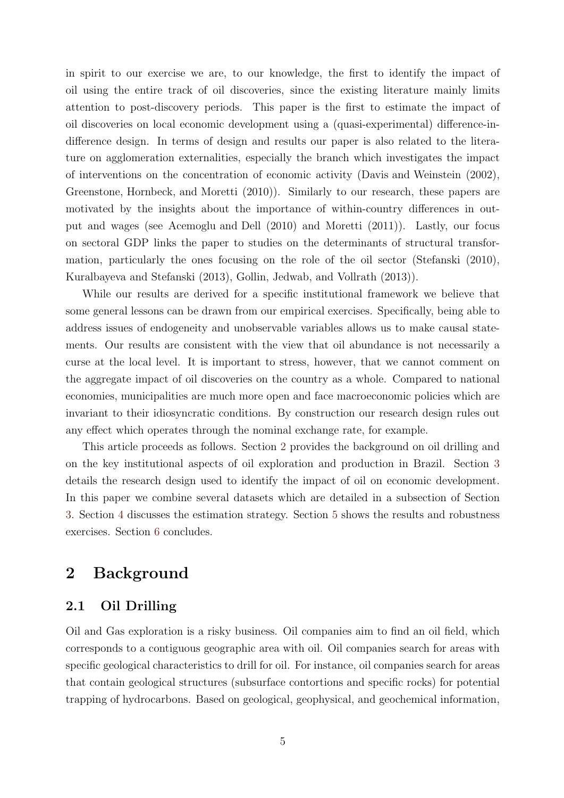in spirit to our exercise we are, to our knowledge, the first to identify the impact of oil using the entire track of oil discoveries, since the existing literature mainly limits attention to post-discovery periods. This paper is the first to estimate the impact of oil discoveries on local economic development using a (quasi-experimental) difference-indifference design. In terms of design and results our paper is also related to the literature on agglomeration externalities, especially the branch which investigates the impact of interventions on the concentration of economic activity (Davis and Weinstein (2002), Greenstone, Hornbeck, and Moretti (2010)). Similarly to our research, these papers are motivated by the insights about the importance of within-country differences in output and wages (see Acemoglu and Dell (2010) and Moretti (2011)). Lastly, our focus on sectoral GDP links the paper to studies on the determinants of structural transformation, particularly the ones focusing on the role of the oil sector (Stefanski (2010), Kuralbayeva and Stefanski (2013), Gollin, Jedwab, and Vollrath (2013)).

While our results are derived for a specific institutional framework we believe that some general lessons can be drawn from our empirical exercises. Specifically, being able to address issues of endogeneity and unobservable variables allows us to make causal statements. Our results are consistent with the view that oil abundance is not necessarily a curse at the local level. It is important to stress, however, that we cannot comment on the aggregate impact of oil discoveries on the country as a whole. Compared to national economies, municipalities are much more open and face macroeconomic policies which are invariant to their idiosyncratic conditions. By construction our research design rules out any effect which operates through the nominal exchange rate, for example.

This article proceeds as follows. Section 2 provides the background on oil drilling and on the key institutional aspects of oil exploration and production in Brazil. Section 3 details the research design used to identify the impact of oil on economic development. In this paper we combine several datasets which are detailed in a subsection of Section 3. Section 4 discusses the estimation strategy. Section 5 shows the results and robustness exercises. Section 6 concludes.

# **2 Background**

## **2.1 Oil Drilling**

Oil and Gas exploration is a risky business. Oil companies aim to find an oil field, which corresponds to a contiguous geographic area with oil. Oil companies search for areas with specific geological characteristics to drill for oil. For instance, oil companies search for areas that contain geological structures (subsurface contortions and specific rocks) for potential trapping of hydrocarbons. Based on geological, geophysical, and geochemical information,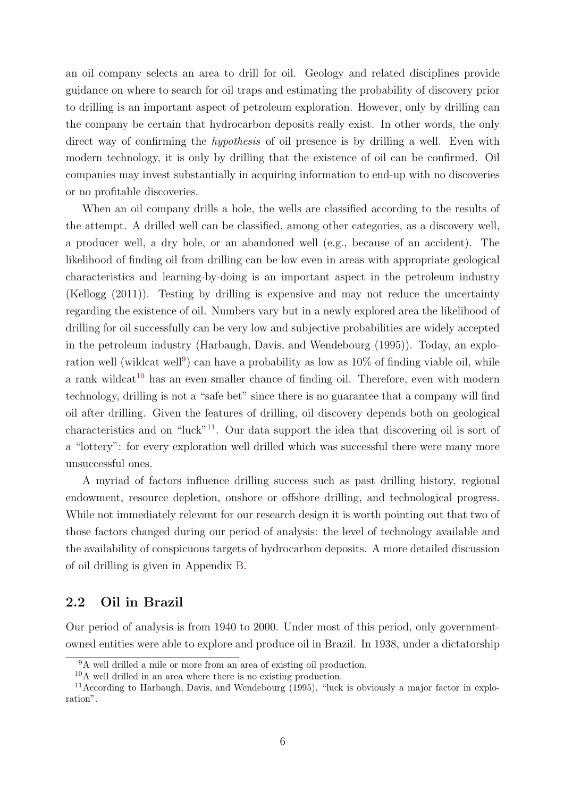an oil company selects an area to drill for oil. Geology and related disciplines provide guidance on where to search for oil traps and estimating the probability of discovery prior to drilling is an important aspect of petroleum exploration. However, only by drilling can the company be certain that hydrocarbon deposits really exist. In other words, the only direct way of confirming the *hypothesis* of oil presence is by drilling a well. Even with modern technology, it is only by drilling that the existence of oil can be confirmed. Oil companies may invest substantially in acquiring information to end-up with no discoveries or no profitable discoveries.

When an oil company drills a hole, the wells are classified according to the results of the attempt. A drilled well can be classified, among other categories, as a discovery well, a producer well, a dry hole, or an abandoned well (e.g., because of an accident). The likelihood of finding oil from drilling can be low even in areas with appropriate geological characteristics and learning-by-doing is an important aspect in the petroleum industry (Kellogg (2011)). Testing by drilling is expensive and may not reduce the uncertainty regarding the existence of oil. Numbers vary but in a newly explored area the likelihood of drilling for oil successfully can be very low and subjective probabilities are widely accepted in the petroleum industry (Harbaugh, Davis, and Wendebourg (1995)). Today, an exploration well (wildcat well<sup>9</sup>) can have a probability as low as  $10\%$  of finding viable oil, while a rank wildcat<sup>10</sup> has an even smaller chance of finding oil. Therefore, even with modern technology, drilling is not a "safe bet" since there is no guarantee that a company will find oil after drilling. Given the features of drilling, oil discovery depends both on geological characteristics and on "luck"<sup>11</sup>. Our data support the idea that discovering oil is sort of a "lottery": for every exploration well drilled which was successful there were many more unsuccessful ones.

A myriad of factors influence drilling success such as past drilling history, regional endowment, resource depletion, onshore or offshore drilling, and technological progress. While not immediately relevant for our research design it is worth pointing out that two of those factors changed during our period of analysis: the level of technology available and the availability of conspicuous targets of hydrocarbon deposits. A more detailed discussion of oil drilling is given in Appendix B.

#### **2.2 Oil in Brazil**

Our period of analysis is from 1940 to 2000. Under most of this period, only governmentowned entities were able to explore and produce oil in Brazil. In 1938, under a dictatorship

<sup>9</sup>A well drilled a mile or more from an area of existing oil production.

<sup>10</sup>A well drilled in an area where there is no existing production.

<sup>11</sup>According to Harbaugh, Davis, and Wendebourg (1995), "luck is obviously a major factor in exploration".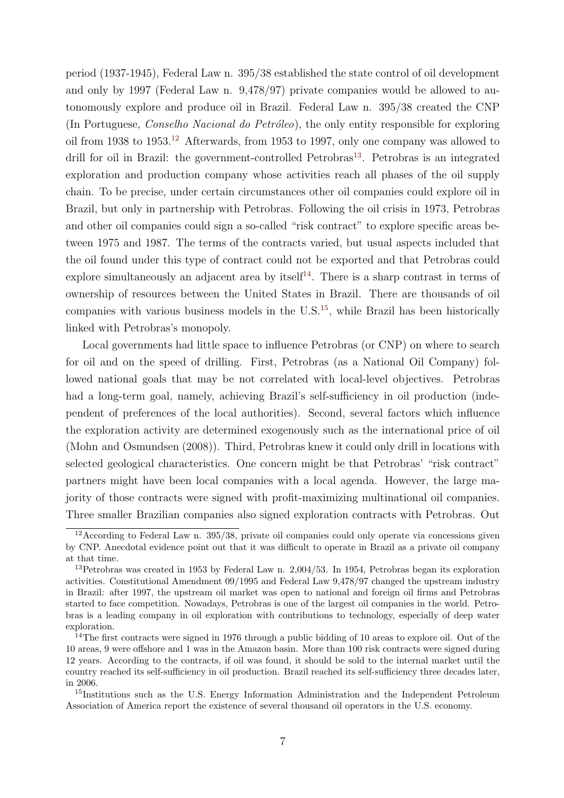period (1937-1945), Federal Law n. 395/38 established the state control of oil development and only by 1997 (Federal Law n. 9,478/97) private companies would be allowed to autonomously explore and produce oil in Brazil. Federal Law n. 395/38 created the CNP (In Portuguese, *Conselho Nacional do Petróleo*), the only entity responsible for exploring oil from 1938 to 1953.<sup>12</sup> Afterwards, from 1953 to 1997, only one company was allowed to drill for oil in Brazil: the government-controlled Petrobras<sup>13</sup>. Petrobras is an integrated exploration and production company whose activities reach all phases of the oil supply chain. To be precise, under certain circumstances other oil companies could explore oil in Brazil, but only in partnership with Petrobras. Following the oil crisis in 1973, Petrobras and other oil companies could sign a so-called "risk contract" to explore specific areas between 1975 and 1987. The terms of the contracts varied, but usual aspects included that the oil found under this type of contract could not be exported and that Petrobras could explore simultaneously an adjacent area by itself<sup>14</sup>. There is a sharp contrast in terms of ownership of resources between the United States in Brazil. There are thousands of oil companies with various business models in the  $U.S.<sup>15</sup>$ , while Brazil has been historically linked with Petrobras's monopoly.

Local governments had little space to influence Petrobras (or CNP) on where to search for oil and on the speed of drilling. First, Petrobras (as a National Oil Company) followed national goals that may be not correlated with local-level objectives. Petrobras had a long-term goal, namely, achieving Brazil's self-sufficiency in oil production (independent of preferences of the local authorities). Second, several factors which influence the exploration activity are determined exogenously such as the international price of oil (Mohn and Osmundsen (2008)). Third, Petrobras knew it could only drill in locations with selected geological characteristics. One concern might be that Petrobras' "risk contract" partners might have been local companies with a local agenda. However, the large majority of those contracts were signed with profit-maximizing multinational oil companies. Three smaller Brazilian companies also signed exploration contracts with Petrobras. Out

 $12$ According to Federal Law n. 395/38, private oil companies could only operate via concessions given by CNP. Anecdotal evidence point out that it was difficult to operate in Brazil as a private oil company at that time.

<sup>13</sup>Petrobras was created in 1953 by Federal Law n. 2,004/53. In 1954, Petrobras began its exploration activities. Constitutional Amendment 09/1995 and Federal Law 9,478/97 changed the upstream industry in Brazil: after 1997, the upstream oil market was open to national and foreign oil firms and Petrobras started to face competition. Nowadays, Petrobras is one of the largest oil companies in the world. Petrobras is a leading company in oil exploration with contributions to technology, especially of deep water exploration.

<sup>&</sup>lt;sup>14</sup>The first contracts were signed in 1976 through a public bidding of 10 areas to explore oil. Out of the 10 areas, 9 were offshore and 1 was in the Amazon basin. More than 100 risk contracts were signed during 12 years. According to the contracts, if oil was found, it should be sold to the internal market until the country reached its self-sufficiency in oil production. Brazil reached its self-sufficiency three decades later, in 2006.

<sup>&</sup>lt;sup>15</sup>Institutions such as the U.S. Energy Information Administration and the Independent Petroleum Association of America report the existence of several thousand oil operators in the U.S. economy.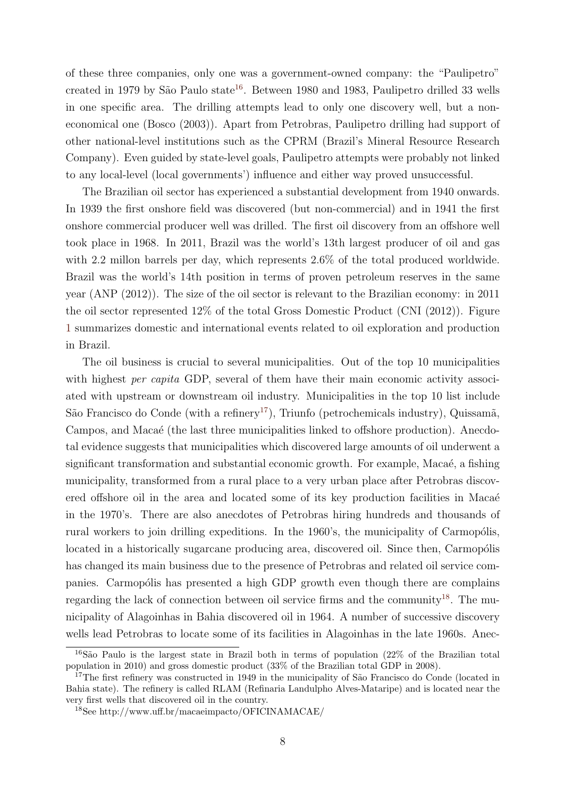of these three companies, only one was a government-owned company: the "Paulipetro" created in 1979 by São Paulo state<sup>16</sup>. Between 1980 and 1983, Paulipetro drilled 33 wells in one specific area. The drilling attempts lead to only one discovery well, but a noneconomical one (Bosco (2003)). Apart from Petrobras, Paulipetro drilling had support of other national-level institutions such as the CPRM (Brazil's Mineral Resource Research Company). Even guided by state-level goals, Paulipetro attempts were probably not linked to any local-level (local governments') influence and either way proved unsuccessful.

The Brazilian oil sector has experienced a substantial development from 1940 onwards. In 1939 the first onshore field was discovered (but non-commercial) and in 1941 the first onshore commercial producer well was drilled. The first oil discovery from an offshore well took place in 1968. In 2011, Brazil was the world's 13th largest producer of oil and gas with 2.2 millon barrels per day, which represents  $2.6\%$  of the total produced worldwide. Brazil was the world's 14th position in terms of proven petroleum reserves in the same year (ANP (2012)). The size of the oil sector is relevant to the Brazilian economy: in 2011 the oil sector represented 12% of the total Gross Domestic Product (CNI (2012)). Figure 1 summarizes domestic and international events related to oil exploration and production in Brazil.

The oil business is crucial to several municipalities. Out of the top 10 municipalities with highest *per capita* GDP, several of them have their main economic activity associated with upstream or downstream oil industry. Municipalities in the top 10 list include São Francisco do Conde (with a refinery<sup>17</sup>), Triunfo (petrochemicals industry), Quissamã, Campos, and Macaé (the last three municipalities linked to offshore production). Anecdotal evidence suggests that municipalities which discovered large amounts of oil underwent a significant transformation and substantial economic growth. For example, Macaé, a fishing municipality, transformed from a rural place to a very urban place after Petrobras discovered offshore oil in the area and located some of its key production facilities in Macae<sup>c</sup> in the 1970's. There are also anecdotes of Petrobras hiring hundreds and thousands of rural workers to join drilling expeditions. In the 1960's, the municipality of Carmopólis, located in a historically sugarcane producing area, discovered oil. Since then, Carmopólis has changed its main business due to the presence of Petrobras and related oil service companies. Carmopólis has presented a high GDP growth even though there are complains regarding the lack of connection between oil service firms and the community<sup>18</sup>. The municipality of Alagoinhas in Bahia discovered oil in 1964. A number of successive discovery wells lead Petrobras to locate some of its facilities in Alagoinhas in the late 1960s. Anec-

 $16S$ ão Paulo is the largest state in Brazil both in terms of population (22% of the Brazilian total population in 2010) and gross domestic product (33% of the Brazilian total GDP in 2008).

<sup>&</sup>lt;sup>17</sup>The first refinery was constructed in 1949 in the municipality of São Francisco do Conde (located in Bahia state). The refinery is called RLAM (Refinaria Landulpho Alves-Mataripe) and is located near the very first wells that discovered oil in the country.

<sup>18</sup>See http://www.uff.br/macaeimpacto/OFICINAMACAE/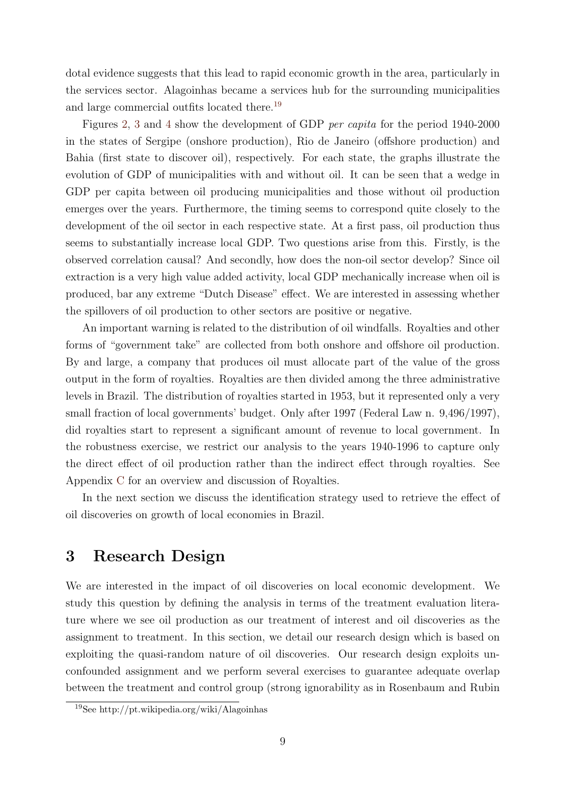dotal evidence suggests that this lead to rapid economic growth in the area, particularly in the services sector. Alagoinhas became a services hub for the surrounding municipalities and large commercial outfits located there.<sup>19</sup>

Figures 2, 3 and 4 show the development of GDP *per capita* for the period 1940-2000 in the states of Sergipe (onshore production), Rio de Janeiro (offshore production) and Bahia (first state to discover oil), respectively. For each state, the graphs illustrate the evolution of GDP of municipalities with and without oil. It can be seen that a wedge in GDP per capita between oil producing municipalities and those without oil production emerges over the years. Furthermore, the timing seems to correspond quite closely to the development of the oil sector in each respective state. At a first pass, oil production thus seems to substantially increase local GDP. Two questions arise from this. Firstly, is the observed correlation causal? And secondly, how does the non-oil sector develop? Since oil extraction is a very high value added activity, local GDP mechanically increase when oil is produced, bar any extreme "Dutch Disease" effect. We are interested in assessing whether the spillovers of oil production to other sectors are positive or negative.

An important warning is related to the distribution of oil windfalls. Royalties and other forms of "government take" are collected from both onshore and offshore oil production. By and large, a company that produces oil must allocate part of the value of the gross output in the form of royalties. Royalties are then divided among the three administrative levels in Brazil. The distribution of royalties started in 1953, but it represented only a very small fraction of local governments' budget. Only after 1997 (Federal Law n. 9,496/1997), did royalties start to represent a significant amount of revenue to local government. In the robustness exercise, we restrict our analysis to the years 1940-1996 to capture only the direct effect of oil production rather than the indirect effect through royalties. See Appendix C for an overview and discussion of Royalties.

In the next section we discuss the identification strategy used to retrieve the effect of oil discoveries on growth of local economies in Brazil.

## **3 Research Design**

We are interested in the impact of oil discoveries on local economic development. We study this question by defining the analysis in terms of the treatment evaluation literature where we see oil production as our treatment of interest and oil discoveries as the assignment to treatment. In this section, we detail our research design which is based on exploiting the quasi-random nature of oil discoveries. Our research design exploits unconfounded assignment and we perform several exercises to guarantee adequate overlap between the treatment and control group (strong ignorability as in Rosenbaum and Rubin

<sup>19</sup>See http://pt.wikipedia.org/wiki/Alagoinhas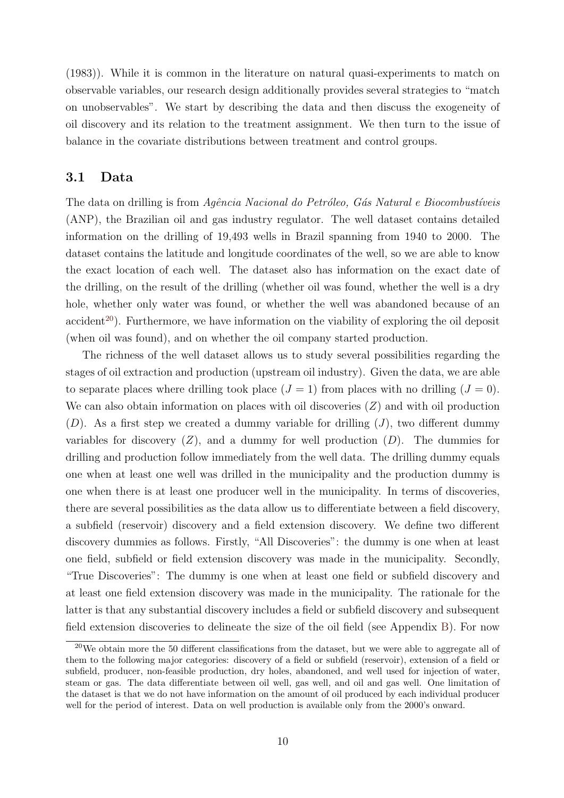(1983)). While it is common in the literature on natural quasi-experiments to match on observable variables, our research design additionally provides several strategies to "match on unobservables". We start by describing the data and then discuss the exogeneity of oil discovery and its relation to the treatment assignment. We then turn to the issue of balance in the covariate distributions between treatment and control groups.

#### **3.1 Data**

The data on drilling is from *Agência Nacional do Petróleo, Gás Natural e Biocombustíveis* (ANP), the Brazilian oil and gas industry regulator. The well dataset contains detailed information on the drilling of 19,493 wells in Brazil spanning from 1940 to 2000. The dataset contains the latitude and longitude coordinates of the well, so we are able to know the exact location of each well. The dataset also has information on the exact date of the drilling, on the result of the drilling (whether oil was found, whether the well is a dry hole, whether only water was found, or whether the well was abandoned because of an accident<sup>20</sup>). Furthermore, we have information on the viability of exploring the oil deposit (when oil was found), and on whether the oil company started production.

The richness of the well dataset allows us to study several possibilities regarding the stages of oil extraction and production (upstream oil industry). Given the data, we are able to separate places where drilling took place  $(J = 1)$  from places with no drilling  $(J = 0)$ . We can also obtain information on places with oil discoveries (*Z*) and with oil production (*D*). As a first step we created a dummy variable for drilling (*J*), two different dummy variables for discovery  $(Z)$ , and a dummy for well production  $(D)$ . The dummies for drilling and production follow immediately from the well data. The drilling dummy equals one when at least one well was drilled in the municipality and the production dummy is one when there is at least one producer well in the municipality. In terms of discoveries, there are several possibilities as the data allow us to differentiate between a field discovery, a subfield (reservoir) discovery and a field extension discovery. We define two different discovery dummies as follows. Firstly, "All Discoveries": the dummy is one when at least one field, subfield or field extension discovery was made in the municipality. Secondly, "True Discoveries": The dummy is one when at least one field or subfield discovery and at least one field extension discovery was made in the municipality. The rationale for the latter is that any substantial discovery includes a field or subfield discovery and subsequent field extension discoveries to delineate the size of the oil field (see Appendix B). For now

<sup>20</sup>We obtain more the 50 different classifications from the dataset, but we were able to aggregate all of them to the following major categories: discovery of a field or subfield (reservoir), extension of a field or subfield, producer, non-feasible production, dry holes, abandoned, and well used for injection of water, steam or gas. The data differentiate between oil well, gas well, and oil and gas well. One limitation of the dataset is that we do not have information on the amount of oil produced by each individual producer well for the period of interest. Data on well production is available only from the 2000's onward.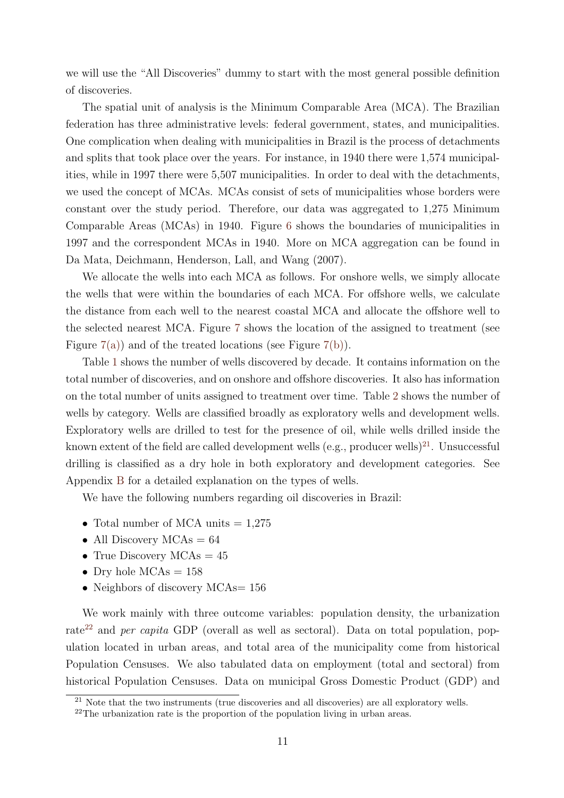we will use the "All Discoveries" dummy to start with the most general possible definition of discoveries.

The spatial unit of analysis is the Minimum Comparable Area (MCA). The Brazilian federation has three administrative levels: federal government, states, and municipalities. One complication when dealing with municipalities in Brazil is the process of detachments and splits that took place over the years. For instance, in 1940 there were 1,574 municipalities, while in 1997 there were 5,507 municipalities. In order to deal with the detachments, we used the concept of MCAs. MCAs consist of sets of municipalities whose borders were constant over the study period. Therefore, our data was aggregated to 1,275 Minimum Comparable Areas (MCAs) in 1940. Figure 6 shows the boundaries of municipalities in 1997 and the correspondent MCAs in 1940. More on MCA aggregation can be found in Da Mata, Deichmann, Henderson, Lall, and Wang (2007).

We allocate the wells into each MCA as follows. For onshore wells, we simply allocate the wells that were within the boundaries of each MCA. For offshore wells, we calculate the distance from each well to the nearest coastal MCA and allocate the offshore well to the selected nearest MCA. Figure 7 shows the location of the assigned to treatment (see Figure  $7(a)$  and of the treated locations (see Figure  $7(b)$ ).

Table 1 shows the number of wells discovered by decade. It contains information on the total number of discoveries, and on onshore and offshore discoveries. It also has information on the total number of units assigned to treatment over time. Table 2 shows the number of wells by category. Wells are classified broadly as exploratory wells and development wells. Exploratory wells are drilled to test for the presence of oil, while wells drilled inside the known extent of the field are called development wells (e.g., producer wells)<sup>21</sup>. Unsuccessful drilling is classified as a dry hole in both exploratory and development categories. See Appendix B for a detailed explanation on the types of wells.

We have the following numbers regarding oil discoveries in Brazil:

- Total number of MCA units  $= 1.275$
- All Discovery MCAs = 64
- True Discovery MCAs =  $45$
- Dry hole MCAs = 158
- Neighbors of discovery MCAs = 156

We work mainly with three outcome variables: population density, the urbanization rate<sup>22</sup> and *per capita* GDP (overall as well as sectoral). Data on total population, population located in urban areas, and total area of the municipality come from historical Population Censuses. We also tabulated data on employment (total and sectoral) from historical Population Censuses. Data on municipal Gross Domestic Product (GDP) and

 $^{21}$  Note that the two instruments (true discoveries and all discoveries) are all exploratory wells.

<sup>&</sup>lt;sup>22</sup>The urbanization rate is the proportion of the population living in urban areas.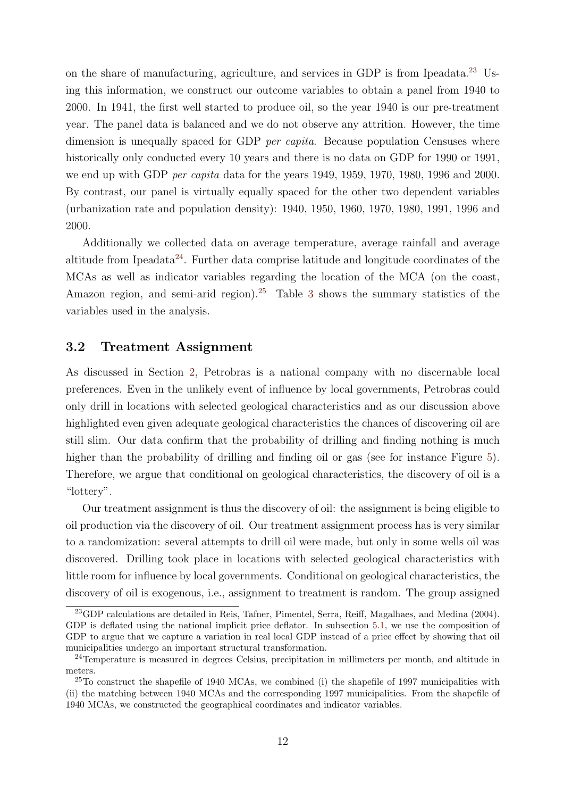on the share of manufacturing, agriculture, and services in GDP is from Ipeadata.<sup>23</sup> Using this information, we construct our outcome variables to obtain a panel from 1940 to 2000. In 1941, the first well started to produce oil, so the year 1940 is our pre-treatment year. The panel data is balanced and we do not observe any attrition. However, the time dimension is unequally spaced for GDP *per capita*. Because population Censuses where historically only conducted every 10 years and there is no data on GDP for 1990 or 1991, we end up with GDP *per capita* data for the years 1949, 1959, 1970, 1980, 1996 and 2000. By contrast, our panel is virtually equally spaced for the other two dependent variables (urbanization rate and population density): 1940, 1950, 1960, 1970, 1980, 1991, 1996 and 2000.

Additionally we collected data on average temperature, average rainfall and average altitude from Ipeadata<sup>24</sup>. Further data comprise latitude and longitude coordinates of the MCAs as well as indicator variables regarding the location of the MCA (on the coast, Amazon region, and semi-arid region).<sup>25</sup> Table 3 shows the summary statistics of the variables used in the analysis.

## **3.2 Treatment Assignment**

As discussed in Section 2, Petrobras is a national company with no discernable local preferences. Even in the unlikely event of influence by local governments, Petrobras could only drill in locations with selected geological characteristics and as our discussion above highlighted even given adequate geological characteristics the chances of discovering oil are still slim. Our data confirm that the probability of drilling and finding nothing is much higher than the probability of drilling and finding oil or gas (see for instance Figure 5). Therefore, we argue that conditional on geological characteristics, the discovery of oil is a "lottery".

Our treatment assignment is thus the discovery of oil: the assignment is being eligible to oil production via the discovery of oil. Our treatment assignment process has is very similar to a randomization: several attempts to drill oil were made, but only in some wells oil was discovered. Drilling took place in locations with selected geological characteristics with little room for influence by local governments. Conditional on geological characteristics, the discovery of oil is exogenous, i.e., assignment to treatment is random. The group assigned

<sup>23</sup>GDP calculations are detailed in Reis, Tafner, Pimentel, Serra, Reiff, Magalhaes, and Medina (2004). GDP is deflated using the national implicit price deflator. In subsection 5.1, we use the composition of GDP to argue that we capture a variation in real local GDP instead of a price effect by showing that oil municipalities undergo an important structural transformation.

<sup>&</sup>lt;sup>24</sup>Temperature is measured in degrees Celsius, precipitation in millimeters per month, and altitude in meters.

 $25$ To construct the shapefile of 1940 MCAs, we combined (i) the shapefile of 1997 municipalities with (ii) the matching between 1940 MCAs and the corresponding 1997 municipalities. From the shapefile of 1940 MCAs, we constructed the geographical coordinates and indicator variables.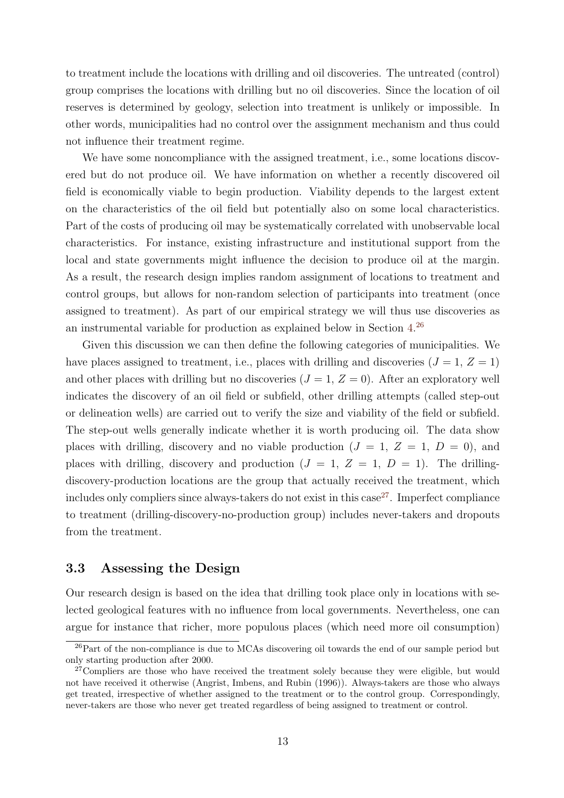to treatment include the locations with drilling and oil discoveries. The untreated (control) group comprises the locations with drilling but no oil discoveries. Since the location of oil reserves is determined by geology, selection into treatment is unlikely or impossible. In other words, municipalities had no control over the assignment mechanism and thus could not influence their treatment regime.

We have some noncompliance with the assigned treatment, i.e., some locations discovered but do not produce oil. We have information on whether a recently discovered oil field is economically viable to begin production. Viability depends to the largest extent on the characteristics of the oil field but potentially also on some local characteristics. Part of the costs of producing oil may be systematically correlated with unobservable local characteristics. For instance, existing infrastructure and institutional support from the local and state governments might influence the decision to produce oil at the margin. As a result, the research design implies random assignment of locations to treatment and control groups, but allows for non-random selection of participants into treatment (once assigned to treatment). As part of our empirical strategy we will thus use discoveries as an instrumental variable for production as explained below in Section 4. 26

Given this discussion we can then define the following categories of municipalities. We have places assigned to treatment, i.e., places with drilling and discoveries  $(J = 1, Z = 1)$ and other places with drilling but no discoveries  $(J = 1, Z = 0)$ . After an exploratory well indicates the discovery of an oil field or subfield, other drilling attempts (called step-out or delineation wells) are carried out to verify the size and viability of the field or subfield. The step-out wells generally indicate whether it is worth producing oil. The data show places with drilling, discovery and no viable production  $(J = 1, Z = 1, D = 0)$ , and places with drilling, discovery and production  $(J = 1, Z = 1, D = 1)$ . The drillingdiscovery-production locations are the group that actually received the treatment, which includes only compliers since always-takers do not exist in this case<sup>27</sup>. Imperfect compliance to treatment (drilling-discovery-no-production group) includes never-takers and dropouts from the treatment.

#### **3.3 Assessing the Design**

Our research design is based on the idea that drilling took place only in locations with selected geological features with no influence from local governments. Nevertheless, one can argue for instance that richer, more populous places (which need more oil consumption)

 $^{26}$ Part of the non-compliance is due to MCAs discovering oil towards the end of our sample period but only starting production after 2000.

<sup>&</sup>lt;sup>27</sup>Compliers are those who have received the treatment solely because they were eligible, but would not have received it otherwise (Angrist, Imbens, and Rubin (1996)). Always-takers are those who always get treated, irrespective of whether assigned to the treatment or to the control group. Correspondingly, never-takers are those who never get treated regardless of being assigned to treatment or control.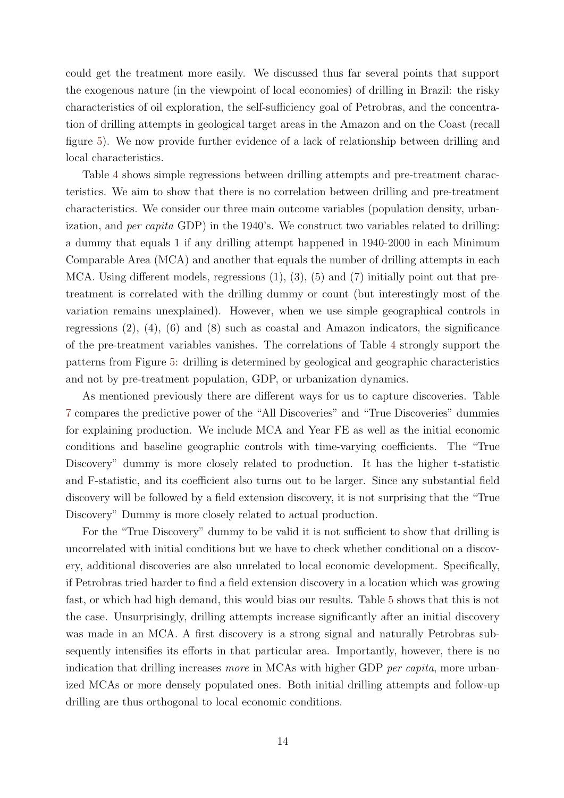could get the treatment more easily. We discussed thus far several points that support the exogenous nature (in the viewpoint of local economies) of drilling in Brazil: the risky characteristics of oil exploration, the self-sufficiency goal of Petrobras, and the concentration of drilling attempts in geological target areas in the Amazon and on the Coast (recall figure 5). We now provide further evidence of a lack of relationship between drilling and local characteristics.

Table 4 shows simple regressions between drilling attempts and pre-treatment characteristics. We aim to show that there is no correlation between drilling and pre-treatment characteristics. We consider our three main outcome variables (population density, urbanization, and *per capita* GDP) in the 1940's. We construct two variables related to drilling: a dummy that equals 1 if any drilling attempt happened in 1940-2000 in each Minimum Comparable Area (MCA) and another that equals the number of drilling attempts in each MCA. Using different models, regressions  $(1)$ ,  $(3)$ ,  $(5)$  and  $(7)$  initially point out that pretreatment is correlated with the drilling dummy or count (but interestingly most of the variation remains unexplained). However, when we use simple geographical controls in regressions  $(2)$ ,  $(4)$ ,  $(6)$  and  $(8)$  such as coastal and Amazon indicators, the significance of the pre-treatment variables vanishes. The correlations of Table 4 strongly support the patterns from Figure 5: drilling is determined by geological and geographic characteristics and not by pre-treatment population, GDP, or urbanization dynamics.

As mentioned previously there are different ways for us to capture discoveries. Table 7 compares the predictive power of the "All Discoveries" and "True Discoveries" dummies for explaining production. We include MCA and Year FE as well as the initial economic conditions and baseline geographic controls with time-varying coefficients. The "True Discovery" dummy is more closely related to production. It has the higher t-statistic and F-statistic, and its coefficient also turns out to be larger. Since any substantial field discovery will be followed by a field extension discovery, it is not surprising that the "True Discovery" Dummy is more closely related to actual production.

For the "True Discovery" dummy to be valid it is not sufficient to show that drilling is uncorrelated with initial conditions but we have to check whether conditional on a discovery, additional discoveries are also unrelated to local economic development. Specifically, if Petrobras tried harder to find a field extension discovery in a location which was growing fast, or which had high demand, this would bias our results. Table 5 shows that this is not the case. Unsurprisingly, drilling attempts increase significantly after an initial discovery was made in an MCA. A first discovery is a strong signal and naturally Petrobras subsequently intensifies its efforts in that particular area. Importantly, however, there is no indication that drilling increases *more* in MCAs with higher GDP *per capita*, more urbanized MCAs or more densely populated ones. Both initial drilling attempts and follow-up drilling are thus orthogonal to local economic conditions.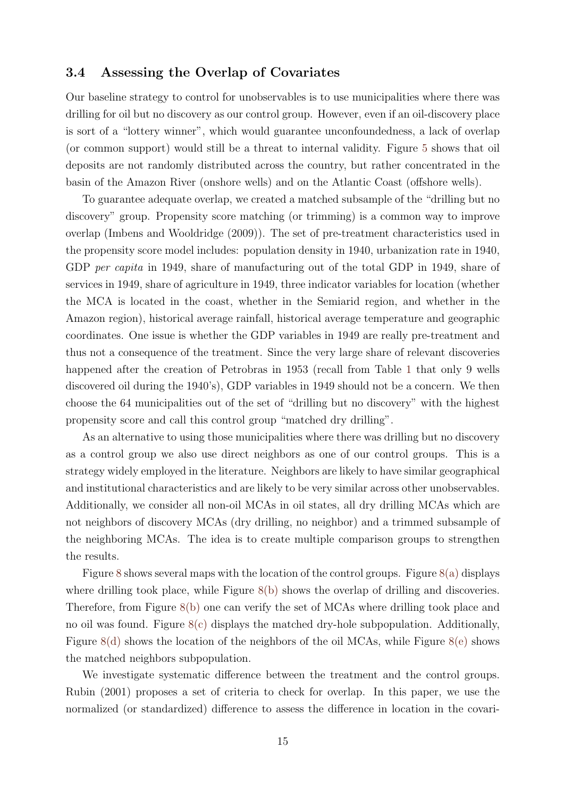## **3.4 Assessing the Overlap of Covariates**

Our baseline strategy to control for unobservables is to use municipalities where there was drilling for oil but no discovery as our control group. However, even if an oil-discovery place is sort of a "lottery winner", which would guarantee unconfoundedness, a lack of overlap (or common support) would still be a threat to internal validity. Figure 5 shows that oil deposits are not randomly distributed across the country, but rather concentrated in the basin of the Amazon River (onshore wells) and on the Atlantic Coast (offshore wells).

To guarantee adequate overlap, we created a matched subsample of the "drilling but no discovery" group. Propensity score matching (or trimming) is a common way to improve overlap (Imbens and Wooldridge (2009)). The set of pre-treatment characteristics used in the propensity score model includes: population density in 1940, urbanization rate in 1940, GDP *per capita* in 1949, share of manufacturing out of the total GDP in 1949, share of services in 1949, share of agriculture in 1949, three indicator variables for location (whether the MCA is located in the coast, whether in the Semiarid region, and whether in the Amazon region), historical average rainfall, historical average temperature and geographic coordinates. One issue is whether the GDP variables in 1949 are really pre-treatment and thus not a consequence of the treatment. Since the very large share of relevant discoveries happened after the creation of Petrobras in 1953 (recall from Table 1 that only 9 wells discovered oil during the 1940's), GDP variables in 1949 should not be a concern. We then choose the 64 municipalities out of the set of "drilling but no discovery" with the highest propensity score and call this control group "matched dry drilling".

As an alternative to using those municipalities where there was drilling but no discovery as a control group we also use direct neighbors as one of our control groups. This is a strategy widely employed in the literature. Neighbors are likely to have similar geographical and institutional characteristics and are likely to be very similar across other unobservables. Additionally, we consider all non-oil MCAs in oil states, all dry drilling MCAs which are not neighbors of discovery MCAs (dry drilling, no neighbor) and a trimmed subsample of the neighboring MCAs. The idea is to create multiple comparison groups to strengthen the results.

Figure 8 shows several maps with the location of the control groups. Figure 8(a) displays where drilling took place, while Figure  $8(b)$  shows the overlap of drilling and discoveries. Therefore, from Figure 8(b) one can verify the set of MCAs where drilling took place and no oil was found. Figure 8(c) displays the matched dry-hole subpopulation. Additionally, Figure 8(d) shows the location of the neighbors of the oil MCAs, while Figure 8(e) shows the matched neighbors subpopulation.

We investigate systematic difference between the treatment and the control groups. Rubin (2001) proposes a set of criteria to check for overlap. In this paper, we use the normalized (or standardized) difference to assess the difference in location in the covari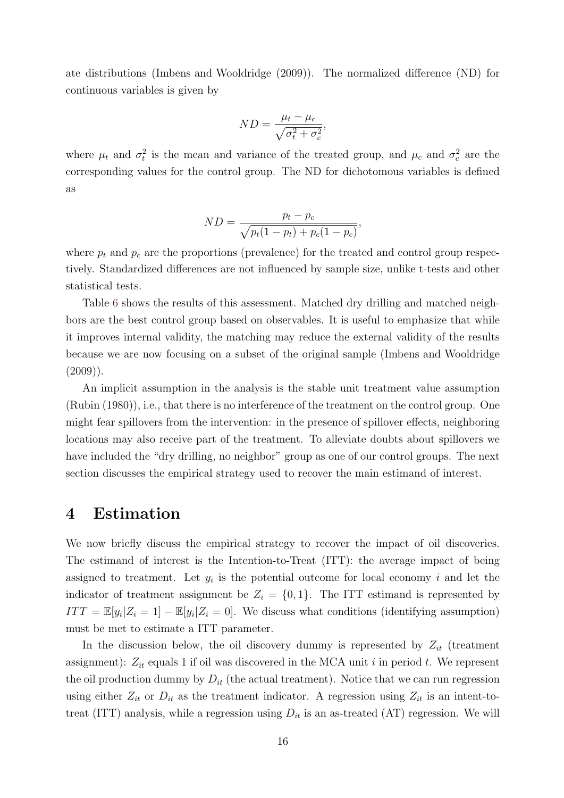ate distributions (Imbens and Wooldridge (2009)). The normalized difference (ND) for continuous variables is given by

$$
ND = \frac{\mu_t - \mu_c}{\sqrt{\sigma_t^2 + \sigma_c^2}},
$$

where  $\mu_t$  and  $\sigma_t^2$  is the mean and variance of the treated group, and  $\mu_c$  and  $\sigma_c^2$  are the corresponding values for the control group. The ND for dichotomous variables is defined as

$$
ND = \frac{p_t - p_c}{\sqrt{p_t(1 - p_t) + p_c(1 - p_c)}},
$$

where  $p_t$  and  $p_c$  are the proportions (prevalence) for the treated and control group respectively. Standardized differences are not influenced by sample size, unlike t-tests and other statistical tests.

Table 6 shows the results of this assessment. Matched dry drilling and matched neighbors are the best control group based on observables. It is useful to emphasize that while it improves internal validity, the matching may reduce the external validity of the results because we are now focusing on a subset of the original sample (Imbens and Wooldridge  $(2009)$ ).

An implicit assumption in the analysis is the stable unit treatment value assumption (Rubin (1980)), i.e., that there is no interference of the treatment on the control group. One might fear spillovers from the intervention: in the presence of spillover effects, neighboring locations may also receive part of the treatment. To alleviate doubts about spillovers we have included the "dry drilling, no neighbor" group as one of our control groups. The next section discusses the empirical strategy used to recover the main estimand of interest.

## **4 Estimation**

We now briefly discuss the empirical strategy to recover the impact of oil discoveries. The estimand of interest is the Intention-to-Treat (ITT): the average impact of being assigned to treatment. Let  $y_i$  is the potential outcome for local economy  $i$  and let the indicator of treatment assignment be  $Z_i = \{0, 1\}$ . The ITT estimand is represented by  $ITT = \mathbb{E}[y_i|Z_i = 1] - \mathbb{E}[y_i|Z_i = 0]$ . We discuss what conditions (identifying assumption) must be met to estimate a ITT parameter.

In the discussion below, the oil discovery dummy is represented by  $Z_{it}$  (treatment assignment): *Zit* equals 1 if oil was discovered in the MCA unit *i* in period *t*. We represent the oil production dummy by  $D_{it}$  (the actual treatment). Notice that we can run regression using either  $Z_{it}$  or  $D_{it}$  as the treatment indicator. A regression using  $Z_{it}$  is an intent-totreat (ITT) analysis, while a regression using  $D_{it}$  is an as-treated (AT) regression. We will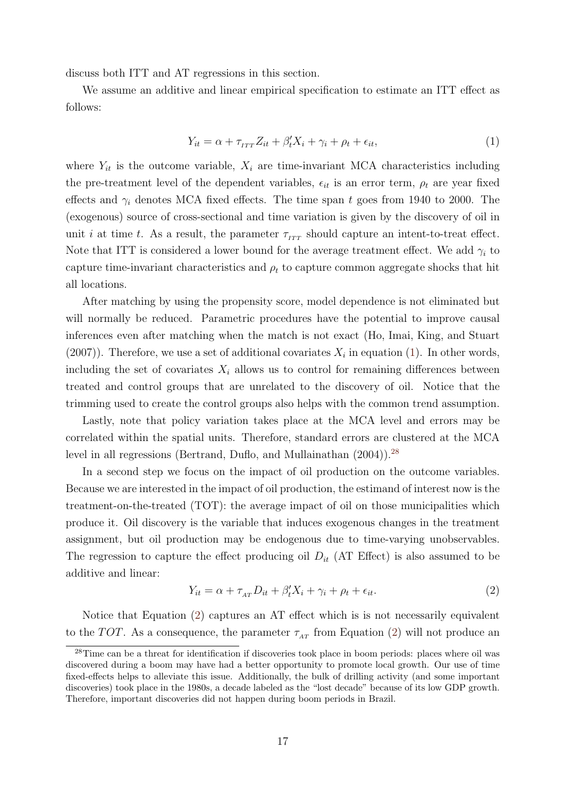discuss both ITT and AT regressions in this section.

We assume an additive and linear empirical specification to estimate an ITT effect as follows:

$$
Y_{it} = \alpha + \tau_{\text{ITT}} Z_{it} + \beta_t' X_i + \gamma_i + \rho_t + \epsilon_{it},\tag{1}
$$

where  $Y_{it}$  is the outcome variable,  $X_i$  are time-invariant MCA characteristics including the pre-treatment level of the dependent variables,  $\epsilon_{it}$  is an error term,  $\rho_t$  are year fixed effects and *γ<sup>i</sup>* denotes MCA fixed effects. The time span *t* goes from 1940 to 2000. The (exogenous) source of cross-sectional and time variation is given by the discovery of oil in unit *i* at time *t*. As a result, the parameter  $\tau_{IT}$  should capture an intent-to-treat effect. Note that ITT is considered a lower bound for the average treatment effect. We add  $\gamma_i$  to capture time-invariant characteristics and  $\rho_t$  to capture common aggregate shocks that hit all locations.

After matching by using the propensity score, model dependence is not eliminated but will normally be reduced. Parametric procedures have the potential to improve causal inferences even after matching when the match is not exact (Ho, Imai, King, and Stuart  $(2007)$ ). Therefore, we use a set of additional covariates  $X_i$  in equation (1). In other words, including the set of covariates  $X_i$  allows us to control for remaining differences between treated and control groups that are unrelated to the discovery of oil. Notice that the trimming used to create the control groups also helps with the common trend assumption.

Lastly, note that policy variation takes place at the MCA level and errors may be correlated within the spatial units. Therefore, standard errors are clustered at the MCA level in all regressions (Bertrand, Duflo, and Mullainathan (2004)).<sup>28</sup>

In a second step we focus on the impact of oil production on the outcome variables. Because we are interested in the impact of oil production, the estimand of interest now is the treatment-on-the-treated (TOT): the average impact of oil on those municipalities which produce it. Oil discovery is the variable that induces exogenous changes in the treatment assignment, but oil production may be endogenous due to time-varying unobservables. The regression to capture the effect producing oil  $D_{it}$  (AT Effect) is also assumed to be additive and linear:

$$
Y_{it} = \alpha + \tau_{AT} D_{it} + \beta'_t X_i + \gamma_i + \rho_t + \epsilon_{it}.
$$
\n<sup>(2)</sup>

Notice that Equation (2) captures an AT effect which is is not necessarily equivalent to the *TOT*. As a consequence, the parameter  $\tau_{AT}$  from Equation (2) will not produce an

<sup>&</sup>lt;sup>28</sup>Time can be a threat for identification if discoveries took place in boom periods: places where oil was discovered during a boom may have had a better opportunity to promote local growth. Our use of time fixed-effects helps to alleviate this issue. Additionally, the bulk of drilling activity (and some important discoveries) took place in the 1980s, a decade labeled as the "lost decade" because of its low GDP growth. Therefore, important discoveries did not happen during boom periods in Brazil.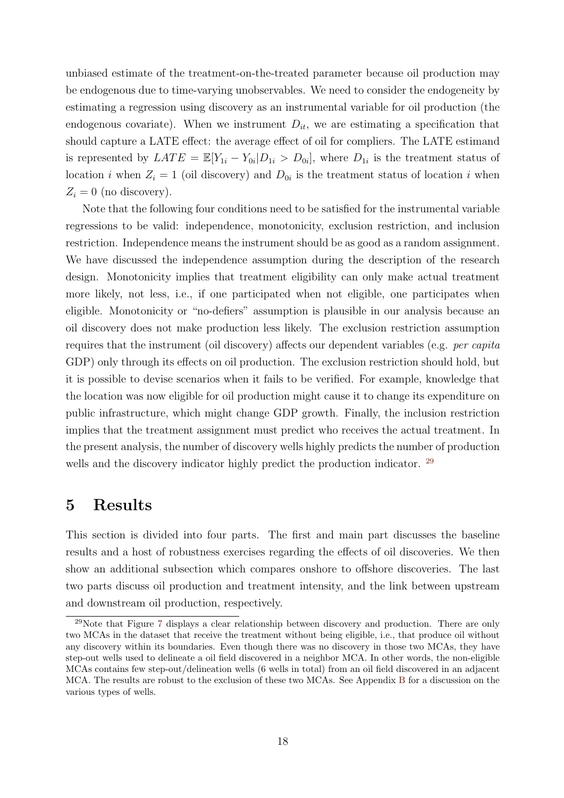unbiased estimate of the treatment-on-the-treated parameter because oil production may be endogenous due to time-varying unobservables. We need to consider the endogeneity by estimating a regression using discovery as an instrumental variable for oil production (the endogenous covariate). When we instrument  $D_{it}$ , we are estimating a specification that should capture a LATE effect: the average effect of oil for compliers. The LATE estimand is represented by  $LATE = \mathbb{E}[Y_{1i} - Y_{0i} | D_{1i} > D_{0i}]$ , where  $D_{1i}$  is the treatment status of location *i* when  $Z_i = 1$  (oil discovery) and  $D_{0i}$  is the treatment status of location *i* when  $Z_i = 0$  (no discovery).

Note that the following four conditions need to be satisfied for the instrumental variable regressions to be valid: independence, monotonicity, exclusion restriction, and inclusion restriction. Independence means the instrument should be as good as a random assignment. We have discussed the independence assumption during the description of the research design. Monotonicity implies that treatment eligibility can only make actual treatment more likely, not less, i.e., if one participated when not eligible, one participates when eligible. Monotonicity or "no-defiers" assumption is plausible in our analysis because an oil discovery does not make production less likely. The exclusion restriction assumption requires that the instrument (oil discovery) affects our dependent variables (e.g. *per capita* GDP) only through its effects on oil production. The exclusion restriction should hold, but it is possible to devise scenarios when it fails to be verified. For example, knowledge that the location was now eligible for oil production might cause it to change its expenditure on public infrastructure, which might change GDP growth. Finally, the inclusion restriction implies that the treatment assignment must predict who receives the actual treatment. In the present analysis, the number of discovery wells highly predicts the number of production wells and the discovery indicator highly predict the production indicator. <sup>29</sup>

## **5 Results**

This section is divided into four parts. The first and main part discusses the baseline results and a host of robustness exercises regarding the effects of oil discoveries. We then show an additional subsection which compares onshore to offshore discoveries. The last two parts discuss oil production and treatment intensity, and the link between upstream and downstream oil production, respectively.

 $^{29}$ Note that Figure 7 displays a clear relationship between discovery and production. There are only two MCAs in the dataset that receive the treatment without being eligible, i.e., that produce oil without any discovery within its boundaries. Even though there was no discovery in those two MCAs, they have step-out wells used to delineate a oil field discovered in a neighbor MCA. In other words, the non-eligible MCAs contains few step-out/delineation wells (6 wells in total) from an oil field discovered in an adjacent MCA. The results are robust to the exclusion of these two MCAs. See Appendix B for a discussion on the various types of wells.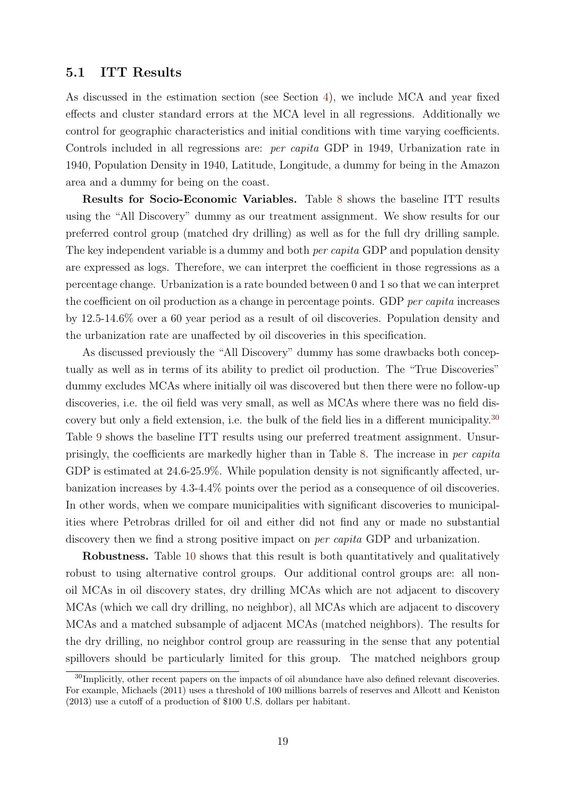## **5.1 ITT Results**

As discussed in the estimation section (see Section 4), we include MCA and year fixed effects and cluster standard errors at the MCA level in all regressions. Additionally we control for geographic characteristics and initial conditions with time varying coefficients. Controls included in all regressions are: *per capita* GDP in 1949, Urbanization rate in 1940, Population Density in 1940, Latitude, Longitude, a dummy for being in the Amazon area and a dummy for being on the coast.

**Results for Socio-Economic Variables.** Table 8 shows the baseline ITT results using the "All Discovery" dummy as our treatment assignment. We show results for our preferred control group (matched dry drilling) as well as for the full dry drilling sample. The key independent variable is a dummy and both *per capita* GDP and population density are expressed as logs. Therefore, we can interpret the coefficient in those regressions as a percentage change. Urbanization is a rate bounded between 0 and 1 so that we can interpret the coefficient on oil production as a change in percentage points. GDP *per capita* increases by 12.5-14.6% over a 60 year period as a result of oil discoveries. Population density and the urbanization rate are unaffected by oil discoveries in this specification.

As discussed previously the "All Discovery" dummy has some drawbacks both conceptually as well as in terms of its ability to predict oil production. The "True Discoveries" dummy excludes MCAs where initially oil was discovered but then there were no follow-up discoveries, i.e. the oil field was very small, as well as MCAs where there was no field discovery but only a field extension, i.e. the bulk of the field lies in a different municipality.<sup>30</sup> Table 9 shows the baseline ITT results using our preferred treatment assignment. Unsurprisingly, the coefficients are markedly higher than in Table 8. The increase in *per capita* GDP is estimated at 24.6-25.9%. While population density is not significantly affected, urbanization increases by 4.3-4.4% points over the period as a consequence of oil discoveries. In other words, when we compare municipalities with significant discoveries to municipalities where Petrobras drilled for oil and either did not find any or made no substantial discovery then we find a strong positive impact on *per capita* GDP and urbanization.

**Robustness.** Table 10 shows that this result is both quantitatively and qualitatively robust to using alternative control groups. Our additional control groups are: all nonoil MCAs in oil discovery states, dry drilling MCAs which are not adjacent to discovery MCAs (which we call dry drilling, no neighbor), all MCAs which are adjacent to discovery MCAs and a matched subsample of adjacent MCAs (matched neighbors). The results for the dry drilling, no neighbor control group are reassuring in the sense that any potential spillovers should be particularly limited for this group. The matched neighbors group

<sup>&</sup>lt;sup>30</sup>Implicitly, other recent papers on the impacts of oil abundance have also defined relevant discoveries. For example, Michaels (2011) uses a threshold of 100 millions barrels of reserves and Allcott and Keniston (2013) use a cutoff of a production of \$100 U.S. dollars per habitant.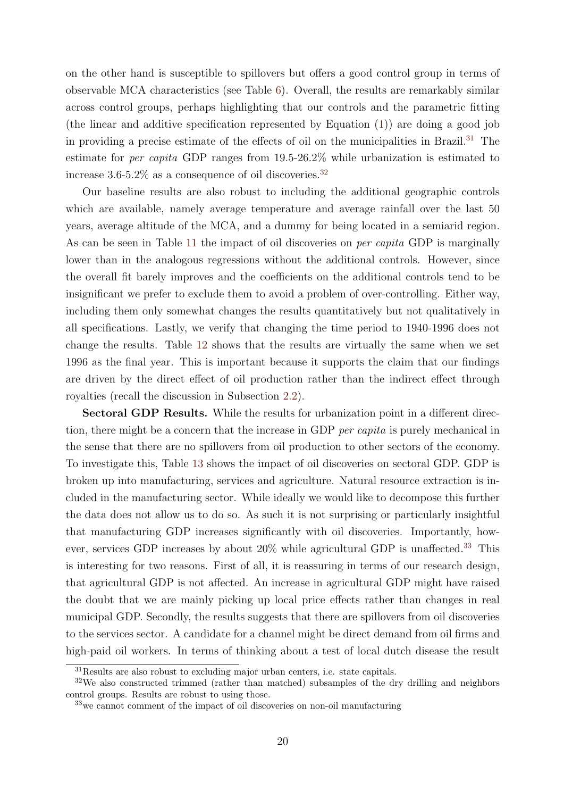on the other hand is susceptible to spillovers but offers a good control group in terms of observable MCA characteristics (see Table 6). Overall, the results are remarkably similar across control groups, perhaps highlighting that our controls and the parametric fitting (the linear and additive specification represented by Equation (1)) are doing a good job in providing a precise estimate of the effects of oil on the municipalities in Brazil.<sup>31</sup> The estimate for *per capita* GDP ranges from 19.5-26.2% while urbanization is estimated to increase  $3.6 - 5.2\%$  as a consequence of oil discoveries.<sup>32</sup>

Our baseline results are also robust to including the additional geographic controls which are available, namely average temperature and average rainfall over the last 50 years, average altitude of the MCA, and a dummy for being located in a semiarid region. As can be seen in Table 11 the impact of oil discoveries on *per capita* GDP is marginally lower than in the analogous regressions without the additional controls. However, since the overall fit barely improves and the coefficients on the additional controls tend to be insignificant we prefer to exclude them to avoid a problem of over-controlling. Either way, including them only somewhat changes the results quantitatively but not qualitatively in all specifications. Lastly, we verify that changing the time period to 1940-1996 does not change the results. Table 12 shows that the results are virtually the same when we set 1996 as the final year. This is important because it supports the claim that our findings are driven by the direct effect of oil production rather than the indirect effect through royalties (recall the discussion in Subsection 2.2).

**Sectoral GDP Results.** While the results for urbanization point in a different direction, there might be a concern that the increase in GDP *per capita* is purely mechanical in the sense that there are no spillovers from oil production to other sectors of the economy. To investigate this, Table 13 shows the impact of oil discoveries on sectoral GDP. GDP is broken up into manufacturing, services and agriculture. Natural resource extraction is included in the manufacturing sector. While ideally we would like to decompose this further the data does not allow us to do so. As such it is not surprising or particularly insightful that manufacturing GDP increases significantly with oil discoveries. Importantly, however, services GDP increases by about 20% while agricultural GDP is unaffected.<sup>33</sup> This is interesting for two reasons. First of all, it is reassuring in terms of our research design, that agricultural GDP is not affected. An increase in agricultural GDP might have raised the doubt that we are mainly picking up local price effects rather than changes in real municipal GDP. Secondly, the results suggests that there are spillovers from oil discoveries to the services sector. A candidate for a channel might be direct demand from oil firms and high-paid oil workers. In terms of thinking about a test of local dutch disease the result

<sup>31</sup>Results are also robust to excluding major urban centers, i.e. state capitals.

<sup>32</sup>We also constructed trimmed (rather than matched) subsamples of the dry drilling and neighbors control groups. Results are robust to using those.

<sup>33</sup>we cannot comment of the impact of oil discoveries on non-oil manufacturing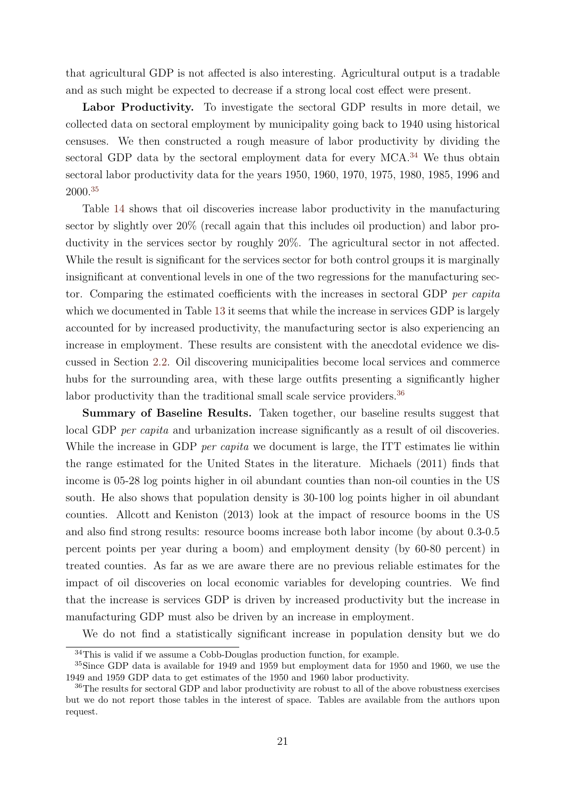that agricultural GDP is not affected is also interesting. Agricultural output is a tradable and as such might be expected to decrease if a strong local cost effect were present.

**Labor Productivity.** To investigate the sectoral GDP results in more detail, we collected data on sectoral employment by municipality going back to 1940 using historical censuses. We then constructed a rough measure of labor productivity by dividing the sectoral GDP data by the sectoral employment data for every MCA.<sup>34</sup> We thus obtain sectoral labor productivity data for the years 1950, 1960, 1970, 1975, 1980, 1985, 1996 and 2000.<sup>35</sup>

Table 14 shows that oil discoveries increase labor productivity in the manufacturing sector by slightly over 20% (recall again that this includes oil production) and labor productivity in the services sector by roughly 20%. The agricultural sector in not affected. While the result is significant for the services sector for both control groups it is marginally insignificant at conventional levels in one of the two regressions for the manufacturing sector. Comparing the estimated coefficients with the increases in sectoral GDP *per capita* which we documented in Table 13 it seems that while the increase in services GDP is largely accounted for by increased productivity, the manufacturing sector is also experiencing an increase in employment. These results are consistent with the anecdotal evidence we discussed in Section 2.2. Oil discovering municipalities become local services and commerce hubs for the surrounding area, with these large outfits presenting a significantly higher labor productivity than the traditional small scale service providers.<sup>36</sup>

**Summary of Baseline Results.** Taken together, our baseline results suggest that local GDP *per capita* and urbanization increase significantly as a result of oil discoveries. While the increase in GDP *per capita* we document is large, the ITT estimates lie within the range estimated for the United States in the literature. Michaels (2011) finds that income is 05-28 log points higher in oil abundant counties than non-oil counties in the US south. He also shows that population density is 30-100 log points higher in oil abundant counties. Allcott and Keniston (2013) look at the impact of resource booms in the US and also find strong results: resource booms increase both labor income (by about 0.3-0.5 percent points per year during a boom) and employment density (by 60-80 percent) in treated counties. As far as we are aware there are no previous reliable estimates for the impact of oil discoveries on local economic variables for developing countries. We find that the increase is services GDP is driven by increased productivity but the increase in manufacturing GDP must also be driven by an increase in employment.

We do not find a statistically significant increase in population density but we do

<sup>34</sup>This is valid if we assume a Cobb-Douglas production function, for example.

<sup>35</sup>Since GDP data is available for 1949 and 1959 but employment data for 1950 and 1960, we use the 1949 and 1959 GDP data to get estimates of the 1950 and 1960 labor productivity.

<sup>&</sup>lt;sup>36</sup>The results for sectoral GDP and labor productivity are robust to all of the above robustness exercises but we do not report those tables in the interest of space. Tables are available from the authors upon request.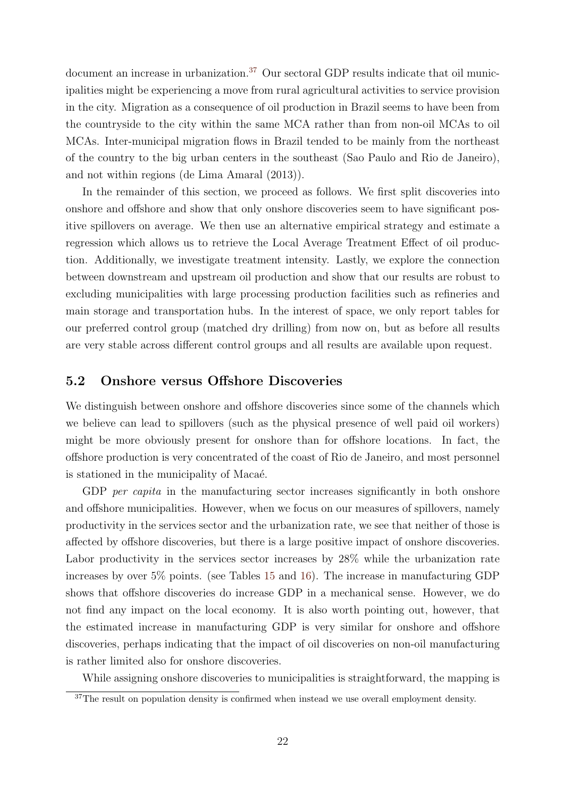document an increase in urbanization.<sup>37</sup> Our sectoral GDP results indicate that oil municipalities might be experiencing a move from rural agricultural activities to service provision in the city. Migration as a consequence of oil production in Brazil seems to have been from the countryside to the city within the same MCA rather than from non-oil MCAs to oil MCAs. Inter-municipal migration flows in Brazil tended to be mainly from the northeast of the country to the big urban centers in the southeast (Sao Paulo and Rio de Janeiro), and not within regions (de Lima Amaral (2013)).

In the remainder of this section, we proceed as follows. We first split discoveries into onshore and offshore and show that only onshore discoveries seem to have significant positive spillovers on average. We then use an alternative empirical strategy and estimate a regression which allows us to retrieve the Local Average Treatment Effect of oil production. Additionally, we investigate treatment intensity. Lastly, we explore the connection between downstream and upstream oil production and show that our results are robust to excluding municipalities with large processing production facilities such as refineries and main storage and transportation hubs. In the interest of space, we only report tables for our preferred control group (matched dry drilling) from now on, but as before all results are very stable across different control groups and all results are available upon request.

### **5.2 Onshore versus Offshore Discoveries**

We distinguish between onshore and offshore discoveries since some of the channels which we believe can lead to spillovers (such as the physical presence of well paid oil workers) might be more obviously present for onshore than for offshore locations. In fact, the offshore production is very concentrated of the coast of Rio de Janeiro, and most personnel is stationed in the municipality of Macaé.

GDP *per capita* in the manufacturing sector increases significantly in both onshore and offshore municipalities. However, when we focus on our measures of spillovers, namely productivity in the services sector and the urbanization rate, we see that neither of those is affected by offshore discoveries, but there is a large positive impact of onshore discoveries. Labor productivity in the services sector increases by 28% while the urbanization rate increases by over 5% points. (see Tables 15 and 16). The increase in manufacturing GDP shows that offshore discoveries do increase GDP in a mechanical sense. However, we do not find any impact on the local economy. It is also worth pointing out, however, that the estimated increase in manufacturing GDP is very similar for onshore and offshore discoveries, perhaps indicating that the impact of oil discoveries on non-oil manufacturing is rather limited also for onshore discoveries.

While assigning onshore discoveries to municipalities is straightforward, the mapping is

 $37$ The result on population density is confirmed when instead we use overall employment density.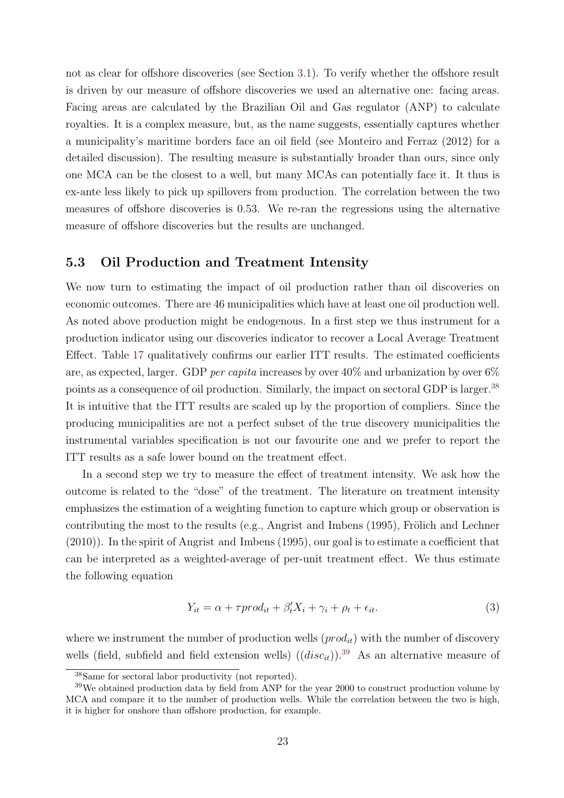not as clear for offshore discoveries (see Section 3.1). To verify whether the offshore result is driven by our measure of offshore discoveries we used an alternative one: facing areas. Facing areas are calculated by the Brazilian Oil and Gas regulator (ANP) to calculate royalties. It is a complex measure, but, as the name suggests, essentially captures whether a municipality's maritime borders face an oil field (see Monteiro and Ferraz (2012) for a detailed discussion). The resulting measure is substantially broader than ours, since only one MCA can be the closest to a well, but many MCAs can potentially face it. It thus is ex-ante less likely to pick up spillovers from production. The correlation between the two measures of offshore discoveries is 0.53. We re-ran the regressions using the alternative measure of offshore discoveries but the results are unchanged.

## **5.3 Oil Production and Treatment Intensity**

We now turn to estimating the impact of oil production rather than oil discoveries on economic outcomes. There are 46 municipalities which have at least one oil production well. As noted above production might be endogenous. In a first step we thus instrument for a production indicator using our discoveries indicator to recover a Local Average Treatment Effect. Table 17 qualitatively confirms our earlier ITT results. The estimated coefficients are, as expected, larger. GDP *per capita* increases by over 40% and urbanization by over 6% points as a consequence of oil production. Similarly, the impact on sectoral GDP is larger.<sup>38</sup> It is intuitive that the ITT results are scaled up by the proportion of compliers. Since the producing municipalities are not a perfect subset of the true discovery municipalities the instrumental variables specification is not our favourite one and we prefer to report the ITT results as a safe lower bound on the treatment effect.

In a second step we try to measure the effect of treatment intensity. We ask how the outcome is related to the "dose" of the treatment. The literature on treatment intensity emphasizes the estimation of a weighting function to capture which group or observation is contributing the most to the results (e.g., Angrist and Imbens  $(1995)$ , Frölich and Lechner (2010)). In the spirit of Angrist and Imbens (1995), our goal is to estimate a coefficient that can be interpreted as a weighted-average of per-unit treatment effect. We thus estimate the following equation

$$
Y_{it} = \alpha + \tau prod_{it} + \beta'_{t} X_{i} + \gamma_{i} + \rho_{t} + \epsilon_{it}. \tag{3}
$$

where we instrument the number of production wells  $(pred<sub>it</sub>)$  with the number of discovery wells (field, subfield and field extension wells)  $((disc<sub>it</sub>))$ <sup>39</sup> As an alternative measure of

<sup>38</sup>Same for sectoral labor productivity (not reported).

<sup>&</sup>lt;sup>39</sup>We obtained production data by field from ANP for the year 2000 to construct production volume by MCA and compare it to the number of production wells. While the correlation between the two is high, it is higher for onshore than offshore production, for example.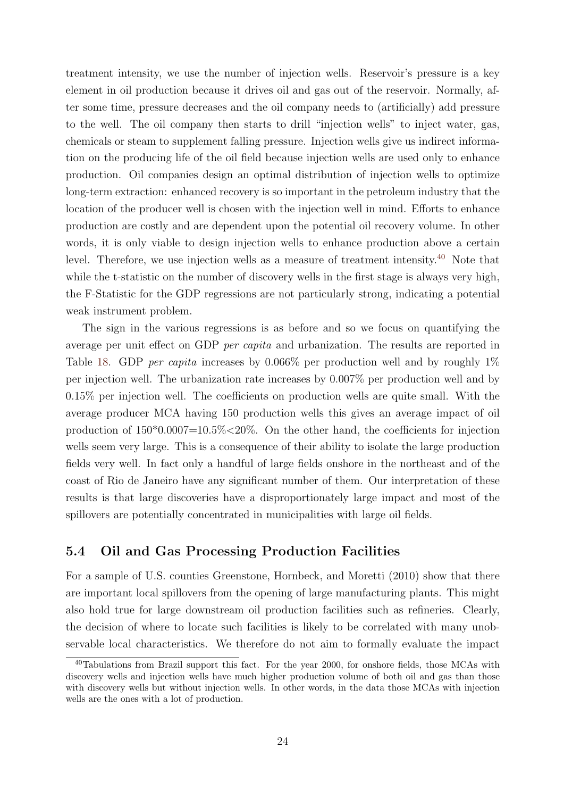treatment intensity, we use the number of injection wells. Reservoir's pressure is a key element in oil production because it drives oil and gas out of the reservoir. Normally, after some time, pressure decreases and the oil company needs to (artificially) add pressure to the well. The oil company then starts to drill "injection wells" to inject water, gas, chemicals or steam to supplement falling pressure. Injection wells give us indirect information on the producing life of the oil field because injection wells are used only to enhance production. Oil companies design an optimal distribution of injection wells to optimize long-term extraction: enhanced recovery is so important in the petroleum industry that the location of the producer well is chosen with the injection well in mind. Efforts to enhance production are costly and are dependent upon the potential oil recovery volume. In other words, it is only viable to design injection wells to enhance production above a certain level. Therefore, we use injection wells as a measure of treatment intensity.<sup>40</sup> Note that while the t-statistic on the number of discovery wells in the first stage is always very high, the F-Statistic for the GDP regressions are not particularly strong, indicating a potential weak instrument problem.

The sign in the various regressions is as before and so we focus on quantifying the average per unit effect on GDP *per capita* and urbanization. The results are reported in Table 18. GDP *per capita* increases by 0.066% per production well and by roughly 1% per injection well. The urbanization rate increases by 0.007% per production well and by 0.15% per injection well. The coefficients on production wells are quite small. With the average producer MCA having 150 production wells this gives an average impact of oil production of 150\*0.0007=10.5%*<*20%. On the other hand, the coefficients for injection wells seem very large. This is a consequence of their ability to isolate the large production fields very well. In fact only a handful of large fields onshore in the northeast and of the coast of Rio de Janeiro have any significant number of them. Our interpretation of these results is that large discoveries have a disproportionately large impact and most of the spillovers are potentially concentrated in municipalities with large oil fields.

## **5.4 Oil and Gas Processing Production Facilities**

For a sample of U.S. counties Greenstone, Hornbeck, and Moretti (2010) show that there are important local spillovers from the opening of large manufacturing plants. This might also hold true for large downstream oil production facilities such as refineries. Clearly, the decision of where to locate such facilities is likely to be correlated with many unobservable local characteristics. We therefore do not aim to formally evaluate the impact

<sup>40</sup>Tabulations from Brazil support this fact. For the year 2000, for onshore fields, those MCAs with discovery wells and injection wells have much higher production volume of both oil and gas than those with discovery wells but without injection wells. In other words, in the data those MCAs with injection wells are the ones with a lot of production.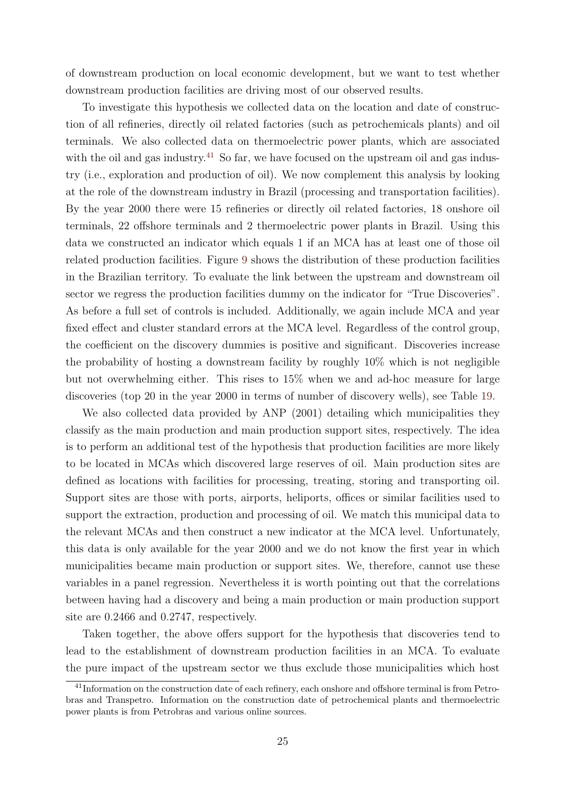of downstream production on local economic development, but we want to test whether downstream production facilities are driving most of our observed results.

To investigate this hypothesis we collected data on the location and date of construction of all refineries, directly oil related factories (such as petrochemicals plants) and oil terminals. We also collected data on thermoelectric power plants, which are associated with the oil and gas industry.<sup>41</sup> So far, we have focused on the upstream oil and gas industry (i.e., exploration and production of oil). We now complement this analysis by looking at the role of the downstream industry in Brazil (processing and transportation facilities). By the year 2000 there were 15 refineries or directly oil related factories, 18 onshore oil terminals, 22 offshore terminals and 2 thermoelectric power plants in Brazil. Using this data we constructed an indicator which equals 1 if an MCA has at least one of those oil related production facilities. Figure 9 shows the distribution of these production facilities in the Brazilian territory. To evaluate the link between the upstream and downstream oil sector we regress the production facilities dummy on the indicator for "True Discoveries". As before a full set of controls is included. Additionally, we again include MCA and year fixed effect and cluster standard errors at the MCA level. Regardless of the control group, the coefficient on the discovery dummies is positive and significant. Discoveries increase the probability of hosting a downstream facility by roughly 10% which is not negligible but not overwhelming either. This rises to 15% when we and ad-hoc measure for large discoveries (top 20 in the year 2000 in terms of number of discovery wells), see Table 19.

We also collected data provided by ANP (2001) detailing which municipalities they classify as the main production and main production support sites, respectively. The idea is to perform an additional test of the hypothesis that production facilities are more likely to be located in MCAs which discovered large reserves of oil. Main production sites are defined as locations with facilities for processing, treating, storing and transporting oil. Support sites are those with ports, airports, heliports, offices or similar facilities used to support the extraction, production and processing of oil. We match this municipal data to the relevant MCAs and then construct a new indicator at the MCA level. Unfortunately, this data is only available for the year 2000 and we do not know the first year in which municipalities became main production or support sites. We, therefore, cannot use these variables in a panel regression. Nevertheless it is worth pointing out that the correlations between having had a discovery and being a main production or main production support site are 0.2466 and 0.2747, respectively.

Taken together, the above offers support for the hypothesis that discoveries tend to lead to the establishment of downstream production facilities in an MCA. To evaluate the pure impact of the upstream sector we thus exclude those municipalities which host

<sup>&</sup>lt;sup>41</sup>Information on the construction date of each refinery, each onshore and offshore terminal is from Petrobras and Transpetro. Information on the construction date of petrochemical plants and thermoelectric power plants is from Petrobras and various online sources.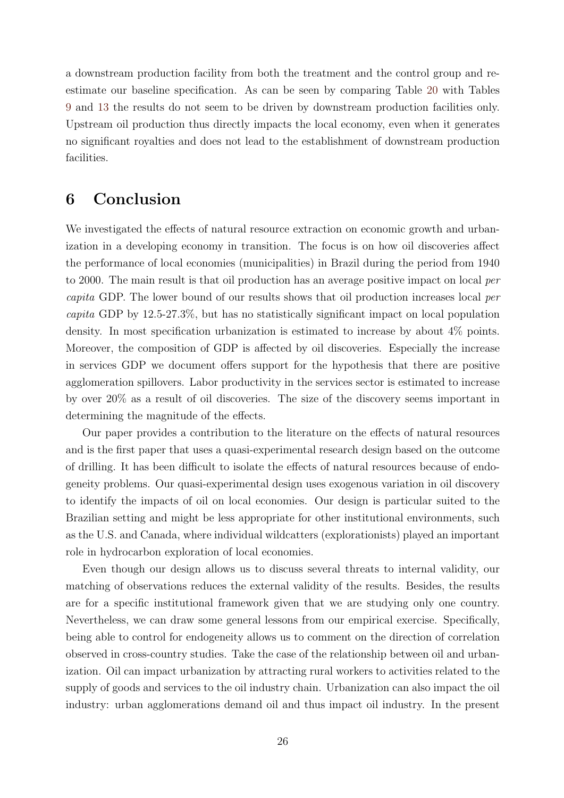a downstream production facility from both the treatment and the control group and reestimate our baseline specification. As can be seen by comparing Table 20 with Tables 9 and 13 the results do not seem to be driven by downstream production facilities only. Upstream oil production thus directly impacts the local economy, even when it generates no significant royalties and does not lead to the establishment of downstream production facilities.

## **6 Conclusion**

We investigated the effects of natural resource extraction on economic growth and urbanization in a developing economy in transition. The focus is on how oil discoveries affect the performance of local economies (municipalities) in Brazil during the period from 1940 to 2000. The main result is that oil production has an average positive impact on local *per capita* GDP. The lower bound of our results shows that oil production increases local *per capita* GDP by 12.5-27.3%, but has no statistically significant impact on local population density. In most specification urbanization is estimated to increase by about 4% points. Moreover, the composition of GDP is affected by oil discoveries. Especially the increase in services GDP we document offers support for the hypothesis that there are positive agglomeration spillovers. Labor productivity in the services sector is estimated to increase by over 20% as a result of oil discoveries. The size of the discovery seems important in determining the magnitude of the effects.

Our paper provides a contribution to the literature on the effects of natural resources and is the first paper that uses a quasi-experimental research design based on the outcome of drilling. It has been difficult to isolate the effects of natural resources because of endogeneity problems. Our quasi-experimental design uses exogenous variation in oil discovery to identify the impacts of oil on local economies. Our design is particular suited to the Brazilian setting and might be less appropriate for other institutional environments, such as the U.S. and Canada, where individual wildcatters (explorationists) played an important role in hydrocarbon exploration of local economies.

Even though our design allows us to discuss several threats to internal validity, our matching of observations reduces the external validity of the results. Besides, the results are for a specific institutional framework given that we are studying only one country. Nevertheless, we can draw some general lessons from our empirical exercise. Specifically, being able to control for endogeneity allows us to comment on the direction of correlation observed in cross-country studies. Take the case of the relationship between oil and urbanization. Oil can impact urbanization by attracting rural workers to activities related to the supply of goods and services to the oil industry chain. Urbanization can also impact the oil industry: urban agglomerations demand oil and thus impact oil industry. In the present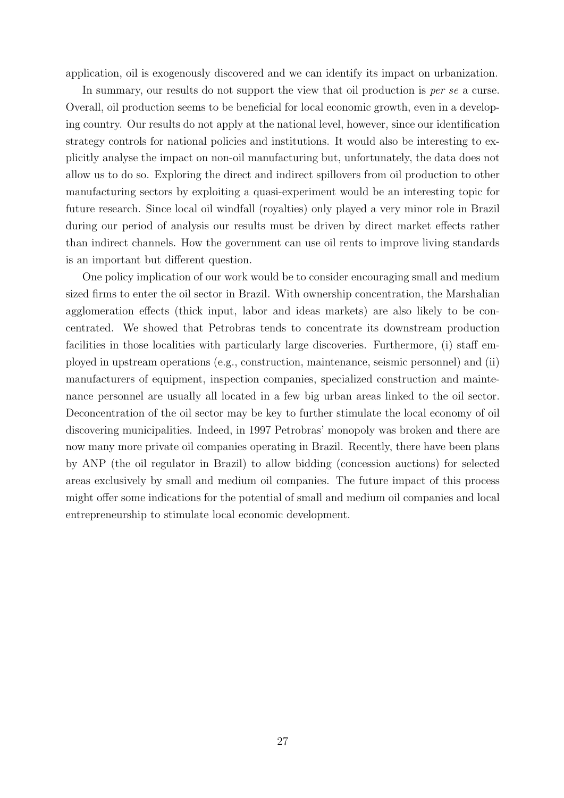application, oil is exogenously discovered and we can identify its impact on urbanization.

In summary, our results do not support the view that oil production is *per se* a curse. Overall, oil production seems to be beneficial for local economic growth, even in a developing country. Our results do not apply at the national level, however, since our identification strategy controls for national policies and institutions. It would also be interesting to explicitly analyse the impact on non-oil manufacturing but, unfortunately, the data does not allow us to do so. Exploring the direct and indirect spillovers from oil production to other manufacturing sectors by exploiting a quasi-experiment would be an interesting topic for future research. Since local oil windfall (royalties) only played a very minor role in Brazil during our period of analysis our results must be driven by direct market effects rather than indirect channels. How the government can use oil rents to improve living standards is an important but different question.

One policy implication of our work would be to consider encouraging small and medium sized firms to enter the oil sector in Brazil. With ownership concentration, the Marshalian agglomeration effects (thick input, labor and ideas markets) are also likely to be concentrated. We showed that Petrobras tends to concentrate its downstream production facilities in those localities with particularly large discoveries. Furthermore, (i) staff employed in upstream operations (e.g., construction, maintenance, seismic personnel) and (ii) manufacturers of equipment, inspection companies, specialized construction and maintenance personnel are usually all located in a few big urban areas linked to the oil sector. Deconcentration of the oil sector may be key to further stimulate the local economy of oil discovering municipalities. Indeed, in 1997 Petrobras' monopoly was broken and there are now many more private oil companies operating in Brazil. Recently, there have been plans by ANP (the oil regulator in Brazil) to allow bidding (concession auctions) for selected areas exclusively by small and medium oil companies. The future impact of this process might offer some indications for the potential of small and medium oil companies and local entrepreneurship to stimulate local economic development.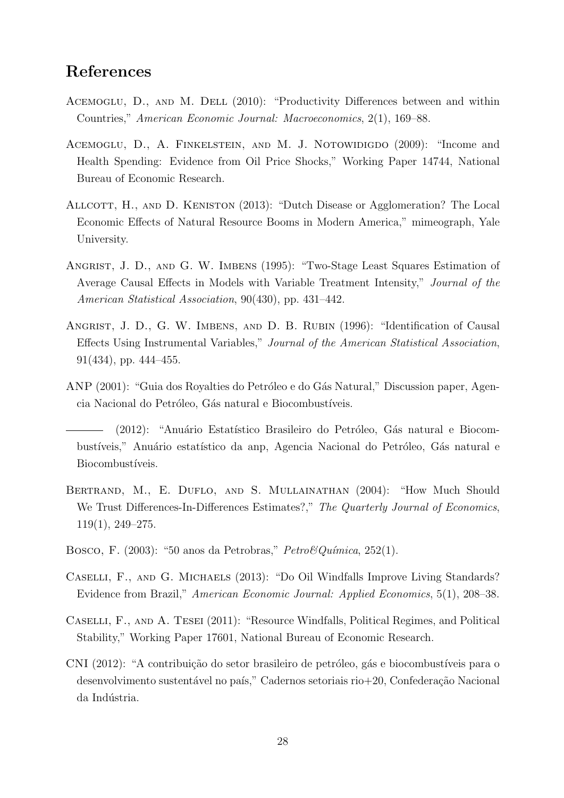# **References**

- ACEMOGLU, D., AND M. DELL (2010): "Productivity Differences between and within Countries," *American Economic Journal: Macroeconomics*, 2(1), 169–88.
- ACEMOGLU, D., A. FINKELSTEIN, AND M. J. NOTOWIDIGDO (2009): "Income and Health Spending: Evidence from Oil Price Shocks," Working Paper 14744, National Bureau of Economic Research.
- ALLCOTT, H., AND D. KENISTON (2013): "Dutch Disease or Agglomeration? The Local Economic Effects of Natural Resource Booms in Modern America," mimeograph, Yale University.
- ANGRIST, J. D., AND G. W. IMBENS (1995): "Two-Stage Least Squares Estimation of Average Causal Effects in Models with Variable Treatment Intensity," *Journal of the American Statistical Association*, 90(430), pp. 431–442.
- Angrist, J. D., G. W. Imbens, and D. B. Rubin (1996): "Identification of Causal Effects Using Instrumental Variables," *Journal of the American Statistical Association*, 91(434), pp. 444–455.
- ANP (2001): "Guia dos Royalties do Petróleo e do Gás Natural," Discussion paper, Agencia Nacional do Petróleo, Gás natural e Biocombustíveis.

(2012): "Anuário Estatístico Brasileiro do Petróleo, Gás natural e Biocombustíveis," Anuário estatístico da anp, Agencia Nacional do Petróleo, Gás natural e Biocombustíveis.

- BERTRAND, M., E. DUFLO, AND S. MULLAINATHAN (2004): "How Much Should We Trust Differences-In-Differences Estimates?," *The Quarterly Journal of Economics*, 119(1), 249–275.
- Bosco, F. (2003): "50 anos da Petrobras," *Petro&Qu´ımica*, 252(1).
- Caselli, F., and G. Michaels (2013): "Do Oil Windfalls Improve Living Standards? Evidence from Brazil," *American Economic Journal: Applied Economics*, 5(1), 208–38.
- Caselli, F., and A. Tesei (2011): "Resource Windfalls, Political Regimes, and Political Stability," Working Paper 17601, National Bureau of Economic Research.
- CNI (2012): "A contribuição do setor brasileiro de petróleo, gás e biocombustíveis para o desenvolvimento sustentável no país," Cadernos setoriais rio $+20$ , Confederação Nacional da Indústria.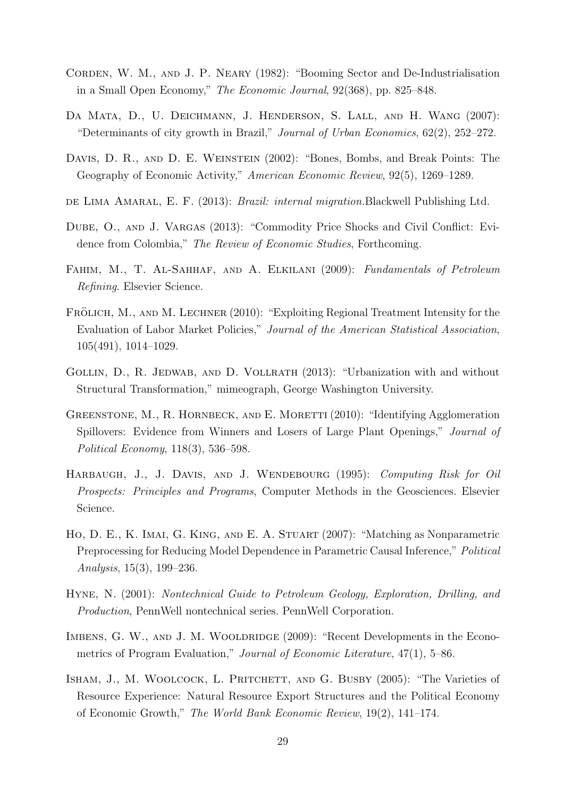- CORDEN, W. M., AND J. P. NEARY (1982): "Booming Sector and De-Industrialisation in a Small Open Economy," *The Economic Journal*, 92(368), pp. 825–848.
- DA MATA, D., U. DEICHMANN, J. HENDERSON, S. LALL, AND H. WANG (2007): "Determinants of city growth in Brazil," *Journal of Urban Economics*, 62(2), 252–272.
- Davis, D. R., and D. E. Weinstein (2002): "Bones, Bombs, and Break Points: The Geography of Economic Activity," *American Economic Review*, 92(5), 1269–1289.
- de Lima Amaral, E. F. (2013): *Brazil: internal migration.*Blackwell Publishing Ltd.
- DUBE, O., AND J. VARGAS (2013): "Commodity Price Shocks and Civil Conflict: Evidence from Colombia," *The Review of Economic Studies*, Forthcoming.
- Fahim, M., T. Al-Sahhaf, and A. Elkilani (2009): *Fundamentals of Petroleum Refining*. Elsevier Science.
- FRÖLICH, M., AND M. LECHNER (2010): "Exploiting Regional Treatment Intensity for the Evaluation of Labor Market Policies," *Journal of the American Statistical Association*, 105(491), 1014–1029.
- GOLLIN, D., R. JEDWAB, AND D. VOLLRATH (2013): "Urbanization with and without Structural Transformation," mimeograph, George Washington University.
- GREENSTONE, M., R. HORNBECK, AND E. MORETTI (2010): "Identifying Agglomeration Spillovers: Evidence from Winners and Losers of Large Plant Openings," *Journal of Political Economy*, 118(3), 536–598.
- Harbaugh, J., J. Davis, and J. Wendebourg (1995): *Computing Risk for Oil Prospects: Principles and Programs*, Computer Methods in the Geosciences. Elsevier Science.
- Ho, D. E., K. Imai, G. King, and E. A. Stuart (2007): "Matching as Nonparametric Preprocessing for Reducing Model Dependence in Parametric Causal Inference," *Political Analysis*, 15(3), 199–236.
- Hyne, N. (2001): *Nontechnical Guide to Petroleum Geology, Exploration, Drilling, and Production*, PennWell nontechnical series. PennWell Corporation.
- IMBENS, G. W., AND J. M. WOOLDRIDGE (2009): "Recent Developments in the Econometrics of Program Evaluation," *Journal of Economic Literature*, 47(1), 5–86.
- ISHAM, J., M. WOOLCOCK, L. PRITCHETT, AND G. BUSBY (2005): "The Varieties of Resource Experience: Natural Resource Export Structures and the Political Economy of Economic Growth," *The World Bank Economic Review*, 19(2), 141–174.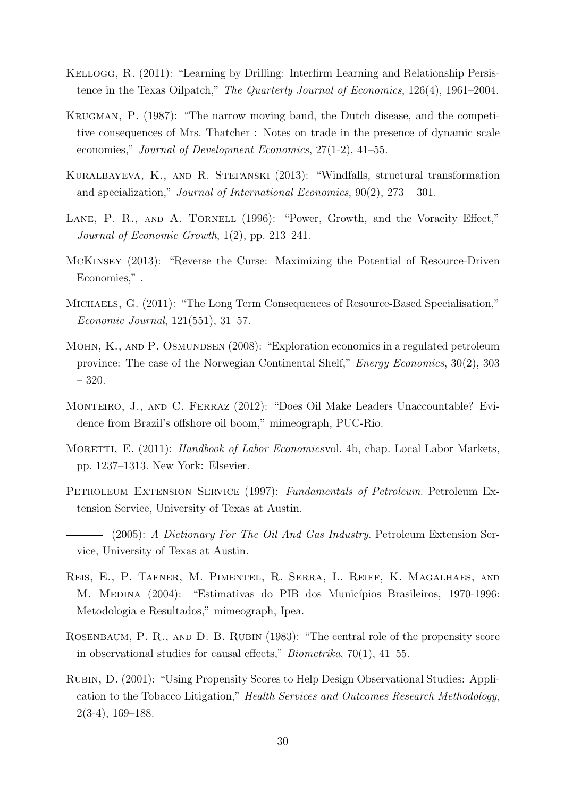- KELLOGG, R. (2011): "Learning by Drilling: Interfirm Learning and Relationship Persistence in the Texas Oilpatch," *The Quarterly Journal of Economics*, 126(4), 1961–2004.
- Krugman, P. (1987): "The narrow moving band, the Dutch disease, and the competitive consequences of Mrs. Thatcher : Notes on trade in the presence of dynamic scale economies," *Journal of Development Economics*, 27(1-2), 41–55.
- Kuralbayeva, K., and R. Stefanski (2013): "Windfalls, structural transformation and specialization," *Journal of International Economics*, 90(2), 273 – 301.
- LANE, P. R., AND A. TORNELL (1996): "Power, Growth, and the Voracity Effect," *Journal of Economic Growth*, 1(2), pp. 213–241.
- McKinsey (2013): "Reverse the Curse: Maximizing the Potential of Resource-Driven Economies," .
- MICHAELS, G. (2011): "The Long Term Consequences of Resource-Based Specialisation," *Economic Journal*, 121(551), 31–57.
- MOHN, K., AND P. OSMUNDSEN (2008): "Exploration economics in a regulated petroleum province: The case of the Norwegian Continental Shelf," *Energy Economics*, 30(2), 303 – 320.
- Monteiro, J., and C. Ferraz (2012): "Does Oil Make Leaders Unaccountable? Evidence from Brazil's offshore oil boom," mimeograph, PUC-Rio.
- Moretti, E. (2011): *Handbook of Labor Economics*vol. 4b, chap. Local Labor Markets, pp. 1237–1313. New York: Elsevier.
- Petroleum Extension Service (1997): *Fundamentals of Petroleum*. Petroleum Extension Service, University of Texas at Austin.
- (2005): *A Dictionary For The Oil And Gas Industry*. Petroleum Extension Service, University of Texas at Austin.
- Reis, E., P. Tafner, M. Pimentel, R. Serra, L. Reiff, K. Magalhaes, and M. MEDINA (2004): "Estimativas do PIB dos Municípios Brasileiros, 1970-1996: Metodologia e Resultados," mimeograph, Ipea.
- ROSENBAUM, P. R., AND D. B. RUBIN (1983): "The central role of the propensity score in observational studies for causal effects," *Biometrika*, 70(1), 41–55.
- Rubin, D. (2001): "Using Propensity Scores to Help Design Observational Studies: Application to the Tobacco Litigation," *Health Services and Outcomes Research Methodology*, 2(3-4), 169–188.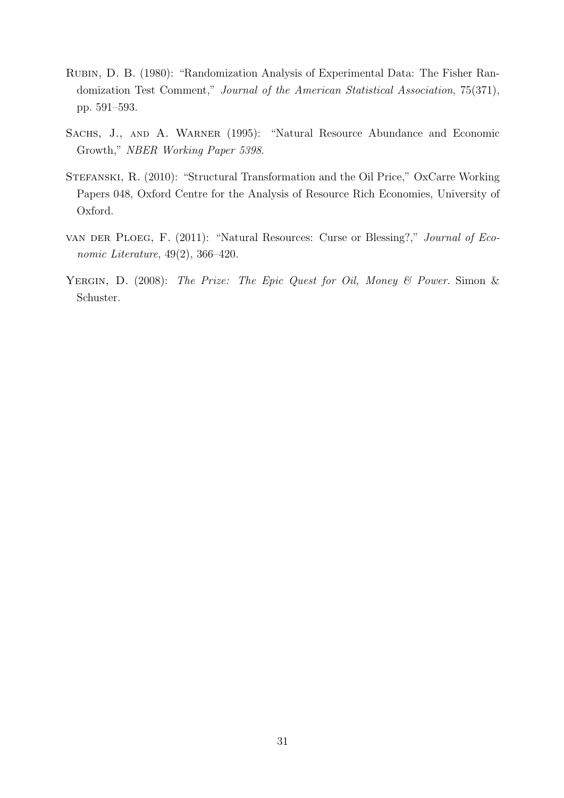- Rubin, D. B. (1980): "Randomization Analysis of Experimental Data: The Fisher Randomization Test Comment," *Journal of the American Statistical Association*, 75(371), pp. 591–593.
- SACHS, J., AND A. WARNER (1995): "Natural Resource Abundance and Economic Growth," *NBER Working Paper 5398*.
- Stefanski, R. (2010): "Structural Transformation and the Oil Price," OxCarre Working Papers 048, Oxford Centre for the Analysis of Resource Rich Economies, University of Oxford.
- van der Ploeg, F. (2011): "Natural Resources: Curse or Blessing?," *Journal of Economic Literature*, 49(2), 366–420.
- Yergin, D. (2008): *The Prize: The Epic Quest for Oil, Money & Power*. Simon & Schuster.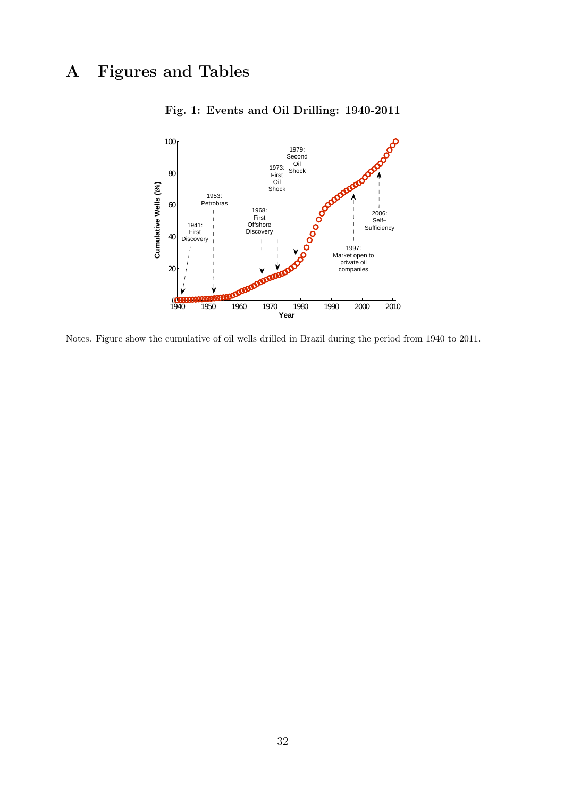# **A Figures and Tables**



**Fig. 1: Events and Oil Drilling: 1940-2011**

Notes. Figure show the cumulative of oil wells drilled in Brazil during the period from 1940 to 2011.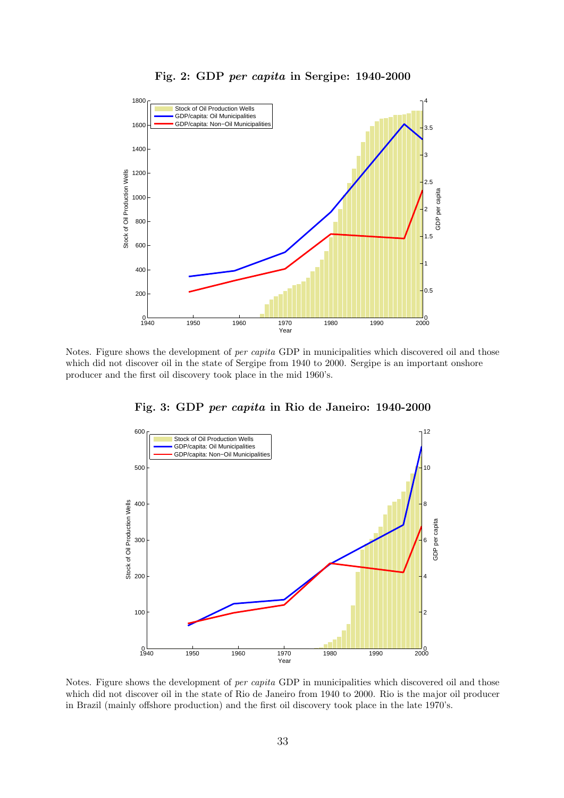



Notes. Figure shows the development of *per capita* GDP in municipalities which discovered oil and those which did not discover oil in the state of Sergipe from 1940 to 2000. Sergipe is an important onshore producer and the first oil discovery took place in the mid 1960's.



**Fig. 3: GDP** *per capita* **in Rio de Janeiro: 1940-2000**

Notes. Figure shows the development of *per capita* GDP in municipalities which discovered oil and those which did not discover oil in the state of Rio de Janeiro from 1940 to 2000. Rio is the major oil producer in Brazil (mainly offshore production) and the first oil discovery took place in the late 1970's.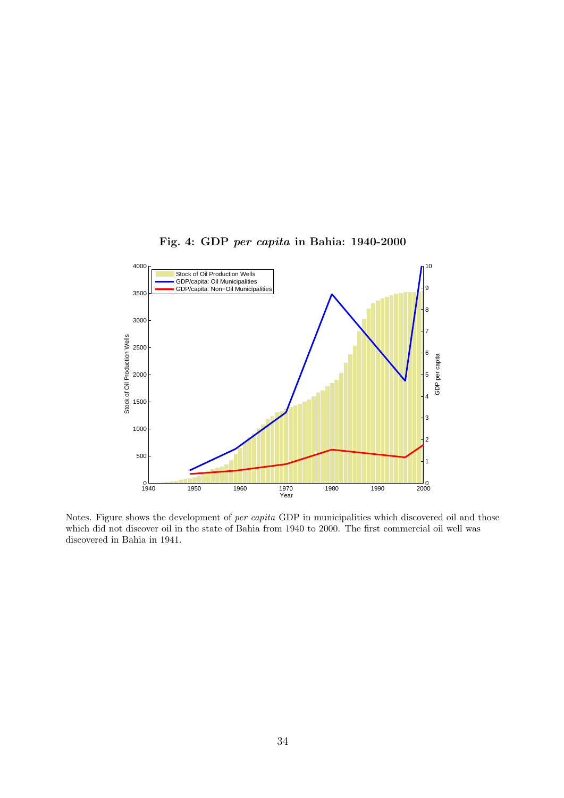

**Fig. 4: GDP** *per capita* **in Bahia: 1940-2000**

Notes. Figure shows the development of *per capita* GDP in municipalities which discovered oil and those which did not discover oil in the state of Bahia from 1940 to 2000. The first commercial oil well was discovered in Bahia in 1941.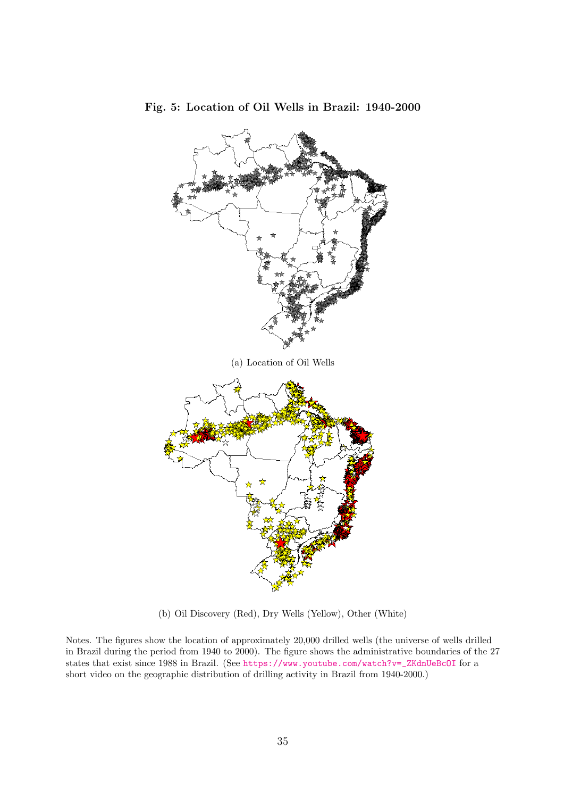![](_page_35_Figure_0.jpeg)

**Fig. 5: Location of Oil Wells in Brazil: 1940-2000**

(b) Oil Discovery (Red), Dry Wells (Yellow), Other (White)

Notes. The figures show the location of approximately 20,000 drilled wells (the universe of wells drilled in Brazil during the period from 1940 to 2000). The figure shows the administrative boundaries of the 27 states that exist since 1988 in Brazil. (See https://www.youtube.com/watch?v=\_ZKdnUeBcOI for a short video on the geographic distribution of drilling activity in Brazil from 1940-2000.)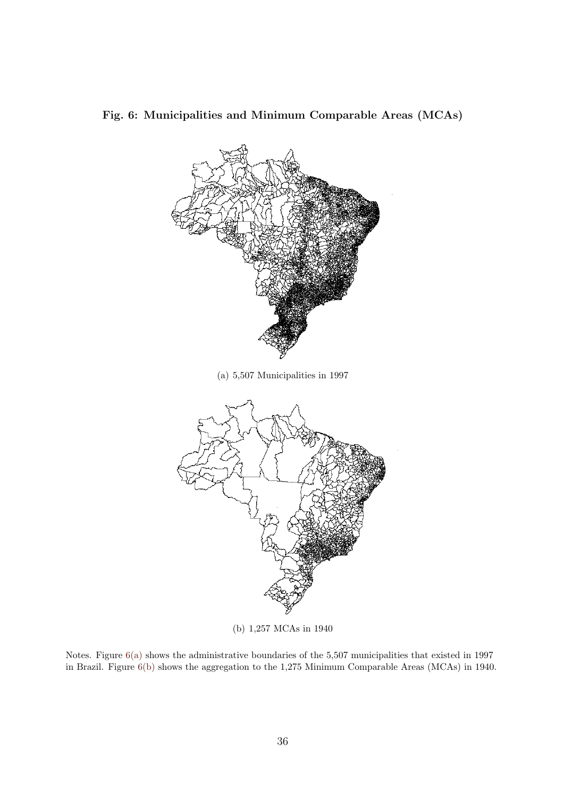![](_page_36_Figure_0.jpeg)

**Fig. 6: Municipalities and Minimum Comparable Areas (MCAs)**

(b) 1,257 MCAs in 1940

Notes. Figure 6(a) shows the administrative boundaries of the 5,507 municipalities that existed in 1997 in Brazil. Figure 6(b) shows the aggregation to the 1,275 Minimum Comparable Areas (MCAs) in 1940.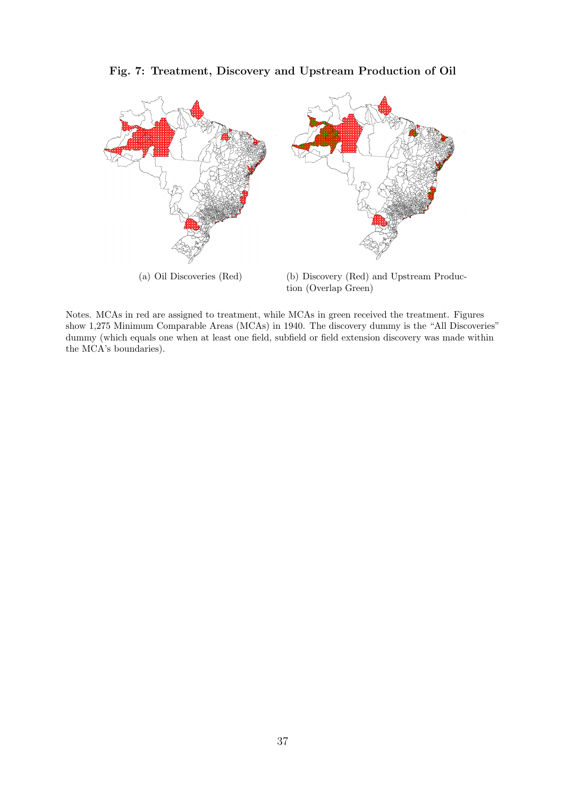**Fig. 7: Treatment, Discovery and Upstream Production of Oil**

![](_page_37_Figure_1.jpeg)

Notes. MCAs in red are assigned to treatment, while MCAs in green received the treatment. Figures show 1,275 Minimum Comparable Areas (MCAs) in 1940. The discovery dummy is the "All Discoveries" dummy (which equals one when at least one field, subfield or field extension discovery was made within the MCA's boundaries).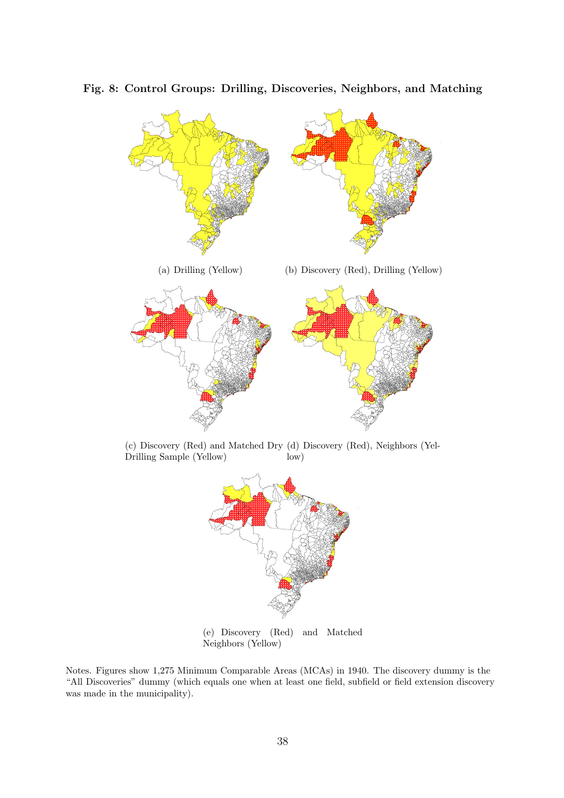![](_page_38_Figure_0.jpeg)

**Fig. 8: Control Groups: Drilling, Discoveries, Neighbors, and Matching**

(c) Discovery (Red) and Matched Dry (d) Discovery (Red), Neighbors (Yel-Drilling Sample (Yellow) low)

![](_page_38_Figure_3.jpeg)

(e) Discovery (Red) and Matched Neighbors (Yellow)

Notes. Figures show 1,275 Minimum Comparable Areas (MCAs) in 1940. The discovery dummy is the "All Discoveries" dummy (which equals one when at least one field, subfield or field extension discovery was made in the municipality).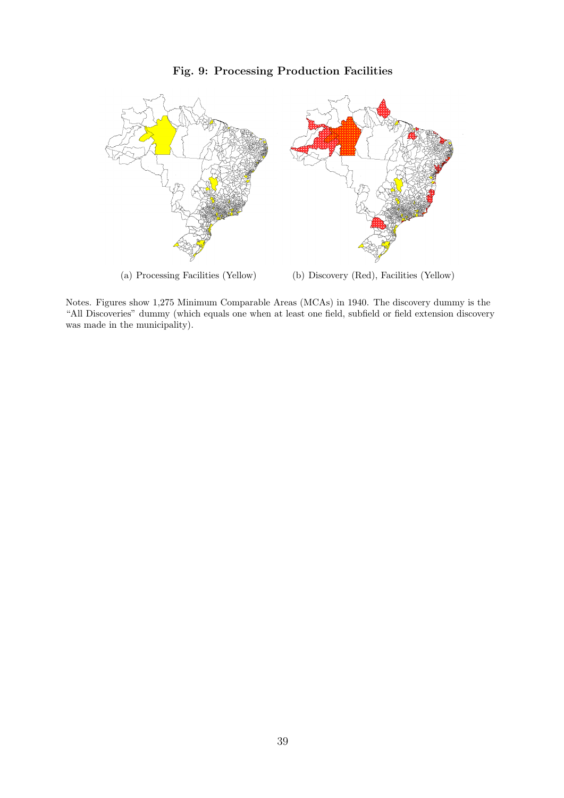## **Fig. 9: Processing Production Facilities**

![](_page_39_Figure_1.jpeg)

Notes. Figures show 1,275 Minimum Comparable Areas (MCAs) in 1940. The discovery dummy is the "All Discoveries" dummy (which equals one when at least one field, subfield or field extension discovery was made in the municipality).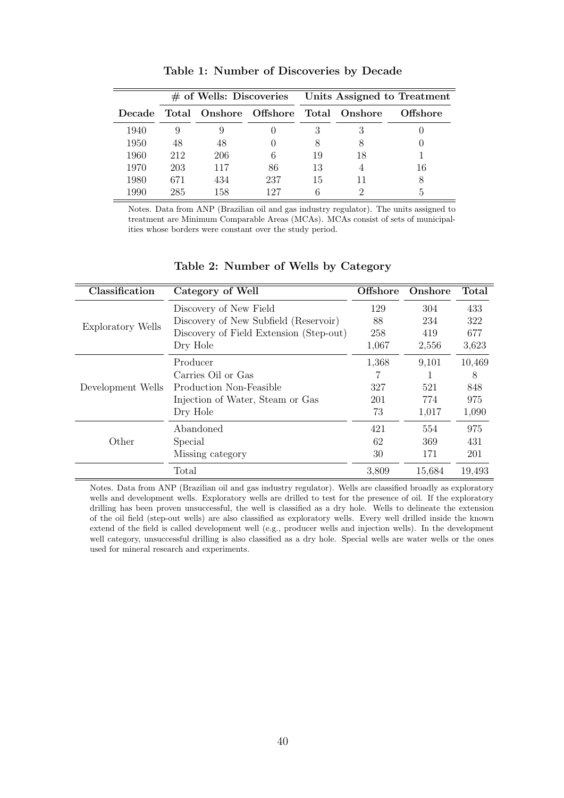|        |     |     |                                      |    |    | # of Wells: Discoveries Units Assigned to Treatment |
|--------|-----|-----|--------------------------------------|----|----|-----------------------------------------------------|
| Decade |     |     | Total Onshore Offshore Total Onshore |    |    | Offshore                                            |
| 1940   |     |     |                                      | З  |    |                                                     |
| 1950   | 48  | 48  |                                      |    |    |                                                     |
| 1960   | 212 | 206 | 6                                    | 19 | 18 |                                                     |
| 1970   | 203 | 117 | 86                                   | 13 |    | 16                                                  |
| 1980   | 671 | 434 | 237                                  | 15 | 11 |                                                     |
| 1990   | 285 | 158 | 197                                  | 6  |    |                                                     |

**Table 1: Number of Discoveries by Decade**

Notes. Data from ANP (Brazilian oil and gas industry regulator). The units assigned to treatment are Minimum Comparable Areas (MCAs). MCAs consist of sets of municipalities whose borders were constant over the study period.

| Classification    | Category of Well                        | <b>Offshore</b> | Onshore | Total  |
|-------------------|-----------------------------------------|-----------------|---------|--------|
|                   | Discovery of New Field                  | 129             | 304     | 433    |
|                   | Discovery of New Subfield (Reservoir)   | 88              | 234     | 322    |
| Exploratory Wells | Discovery of Field Extension (Step-out) | 258             | 419     | 677    |
|                   | Dry Hole                                | 1,067           | 2,556   | 3,623  |
|                   | Producer                                | 1,368           | 9,101   | 10,469 |
|                   | Carries Oil or Gas                      |                 |         | 8      |
| Development Wells | Production Non-Feasible                 | 327             | 521     | 848    |
|                   | Injection of Water, Steam or Gas        | 201             | 774     | 975    |
|                   | Dry Hole                                | 73              | 1,017   | 1,090  |
|                   | Abandoned                               | 421             | 554     | 975    |
| Other             | Special                                 | 62              | 369     | 431    |
|                   | Missing category                        | 30              | 171     | 201    |
|                   | Total                                   | 3,809           | 15,684  | 19,493 |

#### **Table 2: Number of Wells by Category**

Notes. Data from ANP (Brazilian oil and gas industry regulator). Wells are classified broadly as exploratory wells and development wells. Exploratory wells are drilled to test for the presence of oil. If the exploratory drilling has been proven unsuccessful, the well is classified as a dry hole. Wells to delineate the extension of the oil field (step-out wells) are also classified as exploratory wells. Every well drilled inside the known extend of the field is called development well (e.g., producer wells and injection wells). In the development well category, unsuccessful drilling is also classified as a dry hole. Special wells are water wells or the ones used for mineral research and experiments.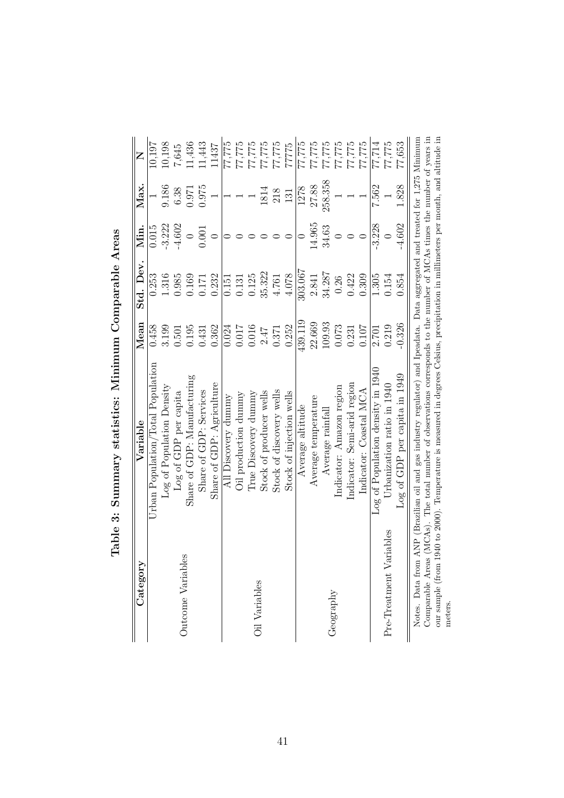| Category                                                   | Variable                                                                                                                                                                                                                                                                                                                                   | $\rm Mean$ | Std. Dev. | Min.     | Max.    | Z      |
|------------------------------------------------------------|--------------------------------------------------------------------------------------------------------------------------------------------------------------------------------------------------------------------------------------------------------------------------------------------------------------------------------------------|------------|-----------|----------|---------|--------|
|                                                            | Urban Population/Total Population                                                                                                                                                                                                                                                                                                          | 0.458      | 0.253     | 0.015    |         | 10,197 |
|                                                            | Log of Population Density                                                                                                                                                                                                                                                                                                                  | 3.199      | 1.316     | $-3.222$ | 9.186   | 10,198 |
|                                                            | Log of GDP per capita                                                                                                                                                                                                                                                                                                                      | 0.501      | 0.985     | $-4.602$ | 6.38    | 7,645  |
| Outcome Variables                                          | Share of GDP: Manufacturing                                                                                                                                                                                                                                                                                                                | 0.195      | 0.169     | $\circ$  | 1.971   | 11,436 |
|                                                            | Share of GDP: Services                                                                                                                                                                                                                                                                                                                     | 0.431      | 0.171     | 0.001    | 0.975   | 11,443 |
|                                                            | Share of GDP: Agriculture                                                                                                                                                                                                                                                                                                                  | 0.362      | 0.232     |          |         | 11437  |
|                                                            | All Discovery dummy                                                                                                                                                                                                                                                                                                                        | 0.024      | 0.151     |          |         | 77,775 |
|                                                            | Oil production dummy                                                                                                                                                                                                                                                                                                                       | 0.017      | 0.131     |          |         | 77,775 |
| Oil Variables                                              | True Discovery dummy                                                                                                                                                                                                                                                                                                                       | 0.016      | 0.125     |          |         | 77,775 |
|                                                            | Stock of producer wells                                                                                                                                                                                                                                                                                                                    | 2.47       | 35.322    |          | 1814    | 77,775 |
|                                                            | Stock of discovery wells                                                                                                                                                                                                                                                                                                                   | 0.371      | 4.761     |          | 218     | 77,775 |
|                                                            | Stock of injection wells                                                                                                                                                                                                                                                                                                                   | 0.252      | 4.078     |          | 131     | 7775   |
|                                                            | Average altitude                                                                                                                                                                                                                                                                                                                           | 439.119    | 303.067   |          | 1278    | 77,775 |
|                                                            | Average temperature                                                                                                                                                                                                                                                                                                                        | 22.669     | 2.841     | 14.965   | 27.88   | 77,775 |
|                                                            | Average rainfal                                                                                                                                                                                                                                                                                                                            | 109.93     | 34.287    | 34.63    | 258.358 | 77,775 |
| Geography                                                  | Indicator: Amazon region                                                                                                                                                                                                                                                                                                                   | 0.073      | 0.26      |          |         | 77,775 |
|                                                            | Indicator: Semi-arid region                                                                                                                                                                                                                                                                                                                | 0.231      | 0.422     |          |         | 77,775 |
|                                                            | Indicator: Coastal MCA                                                                                                                                                                                                                                                                                                                     | 0.107      | 0.309     |          |         | 77,775 |
|                                                            | Log of Population density in 1940                                                                                                                                                                                                                                                                                                          | 2.701      | 1.305     | $-3.228$ | 7.562   | 77,714 |
| Pre-Treatment Variables                                    | Urbanization ratio in 1940                                                                                                                                                                                                                                                                                                                 | 0.219      | 0.154     |          |         | 77,775 |
|                                                            | Log of GDP per capita in 1949                                                                                                                                                                                                                                                                                                              | $-0.326$   | 0.854     | $-4.602$ | 1.828   | 77,653 |
| Comparable Areas<br>Notes. Data from<br>our sample (from 1 | (MCAs). The total number of observations corresponds to the number of MCAs times the number of years in<br>940 to 2000). Temperature is measured in degrees Celsius, precipitation in millimeters per month, and altitude in<br>ANP (Brazilian oil and gas industry regulator) and Ipeadata. Data aggregated and treated for 1,275 Minimum |            |           |          |         |        |
| meters.                                                    |                                                                                                                                                                                                                                                                                                                                            |            |           |          |         |        |

Table 3: Summary statistics: Minimum Comparable Areas **Table 3: Summary statistics: Minimum Comparable Areas**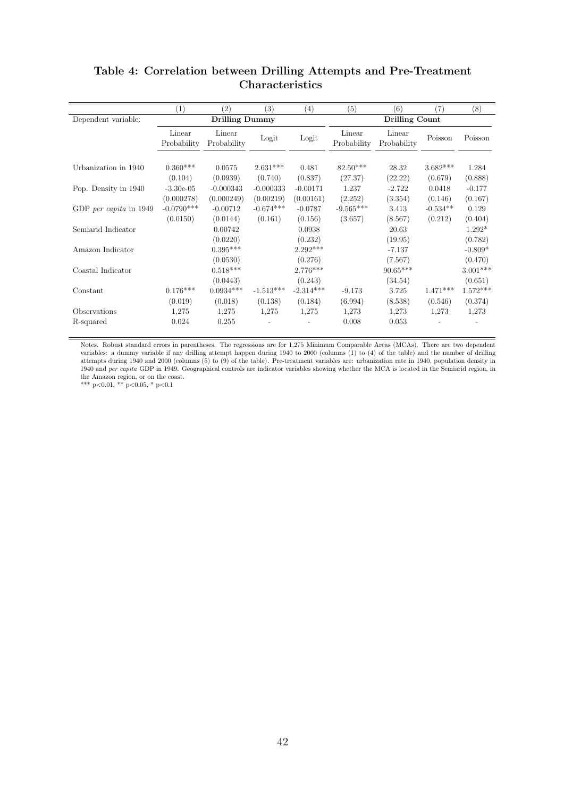|                       |                                                       |                                                                                            | $\left( 4\right)$                          | (5)                                                                         | (6)                                               | $\left( 7\right)$                                                                  | (8)                                      |
|-----------------------|-------------------------------------------------------|--------------------------------------------------------------------------------------------|--------------------------------------------|-----------------------------------------------------------------------------|---------------------------------------------------|------------------------------------------------------------------------------------|------------------------------------------|
|                       | <b>Drilling Dummy</b>                                 |                                                                                            |                                            |                                                                             | <b>Drilling Count</b>                             |                                                                                    |                                          |
| Linear<br>Probability | Linear<br>Probability                                 | Logit                                                                                      | Logit                                      | Linear<br>Probability                                                       | Linear<br>Probability                             | Poisson                                                                            | Poisson                                  |
| $0.360***$            | 0.0575                                                | $2.631***$                                                                                 | 0.481                                      | $82.50***$                                                                  | 28.32                                             | $3.682***$                                                                         | 1.284                                    |
| $-3.30e-0.5$          | $-0.000343$                                           | $-0.000333$                                                                                | $-0.00171$                                 | 1.237                                                                       | $-2.722$                                          | 0.0418                                                                             | (0.888)<br>$-0.177$                      |
| $-0.0790***$          | $-0.00712$                                            | $-0.674***$                                                                                | $-0.0787$                                  | $-9.565***$                                                                 | 3.413                                             | $-0.534**$                                                                         | (0.167)<br>0.129                         |
|                       | 0.00742                                               |                                                                                            | 0.0938                                     |                                                                             | 20.63                                             |                                                                                    | (0.404)<br>$1.292*$                      |
|                       | $0.395***$                                            |                                                                                            | $2.292***$                                 |                                                                             | $-7.137$                                          |                                                                                    | (0.782)<br>$-0.809*$                     |
|                       | $0.518***$                                            |                                                                                            | $2.776***$                                 |                                                                             | $90.65***$                                        |                                                                                    | (0.470)<br>$3.001***$                    |
| $0.176***$            | $0.0934***$                                           | $-1.513***$                                                                                | $-2.314***$                                | $-9.173$                                                                    | 3.725                                             | $1.471***$                                                                         | (0.651)<br>$1.572***$                    |
| 1,275                 | 1,275                                                 | 1,275                                                                                      | 1,275                                      | 1,273                                                                       | 1,273                                             | 1,273                                                                              | (0.374)<br>1,273                         |
|                       | (0.104)<br>(0.000278)<br>(0.0150)<br>(0.019)<br>0.024 | (0.0939)<br>(0.000249)<br>(0.0144)<br>(0.0220)<br>(0.0530)<br>(0.0443)<br>(0.018)<br>0.255 | (0.740)<br>(0.00219)<br>(0.161)<br>(0.138) | (0.837)<br>(0.00161)<br>(0.156)<br>(0.232)<br>(0.276)<br>(0.243)<br>(0.184) | (27.37)<br>(2.252)<br>(3.657)<br>(6.994)<br>0.008 | (22.22)<br>(3.354)<br>(8.567)<br>(19.95)<br>(7.567)<br>(34.54)<br>(8.538)<br>0.053 | (0.679)<br>(0.146)<br>(0.212)<br>(0.546) |

## **Table 4: Correlation between Drilling Attempts and Pre-Treatment Characteristics**

Notes. Robust standard errors in parentheses. The regressions are for 1,275 Minimum Comparable Areas (MCAs). There are two dependent variables: a dummy variable if any drilling attempt happen during 1940 to 2000 (columns (1) to (4) of the table) and the number of drilling attempts during 1940 and 2000 (columns (5) to (9) of the table). Pre-treatment variables are: urbanization rate in 1940, population density in 1940 and *per capita* GDP in 1949. Geographical controls are indicator variables showing whether the MCA is located in the Semiarid region, in the Amazon region, or on the coast.

\*\*\* p*<*0.01, \*\* p*<*0.05, \* p*<*0.1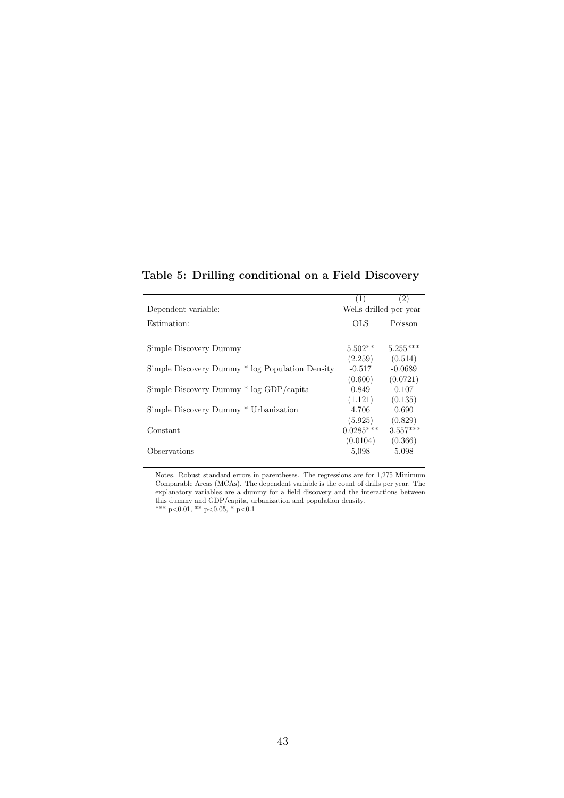|                                                 | $\left(1\right)$               | (2)                              |
|-------------------------------------------------|--------------------------------|----------------------------------|
| Dependent variable:                             |                                | Wells drilled per year           |
| Estimation:                                     | <b>OLS</b>                     | Poisson                          |
| Simple Discovery Dummy                          | $5.502**$                      | $5.255***$                       |
| Simple Discovery Dummy * log Population Density | (2.259)<br>$-0.517$<br>(0.600) | (0.514)<br>$-0.0689$<br>(0.0721) |
| Simple Discovery Dummy * log GDP/capita         | 0.849<br>(1.121)               | 0.107<br>(0.135)                 |
| Simple Discovery Dummy * Urbanization           | 4.706                          | 0.690                            |
| Constant                                        | (5.925)<br>$0.0285***$         | (0.829)<br>$-3.557***$           |
| Observations                                    | (0.0104)<br>5,098              | (0.366)<br>5,098                 |

**Table 5: Drilling conditional on a Field Discovery**

Notes. Robust standard errors in parentheses. The regressions are for 1,275 Minimum Comparable Areas (MCAs). The dependent variable is the count of drills per year. The explanatory variables are a dummy for a field discovery and the interactions between this dummy and GDP/capita, urbanization and population density. \*\*\* p*<*0.01, \*\* p*<*0.05, \* p*<*0.1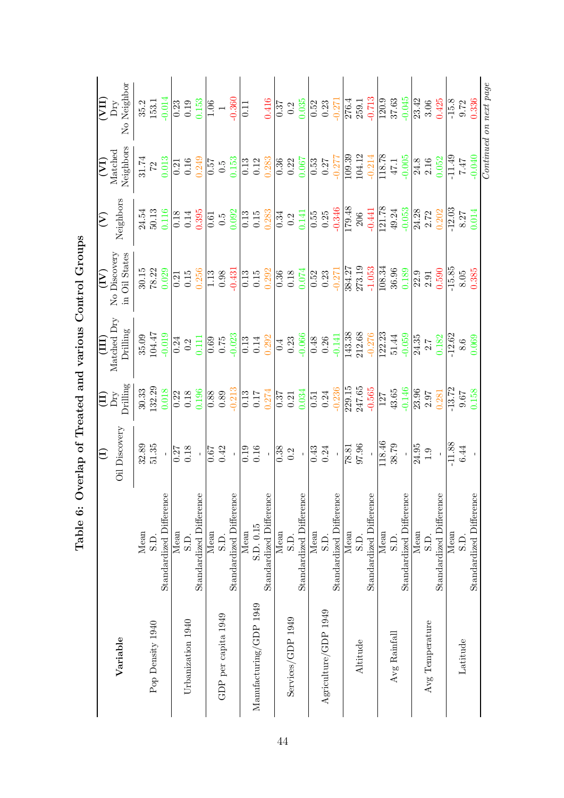|                        |                         | $\bigoplus$                                         | $\Xi$                                                                                                                                                                                                                                                                        | $\frac{1}{2}$                                                                           | $\sum$                                                                                          | $\sum$                                                                                                                                                                 |                                                                       |                                                    |
|------------------------|-------------------------|-----------------------------------------------------|------------------------------------------------------------------------------------------------------------------------------------------------------------------------------------------------------------------------------------------------------------------------------|-----------------------------------------------------------------------------------------|-------------------------------------------------------------------------------------------------|------------------------------------------------------------------------------------------------------------------------------------------------------------------------|-----------------------------------------------------------------------|----------------------------------------------------|
|                        |                         |                                                     | $\rm{Dry}$                                                                                                                                                                                                                                                                   | Matched Dry                                                                             | No Discovery                                                                                    |                                                                                                                                                                        |                                                                       | $\frac{\overline{\text{VII}}}{\text{Dry}}$         |
| Variable               |                         | Oil Discovery                                       | Drilling                                                                                                                                                                                                                                                                     | Drilling                                                                                | in Oil States                                                                                   | Neighbors                                                                                                                                                              | (VI)<br>Matched<br>Neighbors                                          | No Neighbor                                        |
|                        | Mean                    |                                                     |                                                                                                                                                                                                                                                                              |                                                                                         |                                                                                                 |                                                                                                                                                                        |                                                                       |                                                    |
| Pop Density 1940       | S.D.                    | $32.89$<br>$51.35$                                  | $30.33$<br>$132.29$                                                                                                                                                                                                                                                          | $35.09$<br>$104.47$                                                                     | $\begin{array}{c} 30.15 \\ 78.22 \\ 0.029 \end{array}$                                          | $24.54$<br>$50.13$<br>$0.116$                                                                                                                                          |                                                                       | $\begin{array}{c} 35.2 \\ 153.1 \end{array}$       |
|                        | Standardized Difference |                                                     | 0.018                                                                                                                                                                                                                                                                        | $\begin{array}{r} -0.019 \\ \hline 0.24 \\ 0.111 \\ \end{array}$                        |                                                                                                 |                                                                                                                                                                        | $\begin{array}{c} 31.74 \\ 72 \\ 0.013 \\ \hline 0.21 \\ \end{array}$ | $-0.014$                                           |
|                        | Mean                    | $\frac{0.27}{0.18}$                                 | $\begin{array}{c} 0.22 \\ 0.18 \end{array}$                                                                                                                                                                                                                                  |                                                                                         | $\overline{0.21}$<br>$0.15$                                                                     | $\frac{0.18}{0.14}$                                                                                                                                                    |                                                                       | $\frac{0.23}{0.153}$                               |
| Urbanization 1940      | S.D.                    |                                                     |                                                                                                                                                                                                                                                                              |                                                                                         |                                                                                                 |                                                                                                                                                                        |                                                                       |                                                    |
|                        | Standardized Difference |                                                     | 0.196                                                                                                                                                                                                                                                                        |                                                                                         | 0.256                                                                                           | 0.395                                                                                                                                                                  | 0.249                                                                 |                                                    |
|                        | Mean                    | $\frac{1}{0.67}$                                    |                                                                                                                                                                                                                                                                              |                                                                                         |                                                                                                 |                                                                                                                                                                        |                                                                       |                                                    |
| GDP per capita 1949    | S.D.                    |                                                     | $\begin{array}{c} 0.88 \\ 0.89 \\ -0.213 \end{array}$                                                                                                                                                                                                                        |                                                                                         | $\begin{array}{c} 1.13 \\ 0.98 \\ -0.431 \end{array}$                                           |                                                                                                                                                                        |                                                                       |                                                    |
|                        | Standardized Difference |                                                     |                                                                                                                                                                                                                                                                              | $\begin{array}{c} 0.69 \\ 0.75 \\ -0.023 \end{array}$                                   |                                                                                                 |                                                                                                                                                                        | $\frac{57}{0.5}$<br>0.5<br>0.153                                      | $\begin{array}{c} 1.06 \\ 1 \\ -0.360 \end{array}$ |
|                        | Mean                    |                                                     |                                                                                                                                                                                                                                                                              |                                                                                         |                                                                                                 |                                                                                                                                                                        |                                                                       | $\overline{0.11}$                                  |
| Manufacturing/GDP 1949 | S.D. 0.15               |                                                     |                                                                                                                                                                                                                                                                              |                                                                                         |                                                                                                 |                                                                                                                                                                        |                                                                       |                                                    |
|                        | Standardized Difference | $\begin{array}{c} 0.19 \\ 0.16 \\ 0.38 \end{array}$ |                                                                                                                                                                                                                                                                              |                                                                                         |                                                                                                 |                                                                                                                                                                        |                                                                       | $\frac{0.416}{0.37} \\ 0.2 \\ 0.035$               |
|                        | Mean                    |                                                     |                                                                                                                                                                                                                                                                              |                                                                                         |                                                                                                 |                                                                                                                                                                        |                                                                       |                                                    |
| Services/GDP 1949      | S.D.                    |                                                     |                                                                                                                                                                                                                                                                              |                                                                                         |                                                                                                 |                                                                                                                                                                        |                                                                       |                                                    |
|                        | Standardized Difference | $\bar{1}$                                           | $\begin{array}{r rrrr} 0.13 & 0.17 & 0.17 & 0.17 & 0.17 & 0.17 & 0.13 & 0.13 & 0.13 & 0.13 & 0.13 & 0.13 & 0.13 & 0.13 & 0.13 & 0.14 & 0.14 & 0.14 & 0.14 & 0.14 & 0.14 & 0.14 & 0.14 & 0.14 & 0.14 & 0.14 & 0.14 & 0.14 & 0.14 & 0.14 & 0.14 & 0.14 & 0.14 & 0.14 & 0.14 &$ | $\begin{array}{r l} \hline 113 \\ 0.14 \\ 0.292 \\ 0.393 \\ 0.33 \\ \hline \end{array}$ | $\begin{array}{r} 0.13 \\ 0.15 \\ 0.292 \\ 0.36 \\ 0.18 \\ 0.018 \end{array}$                   | $\begin{array}{c c c c c} \hline 0.61 & 0.5 & 0.000 \\ 0.5 & 0.000 & 0.13 & 0.000 \\ 0.13 & 0.28 & 0.2 & 0.000 \\ 0.000 & 0.000 & 0.000 & 0.000 \\ \hline \end{array}$ |                                                                       |                                                    |
|                        | Mean                    |                                                     |                                                                                                                                                                                                                                                                              |                                                                                         |                                                                                                 |                                                                                                                                                                        |                                                                       |                                                    |
| Agriculture/GDP 1949   | S.D.                    | $\frac{43}{0.24}$                                   |                                                                                                                                                                                                                                                                              |                                                                                         |                                                                                                 |                                                                                                                                                                        |                                                                       |                                                    |
|                        | Standardized Difference |                                                     |                                                                                                                                                                                                                                                                              |                                                                                         | $\begin{array}{c c} 0.52 \\ 0.23 \\ \hline 0.271 \\ \hline 884.27 \\ \hline 384.27 \end{array}$ |                                                                                                                                                                        |                                                                       | $\frac{0.52}{0.23}$ $\frac{-0.271}{276.4}$         |
|                        | Mean                    |                                                     |                                                                                                                                                                                                                                                                              |                                                                                         |                                                                                                 |                                                                                                                                                                        |                                                                       |                                                    |
| Altitude               | S.D.                    | $\frac{18.81}{18.36}$                               |                                                                                                                                                                                                                                                                              | <b>143.38</b><br>212.68                                                                 |                                                                                                 |                                                                                                                                                                        |                                                                       |                                                    |
|                        | Standardized Difference |                                                     |                                                                                                                                                                                                                                                                              | $-0.276$                                                                                | $-1.053$                                                                                        | $-0.441$                                                                                                                                                               |                                                                       | $-0.713$                                           |
|                        | Mean                    | $\frac{118.46}{38.79}$                              |                                                                                                                                                                                                                                                                              | 122.23                                                                                  | 108.34                                                                                          | $\frac{121.78}{49.24}$                                                                                                                                                 | 118.78                                                                | $\frac{120.9}{37.63}$                              |
| Avg Rainfall           | S.D.                    |                                                     |                                                                                                                                                                                                                                                                              | $51.44\,$                                                                               | 36.96                                                                                           |                                                                                                                                                                        | 47.1                                                                  |                                                    |
|                        | Standardized Difference |                                                     |                                                                                                                                                                                                                                                                              | $-0.059$                                                                                | 0.189                                                                                           | $-0.053$                                                                                                                                                               | $-0.005$                                                              | $-0.045$                                           |
|                        | Mean                    | $\frac{24.95}{1.9}$                                 |                                                                                                                                                                                                                                                                              | $\frac{24.35}{2.7}$                                                                     | $\frac{22.9}{2.91}$                                                                             |                                                                                                                                                                        | $\frac{24.8}{2.16}$                                                   |                                                    |
| Avg Temperature        | $\overline{S}$ .<br>D   |                                                     |                                                                                                                                                                                                                                                                              |                                                                                         |                                                                                                 |                                                                                                                                                                        |                                                                       |                                                    |
|                        | Standardized Difference | $\bar{\Gamma}$                                      | $\frac{23.96}{2.97}$                                                                                                                                                                                                                                                         | 0.182                                                                                   |                                                                                                 | $\frac{24.28}{2.72}$                                                                                                                                                   |                                                                       | $\frac{23.42}{3.06}$                               |
|                        | Mean                    | $-11.88$                                            | $-13.72$                                                                                                                                                                                                                                                                     | $\frac{12.62}{8.6}$                                                                     | $-15.85$                                                                                        | $-12.03$                                                                                                                                                               | $-11.49$                                                              | $-15.8$<br>9.72                                    |
| Latitude               | S.D.                    | 6.44                                                | 9.67<br>0.158                                                                                                                                                                                                                                                                |                                                                                         | $8.05\,$                                                                                        | $8.27$<br>$0.014$                                                                                                                                                      | $\sqrt{17}$ $\sqrt{2}$                                                |                                                    |
|                        | Standardized Difference |                                                     |                                                                                                                                                                                                                                                                              | 0.069                                                                                   | 0.385                                                                                           |                                                                                                                                                                        | $-0.040$                                                              | 0.336                                              |
|                        |                         |                                                     |                                                                                                                                                                                                                                                                              |                                                                                         |                                                                                                 |                                                                                                                                                                        |                                                                       | Continued on next page                             |

Table 6: Overlap of Treated and various Control Groups **Table 6: Overlap of Treated and various Control Groups**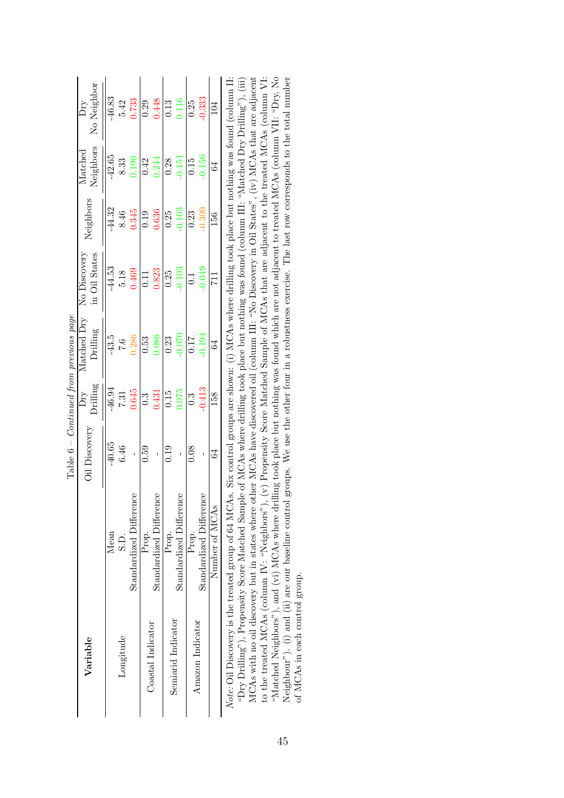|                    |                                                                                                                                                         |               |                  | Table $6$ – Continued from previous page |                               |           |                            |                    |
|--------------------|---------------------------------------------------------------------------------------------------------------------------------------------------------|---------------|------------------|------------------------------------------|-------------------------------|-----------|----------------------------|--------------------|
| Variable           |                                                                                                                                                         | Oil Discovery | Drilling<br>Dry  | Matched Dry<br>Drilling                  | No Discovery<br>in Oil States | Neighbors | Neighbors<br>$\rm Matched$ | No Neighbor<br>Dту |
|                    | Mean                                                                                                                                                    | $-40.65$      | $-46.94$         | $-43.5$                                  | $-44.53$                      | $-44.32$  | $-42.65$                   | $-46.83$           |
| Longitude          | S.D.                                                                                                                                                    | 6.46          | 7.31             | 7.6                                      |                               | $8.46\,$  | 8.33                       | 5.42               |
|                    | Standardized Difference                                                                                                                                 | ï             | 0.645            | 0.286                                    | 5.18<br>0.469                 | 0.345     | 0.190                      | 0.733              |
|                    | Prop.                                                                                                                                                   | 0.59          | $0.\overline{3}$ | 0.53                                     | 0.11                          | 0.19      | 0.42                       | 0.29               |
| Coastal Indicator  | Standardized Difference                                                                                                                                 |               | 0.431            | 0.086                                    | 0.823                         | 0.636     | 0.244                      | 0.448              |
|                    | Prop.                                                                                                                                                   | 0.19          | 0.15             | 0.23                                     | 0.25                          | 0.25      | 0.28                       | 0.13               |
| Semiarid Indicator | Standardized Difference                                                                                                                                 |               | 0.075            | $-0.070$                                 | $-0.103$                      | $-0.103$  | $-0.151$                   | 0.116              |
|                    | Prop.                                                                                                                                                   | 0.08          | $\ddot{0}$ .     | <b>117</b>                               | $\vec{0}$                     | 0.23      | 0.15                       | 0.25               |
| Amazon Indicator   | Standardized Difference                                                                                                                                 |               | $-0.413$         | $-0.194$                                 | $-0.049$                      | $-0.300$  | $-0.156$                   | $-0.333$           |
|                    | Number of MCAs                                                                                                                                          | 64            | 158              | $\mathfrak{g}$                           | $\overline{11}$               | 156       | 64                         | 104                |
|                    | Note: Oil Discovery is the treated group of 64 MCAs. Six control groups are shown: (i) MCAs where drilling took place but nothing was found (column II: |               |                  |                                          |                               |           |                            |                    |

MCAs with no oil discovery but in states where other MCAs have discovered oil (column III: "No Discovery in Oil States", (iv) MCAs that are adjacent to the treated MCAs (column IV: "Neighbors"), (v) Propensity Score Matched Sample of MCAs that are adjacent to the treated MCAs (column VI: "Matched Neighbors"), and (vi) MCAs where drilling took place but nothing was found which are not adjacent to treated MCAs (column VII: "Dry, No Neighbour"). (i) and (ii) are our baseline control groups. We use the other four in a robustness exercise. The last row corresponds to the total number  $\mathcal{L}_{\text{Try}}$  Drilling"), Propensity Score Matched Sample of MCAs where drilling took place but nothing was found (column III: "Matched Dry Drilling"), (iii) *Note:* Oil Discovery is the treated group of 64 MCAs. Six control groups are shown: (i) MCAs where drilling took place but nothing was found (column II: "Dry Drilling"), Propensity Score Matched Sample of MCAs where drilling took place but nothing was found (column III: "Matched Dry Drilling"), (iii) MCAs with no oil discovery but in states where other MCAs have discovered oil (column III: "No Discovery in Oil States", (iv) MCAs that are adjacent to the treated MCAs (column IV: "Neighbors"), (v) Propensity Score Matched Sample of MCAs that are adjacent to the treated MCAs (column VI: "Matched Neighbors"), and (vi) MCAs where drilling took place but nothing was found which are not adjacent to treated MCAs (column VII: "Dry, No Neighbour"). (i) and (ii) are our baseline control groups. We use the other four in a robustness exercise. The last row corresponds to the total number of MCAs in each control group. of MCAs in each control group.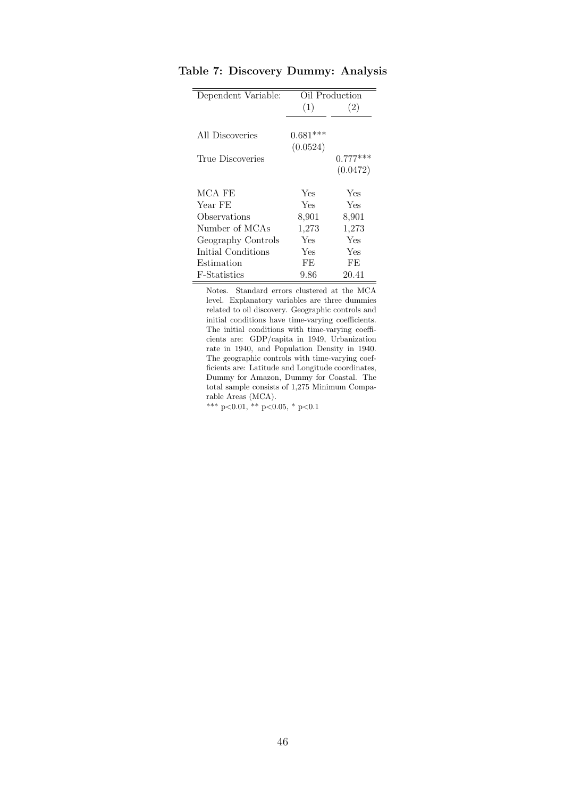| Dependent Variable:  |            | Oil Production |
|----------------------|------------|----------------|
|                      | (1)        | (2)            |
|                      |            |                |
| All Discoveries      | $0.681***$ |                |
|                      | (0.0524)   |                |
| True Discoveries     |            | $0.777***$     |
|                      |            | (0.0472)       |
| MCA FE               | Yes        | Yes            |
| Year FE              | Yes        | Yes            |
| Observations         | 8,901      | 8,901          |
| Number of MCAs       | 1,273      | 1,273          |
| Geography Controls   | Yes        | Yes            |
| Initial Conditions   | Yes        | Yes            |
| Estimation           | FF         | FF.            |
| <b>F</b> -Statistics | 9.86       | 20.41          |

**Table 7: Discovery Dummy: Analysis**

Notes. Standard errors clustered at the MCA level. Explanatory variables are three dummies related to oil discovery. Geographic controls and initial conditions have time-varying coefficients. The initial conditions with time-varying coefficients are: GDP/capita in 1949, Urbanization rate in 1940, and Population Density in 1940. The geographic controls with time-varying coefficients are: Latitude and Longitude coordinates, Dummy for Amazon, Dummy for Coastal. The total sample consists of 1,275 Minimum Comparable Areas (MCA).

\*\*\* p*<*0.01, \*\* p*<*0.05, \* p*<*0.1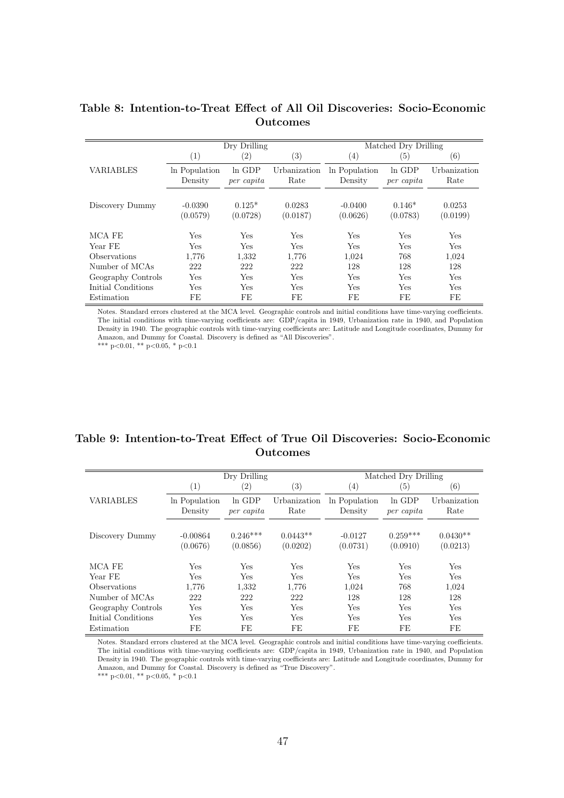|                    |                          | Dry Drilling           |                      |                          | Matched Dry Drilling   |                      |
|--------------------|--------------------------|------------------------|----------------------|--------------------------|------------------------|----------------------|
|                    | (1)                      | $\left( 2\right)$      | $\left( 3\right)$    | $\left(4\right)$         | (5)                    | (6)                  |
| <b>VARIABLES</b>   | In Population<br>Density | $ln$ GDP<br>per capita | Urbanization<br>Rate | In Population<br>Density | $ln$ GDP<br>per capita | Urbanization<br>Rate |
| Discovery Dummy    | $-0.0390$<br>(0.0579)    | $0.125*$<br>(0.0728)   | 0.0283<br>(0.0187)   | $-0.0400$<br>(0.0626)    | $0.146*$<br>(0.0783)   | 0.0253<br>(0.0199)   |
| MCA FE             | Yes                      | Yes                    | Yes                  | Yes                      | Yes                    | Yes                  |
| Year FE            | Yes                      | Yes                    | <b>Yes</b>           | <b>Yes</b>               | Yes                    | Yes                  |
| Observations       | 1.776                    | 1,332                  | 1,776                | 1,024                    | 768                    | 1,024                |
| Number of MCAs     | 222                      | 222                    | 222                  | 128                      | 128                    | 128                  |
| Geography Controls | Yes                      | Yes                    | Yes                  | Yes                      | Yes                    | Yes                  |
| Initial Conditions | Yes                      | Yes                    | Yes                  | Yes                      | Yes                    | Yes                  |
| Estimation         | FE                       | FE                     | FE                   | FE                       | FE                     | FE                   |

### **Table 8: Intention-to-Treat Effect of All Oil Discoveries: Socio-Economic Outcomes**

Notes. Standard errors clustered at the MCA level. Geographic controls and initial conditions have time-varying coefficients. The initial conditions with time-varying coefficients are: GDP/capita in 1949, Urbanization rate in 1940, and Population Density in 1940. The geographic controls with time-varying coefficients are: Latitude and Longitude coordinates, Dummy for Amazon, and Dummy for Coastal. Discovery is defined as "All Discoveries".

\*\*\* p*<*0.01, \*\* p*<*0.05, \* p*<*0.1

## **Table 9: Intention-to-Treat Effect of True Oil Discoveries: Socio-Economic Outcomes**

|                    |                          | Dry Drilling           |                        |                          | Matched Dry Drilling   |                        |
|--------------------|--------------------------|------------------------|------------------------|--------------------------|------------------------|------------------------|
|                    | $\left(1\right)$         | $\left( 2\right)$      | (3)                    | $\left( 4\right)$        | $\left( 5\right)$      | (6)                    |
| <b>VARIABLES</b>   | In Population<br>Density | $ln$ GDP<br>per capita | Urbanization<br>Rate   | In Population<br>Density | $ln$ GDP<br>per capita | Urbanization<br>Rate   |
| Discovery Dummy    | $-0.00864$<br>(0.0676)   | $0.246***$<br>(0.0856) | $0.0443**$<br>(0.0202) | $-0.0127$<br>(0.0731)    | $0.259***$<br>(0.0910) | $0.0430**$<br>(0.0213) |
| MCA FE             | Yes                      | Yes                    | Yes                    | <b>Yes</b>               | Yes                    | Yes                    |
| Year FE            | Yes                      | Yes                    | Yes                    | Yes                      | Yes                    | Yes                    |
| Observations       | 1,776                    | 1,332                  | 1,776                  | 1,024                    | 768                    | 1,024                  |
| Number of MCAs     | 222                      | 222                    | 222                    | 128                      | 128                    | 128                    |
| Geography Controls | Yes                      | Yes                    | Yes                    | Yes                      | Yes                    | Yes                    |
| Initial Conditions | Yes                      | Yes                    | Yes                    | Yes                      | Yes                    | Yes                    |
| Estimation         | FE                       | FE                     | FE                     | FE                       | FE                     | FE                     |

Notes. Standard errors clustered at the MCA level. Geographic controls and initial conditions have time-varying coefficients. The initial conditions with time-varying coefficients are: GDP/capita in 1949, Urbanization rate in 1940, and Population Density in 1940. The geographic controls with time-varying coefficients are: Latitude and Longitude coordinates, Dummy for Amazon, and Dummy for Coastal. Discovery is defined as "True Discovery". \*\*\* p*<*0.01, \*\* p*<*0.05, \* p*<*0.1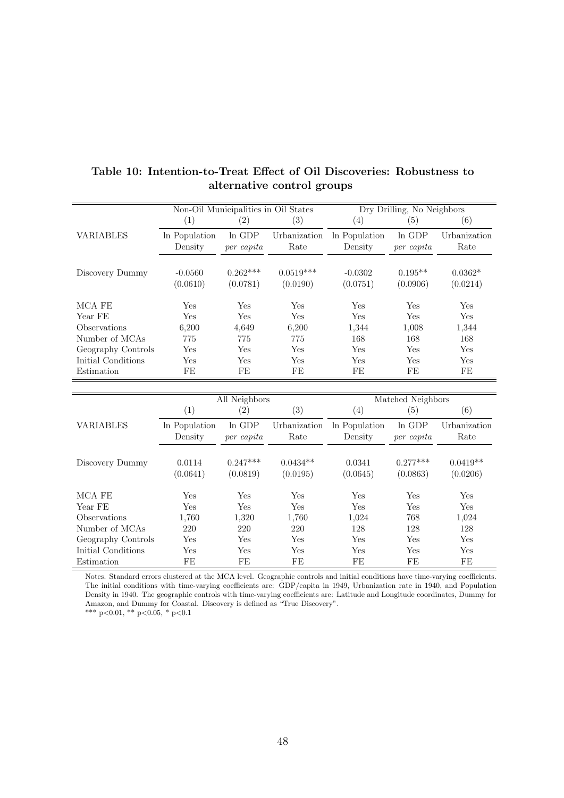|                    | Non-Oil Municipalities in Oil States |                        |                         |                          | Dry Drilling, No Neighbors |                       |
|--------------------|--------------------------------------|------------------------|-------------------------|--------------------------|----------------------------|-----------------------|
|                    | (1)                                  | $\left( 2\right)$      | $\left( 3\right)$       | $\left( 4\right)$        | (5)                        | (6)                   |
| <b>VARIABLES</b>   | In Population<br>Density             | $ln$ GDP<br>per capita | Urbanization<br>Rate    | In Population<br>Density | ln GDP<br>per capita       | Urbanization<br>Rate  |
| Discovery Dummy    | $-0.0560$<br>(0.0610)                | $0.262***$<br>(0.0781) | $0.0519***$<br>(0.0190) | $-0.0302$<br>(0.0751)    | $0.195**$<br>(0.0906)      | $0.0362*$<br>(0.0214) |
| MCA FE             | Yes                                  | Yes                    | Yes                     | Yes                      | Yes                        | Yes                   |
| Year FE            | Yes                                  | Yes                    | <b>Yes</b>              | Yes                      | Yes                        | Yes                   |
| Observations       | 6,200                                | 4,649                  | 6,200                   | 1,344                    | 1,008                      | 1,344                 |
| Number of MCAs     | 775                                  | 775                    | 775                     | 168                      | 168                        | 168                   |
| Geography Controls | Yes                                  | Yes                    | Yes                     | Yes                      | Yes                        | Yes                   |
| Initial Conditions | Yes                                  | Yes                    | Yes                     | Yes                      | Yes                        | Yes                   |
| Estimation         | FE                                   | FE                     | FE                      | FE                       | FE                         | FE                    |

## **Table 10: Intention-to-Treat Effect of Oil Discoveries: Robustness to alternative control groups**

|                    |                          | All Neighbors          |                        |                          | Matched Neighbors      |                        |
|--------------------|--------------------------|------------------------|------------------------|--------------------------|------------------------|------------------------|
|                    | (1)                      | $\left( 2\right)$      | (3)                    | $\left(4\right)$         | $\left( 5\right)$      | (6)                    |
| <b>VARIABLES</b>   | In Population<br>Density | ln GDP<br>per capita   | Urbanization<br>Rate   | In Population<br>Density | ln GDP<br>per capita   | Urbanization<br>Rate   |
| Discovery Dummy    | 0.0114<br>(0.0641)       | $0.247***$<br>(0.0819) | $0.0434**$<br>(0.0195) | 0.0341<br>(0.0645)       | $0.277***$<br>(0.0863) | $0.0419**$<br>(0.0206) |
| MCA FE             | <b>Yes</b>               | Yes                    | Yes                    | Yes                      | Yes                    | Yes                    |
| Year FE            | Yes                      | Yes                    | Yes                    | Yes                      | Yes                    | Yes                    |
| Observations       | 1,760                    | 1,320                  | 1,760                  | 1,024                    | 768                    | 1,024                  |
| Number of MCAs     | 220                      | 220                    | 220                    | 128                      | 128                    | 128                    |
| Geography Controls | Yes                      | Yes                    | Yes                    | Yes                      | Yes                    | Yes                    |
| Initial Conditions | Yes                      | Yes                    | Yes                    | Yes                      | Yes                    | <b>Yes</b>             |
| Estimation         | FE                       | FE                     | FE                     | FE                       | FE                     | FE                     |

Notes. Standard errors clustered at the MCA level. Geographic controls and initial conditions have time-varying coefficients. The initial conditions with time-varying coefficients are: GDP/capita in 1949, Urbanization rate in 1940, and Population Density in 1940. The geographic controls with time-varying coefficients are: Latitude and Longitude coordinates, Dummy for Amazon, and Dummy for Coastal. Discovery is defined as "True Discovery".

\*\*\* p*<*0.01, \*\* p*<*0.05, \* p*<*0.1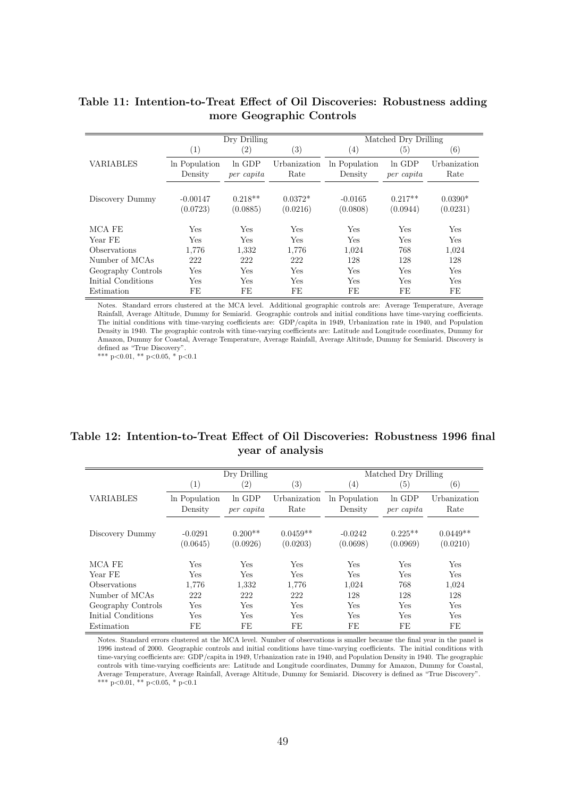|                     |                          | Dry Drilling           |                       |                          | Matched Dry Drilling   |                       |  |  |
|---------------------|--------------------------|------------------------|-----------------------|--------------------------|------------------------|-----------------------|--|--|
|                     | $\left(1\right)$         | $\left( 2\right)$      | $\left( 3\right)$     | $\left( 4\right)$        | $\left( 5\right)$      | (6)                   |  |  |
| <b>VARIABLES</b>    | In Population<br>Density | $ln$ GDP<br>per capita | Urbanization<br>Rate  | In Population<br>Density | $ln$ GDP<br>per capita | Urbanization<br>Rate  |  |  |
| Discovery Dummy     | $-0.00147$<br>(0.0723)   | $0.218**$<br>(0.0885)  | $0.0372*$<br>(0.0216) | $-0.0165$<br>(0.0808)    | $0.217**$<br>(0.0944)  | $0.0390*$<br>(0.0231) |  |  |
| MCA FE              | Yes                      | Yes                    | <b>Yes</b>            | <b>Yes</b>               | Yes                    | <b>Yes</b>            |  |  |
| Year FE             | Yes                      | Yes                    | Yes                   | Yes                      | Yes                    | Yes                   |  |  |
| <b>Observations</b> | 1,776                    | 1,332                  | 1,776                 | 1,024                    | 768                    | 1,024                 |  |  |
| Number of MCAs      | 222                      | 222                    | 222                   | 128                      | 128                    | 128                   |  |  |
| Geography Controls  | Yes                      | Yes                    | Yes                   | Yes                      | Yes                    | Yes                   |  |  |
| Initial Conditions  | Yes                      | <b>Yes</b>             | <b>Yes</b>            | <b>Yes</b>               | Yes                    | <b>Yes</b>            |  |  |
| Estimation          | FE                       | FE                     | FE                    | FE                       | FE                     | FE                    |  |  |

## **Table 11: Intention-to-Treat Effect of Oil Discoveries: Robustness adding more Geographic Controls**

Notes. Standard errors clustered at the MCA level. Additional geographic controls are: Average Temperature, Average Rainfall, Average Altitude, Dummy for Semiarid. Geographic controls and initial conditions have time-varying coefficients. The initial conditions with time-varying coefficients are: GDP/capita in 1949, Urbanization rate in 1940, and Population Density in 1940. The geographic controls with time-varying coefficients are: Latitude and Longitude coordinates, Dummy for Amazon, Dummy for Coastal, Average Temperature, Average Rainfall, Average Altitude, Dummy for Semiarid. Discovery is defined as "True Discovery".

\*\*\* p*<*0.01, \*\* p*<*0.05, \* p*<*0.1

## **Table 12: Intention-to-Treat Effect of Oil Discoveries: Robustness 1996 final year of analysis**

|                            | Dry Drilling             |                        |                        | Matched Dry Drilling     |                        |                        |  |
|----------------------------|--------------------------|------------------------|------------------------|--------------------------|------------------------|------------------------|--|
|                            | (1)                      | $\left( 2\right)$      | (3)                    | $\left(4\right)$         | $\left( 5\right)$      | $\left( 6\right)$      |  |
| <b>VARIABLES</b>           | In Population<br>Density | $ln$ GDP<br>per capita | Urbanization<br>Rate   | In Population<br>Density | $ln$ GDP<br>per capita | Urbanization<br>Rate   |  |
| Discovery Dummy            | $-0.0291$<br>(0.0645)    | $0.200**$<br>(0.0926)  | $0.0459**$<br>(0.0203) | $-0.0242$<br>(0.0698)    | $0.225**$<br>(0.0969)  | $0.0449**$<br>(0.0210) |  |
| MCA FE                     | Yes                      | Yes                    | Yes                    | <b>Yes</b>               | Yes                    | Yes                    |  |
| Year FE                    | Yes                      | Yes                    | <b>Yes</b>             | <b>Yes</b>               | Yes                    | Yes                    |  |
| <i><b>Observations</b></i> | 1,776                    | 1,332                  | 1,776                  | 1,024                    | 768                    | 1,024                  |  |
| Number of MCAs             | 222                      | 222                    | 222                    | 128                      | 128                    | 128                    |  |
| Geography Controls         | Yes                      | Yes                    | Yes                    | <b>Yes</b>               | Yes                    | Yes                    |  |
| Initial Conditions         | Yes                      | Yes                    | Yes                    | <b>Yes</b>               | Yes                    | Yes                    |  |
| Estimation                 | FE                       | FE                     | FE                     | FE                       | FE                     | FE                     |  |

Notes. Standard errors clustered at the MCA level. Number of observations is smaller because the final year in the panel is 1996 instead of 2000. Geographic controls and initial conditions have time-varying coefficients. The initial conditions with time-varying coefficients are: GDP/capita in 1949, Urbanization rate in 1940, and Population Density in 1940. The geographic controls with time-varying coefficients are: Latitude and Longitude coordinates, Dummy for Amazon, Dummy for Coastal, Average Temperature, Average Rainfall, Average Altitude, Dummy for Semiarid. Discovery is defined as "True Discovery". \*\*\* p*<*0.01, \*\* p*<*0.05, \* p*<*0.1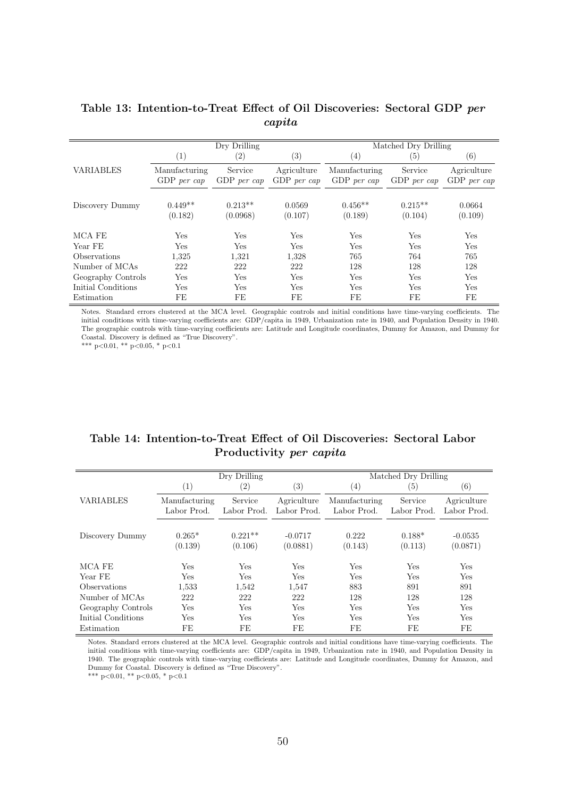|                     | Dry Drilling                   |                        |                              | Matched Dry Drilling           |                        |                              |  |
|---------------------|--------------------------------|------------------------|------------------------------|--------------------------------|------------------------|------------------------------|--|
|                     | (1)                            | $\left( 2\right)$      | (3)                          | $\left(4\right)$               | $\left( 5\right)$      | $\left( 6\right)$            |  |
| <b>VARIABLES</b>    | Manufacturing<br>$GDP$ per cap | Service<br>GDP per cap | Agriculture<br>$GDP$ per cap | Manufacturing<br>$GDP$ per cap | Service<br>GDP per cap | Agriculture<br>$GDP$ per cap |  |
| Discovery Dummy     | $0.449**$<br>(0.182)           | $0.213**$<br>(0.0968)  | 0.0569<br>(0.107)            | $0.456**$<br>(0.189)           | $0.215**$<br>(0.104)   | 0.0664<br>(0.109)            |  |
| MCA FE              | Yes                            | Yes                    | Yes                          | Yes                            | Yes                    | Yes                          |  |
| Year FE             | Yes                            | Yes                    | Yes                          | Yes                            | Yes                    | Yes                          |  |
| <b>Observations</b> | 1.325                          | 1,321                  | 1,328                        | 765                            | 764                    | 765                          |  |
| Number of MCAs      | 222                            | 222                    | 222                          | 128                            | 128                    | 128                          |  |
| Geography Controls  | Yes                            | Yes                    | Yes                          | Yes                            | Yes                    | Yes                          |  |
| Initial Conditions  | Yes                            | Yes                    | Yes                          | Yes                            | Yes                    | Yes                          |  |
| Estimation          | FE                             | FE                     | FE                           | FE                             | FE                     | FE                           |  |

## **Table 13: Intention-to-Treat Effect of Oil Discoveries: Sectoral GDP** *per capita*

Notes. Standard errors clustered at the MCA level. Geographic controls and initial conditions have time-varying coefficients. The initial conditions with time-varying coefficients are: GDP/capita in 1949, Urbanization rate in 1940, and Population Density in 1940. The geographic controls with time-varying coefficients are: Latitude and Longitude coordinates, Dummy for Amazon, and Dummy for Coastal. Discovery is defined as "True Discovery".

\*\*\* p*<*0.01, \*\* p*<*0.05, \* p*<*0.1

### **Table 14: Intention-to-Treat Effect of Oil Discoveries: Sectoral Labor Productivity** *per capita*

|                    | Dry Drilling                 |                        |                            | Matched Dry Drilling         |                        |                            |  |
|--------------------|------------------------------|------------------------|----------------------------|------------------------------|------------------------|----------------------------|--|
|                    | $\left( 1\right)$            | $\left( 2\right)$      | (3)                        | (4)                          | (5)                    | $\left( 6\right)$          |  |
| <b>VARIABLES</b>   | Manufacturing<br>Labor Prod. | Service<br>Labor Prod. | Agriculture<br>Labor Prod. | Manufacturing<br>Labor Prod. | Service<br>Labor Prod. | Agriculture<br>Labor Prod. |  |
| Discovery Dummy    | $0.265*$<br>(0.139)          | $0.221**$<br>(0.106)   | $-0.0717$<br>(0.0881)      | 0.222<br>(0.143)             | $0.188*$<br>(0.113)    | $-0.0535$<br>(0.0871)      |  |
| MCA FE             | Yes                          | Yes                    | Yes                        | Yes                          | Yes                    | Yes                        |  |
| Year FE            | Yes                          | Yes                    | Yes                        | Yes                          | Yes                    | Yes                        |  |
| Observations       | 1,533                        | 1,542                  | 1,547                      | 883                          | 891                    | 891                        |  |
| Number of MCAs     | 222                          | 222                    | 222                        | 128                          | 128                    | 128                        |  |
| Geography Controls | Yes                          | Yes                    | Yes                        | Yes                          | Yes                    | Yes                        |  |
| Initial Conditions | Yes                          | Yes                    | Yes                        | Yes                          | Yes                    | Yes                        |  |
| Estimation         | FE                           | FE                     | FE                         | FE                           | FE                     | FE                         |  |

Notes. Standard errors clustered at the MCA level. Geographic controls and initial conditions have time-varying coefficients. The initial conditions with time-varying coefficients are: GDP/capita in 1949, Urbanization rate in 1940, and Population Density in 1940. The geographic controls with time-varying coefficients are: Latitude and Longitude coordinates, Dummy for Amazon, and Dummy for Coastal. Discovery is defined as "True Discovery".

\*\*\* p*<*0.01, \*\* p*<*0.05, \* p*<*0.1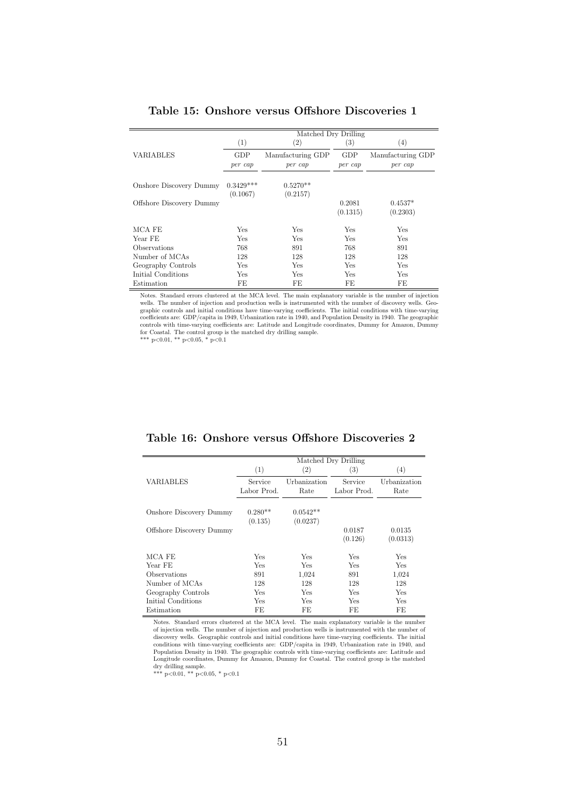|                          |             | Matched Dry Drilling |          |                   |
|--------------------------|-------------|----------------------|----------|-------------------|
|                          | (1)         | $\left( 2\right)$    | (3)      | (4)               |
| VARIABLES                | GDP         | Manufacturing GDP    | GDP      | Manufacturing GDP |
|                          | per cap     | per cap              | per cap  | per cap           |
|                          |             |                      |          |                   |
| Onshore Discovery Dummy  | $0.3429***$ | $0.5270**$           |          |                   |
|                          | (0.1067)    | (0.2157)             |          |                   |
| Offshore Discovery Dummy |             |                      | 0.2081   | $0.4537*$         |
|                          |             |                      | (0.1315) | (0.2303)          |
| MCA FE                   | Yes         | Yes                  | Yes      | Yes               |
| Year FE                  | Yes         | Yes                  | Yes      | Yes               |
| Observations             | 768         | 891                  | 768      | 891               |
| Number of MCAs           | 128         | 128                  | 128      | 128               |
| Geography Controls       | Yes         | Yes                  | Yes      | Yes               |
| Initial Conditions       | Yes         | Yes                  | Yes      | Yes               |
| Estimation               | FE.         | FE                   | FE       | FE                |

#### **Table 15: Onshore versus Offshore Discoveries 1**

Notes. Standard errors clustered at the MCA level. The main explanatory variable is the number of injection wells. The number of injection and production wells is instrumented with the number of discovery wells. Geographic controls and initial conditions have time-varying coefficients. The initial conditions with time-varying coefficients are: GDP/capita in 1949, Urbanization rate in 1940, and Population Density in 1940. The geograph for Coastal. The control group is the matched dry drilling sample.<br>\*\*\*  $p<0.01$ , \*\*  $p<0.05$ , \*  $p<0.1$ 

|                          | Matched Dry Drilling   |                        |                        |                      |  |  |
|--------------------------|------------------------|------------------------|------------------------|----------------------|--|--|
|                          | (1)                    | (2)                    | (3)                    | (4)                  |  |  |
| VARIABLES                | Service<br>Labor Prod. | Urbanization<br>Rate   | Service<br>Labor Prod. | Urbanization<br>Rate |  |  |
| Onshore Discovery Dummy  | $0.280**$<br>(0.135)   | $0.0542**$<br>(0.0237) |                        |                      |  |  |
| Offshore Discovery Dummy |                        |                        | 0.0187<br>(0.126)      | 0.0135<br>(0.0313)   |  |  |
| MCA FE                   | Yes                    | Yes                    | Yes                    | Yes                  |  |  |
| Year FE                  | Yes                    | Yes                    | Yes                    | <b>Yes</b>           |  |  |
| Observations             | 891                    | 1,024                  | 891                    | 1,024                |  |  |
| Number of MCAs           | 128                    | 128                    | 128                    | 128                  |  |  |
| Geography Controls       | Yes                    | Yes                    | Yes                    | Yes                  |  |  |
| Initial Conditions       | Yes                    | Yes                    | Yes                    | Yes                  |  |  |
| Estimation               | FE                     | FE                     | FE                     | FE                   |  |  |

**Table 16: Onshore versus Offshore Discoveries 2**

Notes. Standard errors clustered at the MCA level. The main explanatory variable is the number of injection wells. The number of injection and production wells is instrumented with the number of discovery wells. Geographic controls and initial conditions have time-varying coefficients. The initial conditions with time-varying coefficients are: GDP/capita in 1949, Urbanization rate in 1940, and Population Density in 1940. The geographic controls with time-varying coefficients are: Latitude and Longitude coordinates, Dummy for Amazon, Dummy for Coastal. The control group is the matched dry drilling sample. \*\*\* p*<*0.01, \*\* p*<*0.05, \* p*<*0.1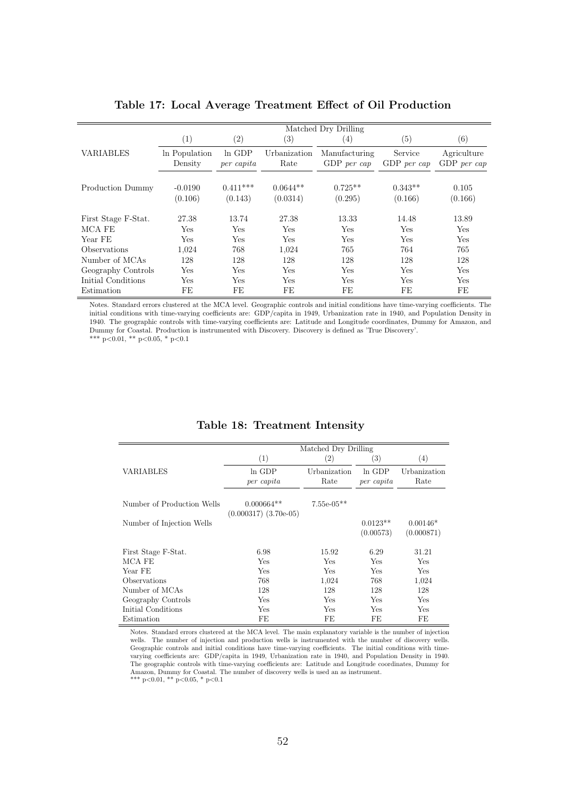|                     | Matched Dry Drilling |                   |                   |               |                   |               |  |
|---------------------|----------------------|-------------------|-------------------|---------------|-------------------|---------------|--|
|                     | (1)                  | $\left( 2\right)$ | $\left( 3\right)$ | (4)           | $\left( 5\right)$ | (6)           |  |
| <b>VARIABLES</b>    | In Population        | $ln$ GDP          | Urbanization      | Manufacturing | Service           | Agriculture   |  |
|                     | Density              | per capita        | Rate              | $GDP$ per cap | $GDP$ per cap     | $GDP$ per cap |  |
|                     |                      |                   |                   |               |                   |               |  |
| Production Dummy    | $-0.0190$            | $0.411***$        | $0.0644**$        | $0.725**$     | $0.343**$         | 0.105         |  |
|                     | (0.106)              | (0.143)           | (0.0314)          | (0.295)       | (0.166)           | (0.166)       |  |
|                     |                      |                   |                   |               |                   |               |  |
| First Stage F-Stat. | 27.38                | 13.74             | 27.38             | 13.33         | 14.48             | 13.89         |  |
| MCA FE              | Yes                  | <b>Yes</b>        | Yes               | Yes           | Yes               | Yes           |  |
| Year FE             | Yes                  | Yes               | Yes               | Yes           | Yes               | Yes           |  |
| Observations        | 1,024                | 768               | 1,024             | 765           | 764               | 765           |  |
| Number of MCAs      | 128                  | 128               | 128               | 128           | 128               | 128           |  |
| Geography Controls  | Yes                  | <b>Yes</b>        | <b>Yes</b>        | Yes           | Yes               | Yes           |  |
| Initial Conditions  | Yes                  | Yes               | Yes               | Yes           | Yes               | Yes           |  |
| Estimation          | FE                   | FE                | FE                | FE            | FE                | FE            |  |

**Table 17: Local Average Treatment Effect of Oil Production**

Notes. Standard errors clustered at the MCA level. Geographic controls and initial conditions have time-varying coefficients. The initial conditions with time-varying coefficients are: GDP/capita in 1949, Urbanization rate in 1940, and Population Density in 1940. The geographic controls with time-varying coefficients are: Latitude and Longitude coordinates, Dummy for Amazon, and Dummy for Coastal. Production is instrumented with Discovery. Discovery is defined as 'True Discovery'.

\*\*\* p*<*0.01, \*\* p*<*0.05, \* p*<*0.1

|                            |                                           | Matched Dry Drilling |                         |                          |  |
|----------------------------|-------------------------------------------|----------------------|-------------------------|--------------------------|--|
|                            | (1)                                       | (2)                  | (3)                     | $\left( 4\right)$        |  |
| VARIABLES                  | In GDP<br>per capita                      | Urbanization<br>Rate | $ln$ GDP<br>per capita  | Urbanization<br>Rate     |  |
| Number of Production Wells | $0.000664**$<br>$(0.000317)$ $(3.70e-05)$ | $7.55e-05**$         |                         |                          |  |
| Number of Injection Wells  |                                           |                      | $0.0123**$<br>(0.00573) | $0.00146*$<br>(0.000871) |  |
| First Stage F-Stat.        | 6.98                                      | 15.92                | 6.29                    | 31.21                    |  |
| MCA FE                     | Yes                                       | Yes                  | Yes                     | <b>Yes</b>               |  |
| Year FE                    | Yes                                       | Yes                  | Yes                     | <b>Yes</b>               |  |
| Observations               | 768                                       | 1,024                | 768                     | 1,024                    |  |
| Number of MCAs             | 128                                       | 128                  | 128                     | 128                      |  |
| Geography Controls         | Yes                                       | Yes                  | Yes                     | Yes                      |  |
| Initial Conditions         | Yes                                       | Yes                  | <b>Yes</b>              | Yes                      |  |
| Estimation                 | FE                                        | FE                   | FE                      | FE                       |  |

#### **Table 18: Treatment Intensity**

Notes. Standard errors clustered at the MCA level. The main explanatory variable is the number of injection wells. The number of injection and production wells is instrumented with the number of discovery wells. Geographic controls and initial conditions have time-varying coefficients. The initial conditions with timevarying coefficients are: GDP/capita in 1949, Urbanization rate in 1940, and Population Density in 1940. The geographic controls with time-varying coefficients are: Latitude and Longitude coordinates, Dummy for Amazon, Dummy for Coastal. The number of discovery wells is used an as instrument. \*\*\* p*<*0.01, \*\* p*<*0.05, \* p*<*0.1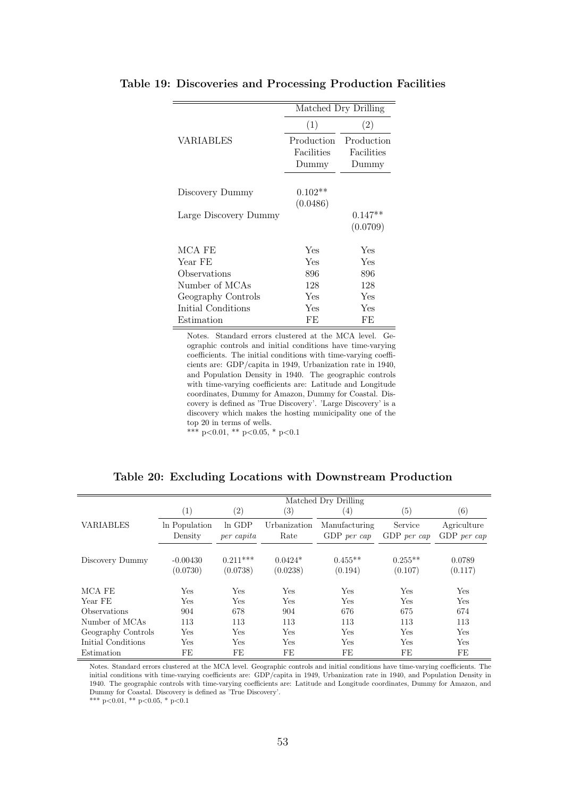|                       |            | Matched Dry Drilling |
|-----------------------|------------|----------------------|
|                       | (1)        | (2)                  |
| VARIABLES             | Production | Production           |
|                       | Facilities | Facilities           |
|                       | Dummy      | Dummy                |
|                       |            |                      |
| Discovery Dummy       | $0.102**$  |                      |
|                       | (0.0486)   |                      |
| Large Discovery Dummy |            | $0.147**$            |
|                       |            | (0.0709)             |
| MCA FE                | Yes        | Yes                  |
| Year FE               | Yes        | Yes                  |
| Observations          | 896        | 896                  |
| Number of MCAs        | 128        | 128                  |
| Geography Controls    | Yes        | Yes                  |
| Initial Conditions    | Yes        | Yes                  |
| Estimation            | FE         | FF                   |

#### **Table 19: Discoveries and Processing Production Facilities**

Notes. Standard errors clustered at the MCA level. Geographic controls and initial conditions have time-varying coefficients. The initial conditions with time-varying coefficients are: GDP/capita in 1949, Urbanization rate in 1940, and Population Density in 1940. The geographic controls with time-varying coefficients are: Latitude and Longitude coordinates, Dummy for Amazon, Dummy for Coastal. Discovery is defined as 'True Discovery'. 'Large Discovery' is a discovery which makes the hosting municipality one of the top 20 in terms of wells.

\*\*\* p*<*0.01, \*\* p*<*0.05, \* p*<*0.1

|                    | Matched Dry Drilling     |                        |                       |                                |                        |                              |  |
|--------------------|--------------------------|------------------------|-----------------------|--------------------------------|------------------------|------------------------------|--|
|                    | (1)                      | $\left( 2\right)$      | $\left(3\right)$      | $\left( 4\right)$              | $\left( 5\right)$      | (6)                          |  |
| <b>VARIABLES</b>   | In Population<br>Density | $ln$ GDP<br>per capita | Urbanization<br>Rate  | Manufacturing<br>$GDP$ per cap | Service<br>GDP per cap | Agriculture<br>$GDP$ per cap |  |
| Discovery Dummy    | $-0.00430$<br>(0.0730)   | $0.211***$<br>(0.0738) | $0.0424*$<br>(0.0238) | $0.455**$<br>(0.194)           | $0.255**$<br>(0.107)   | 0.0789<br>(0.117)            |  |
| MCA FE             | Yes                      | Yes                    | Yes                   | Yes                            | <b>Yes</b>             | Yes                          |  |
| Year FE            | Yes                      | Yes                    | Yes                   | Yes                            | Yes                    | Yes                          |  |
| Observations       | 904                      | 678                    | 904                   | 676                            | 675                    | 674                          |  |
| Number of MCAs     | 113                      | 113                    | 113                   | 113                            | 113                    | 113                          |  |
| Geography Controls | <b>Yes</b>               | <b>Yes</b>             | <b>Yes</b>            | Yes                            | <b>Yes</b>             | Yes                          |  |
| Initial Conditions | <b>Yes</b>               | <b>Yes</b>             | Yes                   | Yes                            | Yes                    | Yes                          |  |
| Estimation         | FE                       | FE                     | FE                    | FE                             | FE                     | FE                           |  |

**Table 20: Excluding Locations with Downstream Production**

Notes. Standard errors clustered at the MCA level. Geographic controls and initial conditions have time-varying coefficients. The initial conditions with time-varying coefficients are: GDP/capita in 1949, Urbanization rate in 1940, and Population Density in 1940. The geographic controls with time-varying coefficients are: Latitude and Longitude coordinates, Dummy for Amazon, and Dummy for Coastal. Discovery is defined as 'True Discovery'.

\*\*\* p*<*0.01, \*\* p*<*0.05, \* p*<*0.1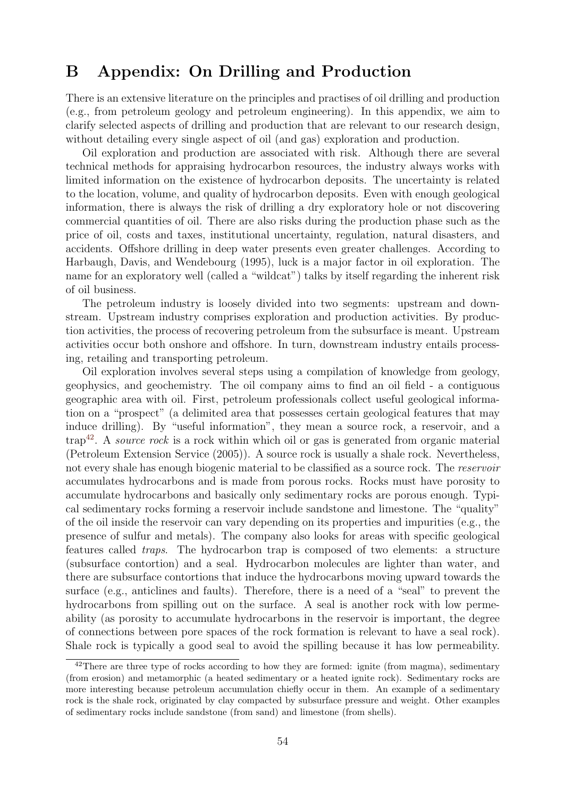# **B Appendix: On Drilling and Production**

There is an extensive literature on the principles and practises of oil drilling and production (e.g., from petroleum geology and petroleum engineering). In this appendix, we aim to clarify selected aspects of drilling and production that are relevant to our research design, without detailing every single aspect of oil (and gas) exploration and production.

Oil exploration and production are associated with risk. Although there are several technical methods for appraising hydrocarbon resources, the industry always works with limited information on the existence of hydrocarbon deposits. The uncertainty is related to the location, volume, and quality of hydrocarbon deposits. Even with enough geological information, there is always the risk of drilling a dry exploratory hole or not discovering commercial quantities of oil. There are also risks during the production phase such as the price of oil, costs and taxes, institutional uncertainty, regulation, natural disasters, and accidents. Offshore drilling in deep water presents even greater challenges. According to Harbaugh, Davis, and Wendebourg (1995), luck is a major factor in oil exploration. The name for an exploratory well (called a "wildcat") talks by itself regarding the inherent risk of oil business.

The petroleum industry is loosely divided into two segments: upstream and downstream. Upstream industry comprises exploration and production activities. By production activities, the process of recovering petroleum from the subsurface is meant. Upstream activities occur both onshore and offshore. In turn, downstream industry entails processing, retailing and transporting petroleum.

Oil exploration involves several steps using a compilation of knowledge from geology, geophysics, and geochemistry. The oil company aims to find an oil field - a contiguous geographic area with oil. First, petroleum professionals collect useful geological information on a "prospect" (a delimited area that possesses certain geological features that may induce drilling). By "useful information", they mean a source rock, a reservoir, and a trap<sup>42</sup>. A *source rock* is a rock within which oil or gas is generated from organic material (Petroleum Extension Service (2005)). A source rock is usually a shale rock. Nevertheless, not every shale has enough biogenic material to be classified as a source rock. The *reservoir* accumulates hydrocarbons and is made from porous rocks. Rocks must have porosity to accumulate hydrocarbons and basically only sedimentary rocks are porous enough. Typical sedimentary rocks forming a reservoir include sandstone and limestone. The "quality" of the oil inside the reservoir can vary depending on its properties and impurities (e.g., the presence of sulfur and metals). The company also looks for areas with specific geological features called *traps*. The hydrocarbon trap is composed of two elements: a structure (subsurface contortion) and a seal. Hydrocarbon molecules are lighter than water, and there are subsurface contortions that induce the hydrocarbons moving upward towards the surface (e.g., anticlines and faults). Therefore, there is a need of a "seal" to prevent the hydrocarbons from spilling out on the surface. A seal is another rock with low permeability (as porosity to accumulate hydrocarbons in the reservoir is important, the degree of connections between pore spaces of the rock formation is relevant to have a seal rock). Shale rock is typically a good seal to avoid the spilling because it has low permeability.

<sup>&</sup>lt;sup>42</sup>There are three type of rocks according to how they are formed: ignite (from magma), sedimentary (from erosion) and metamorphic (a heated sedimentary or a heated ignite rock). Sedimentary rocks are more interesting because petroleum accumulation chiefly occur in them. An example of a sedimentary rock is the shale rock, originated by clay compacted by subsurface pressure and weight. Other examples of sedimentary rocks include sandstone (from sand) and limestone (from shells).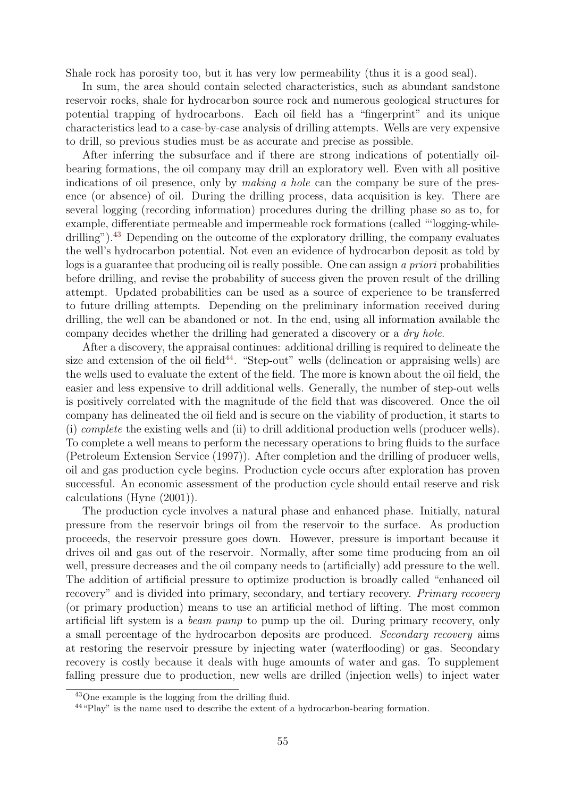Shale rock has porosity too, but it has very low permeability (thus it is a good seal).

In sum, the area should contain selected characteristics, such as abundant sandstone reservoir rocks, shale for hydrocarbon source rock and numerous geological structures for potential trapping of hydrocarbons. Each oil field has a "fingerprint" and its unique characteristics lead to a case-by-case analysis of drilling attempts. Wells are very expensive to drill, so previous studies must be as accurate and precise as possible.

After inferring the subsurface and if there are strong indications of potentially oilbearing formations, the oil company may drill an exploratory well. Even with all positive indications of oil presence, only by *making a hole* can the company be sure of the presence (or absence) of oil. During the drilling process, data acquisition is key. There are several logging (recording information) procedures during the drilling phase so as to, for example, differentiate permeable and impermeable rock formations (called "'logging-whiledrilling").<sup>43</sup> Depending on the outcome of the exploratory drilling, the company evaluates the well's hydrocarbon potential. Not even an evidence of hydrocarbon deposit as told by logs is a guarantee that producing oil is really possible. One can assign *a priori* probabilities before drilling, and revise the probability of success given the proven result of the drilling attempt. Updated probabilities can be used as a source of experience to be transferred to future drilling attempts. Depending on the preliminary information received during drilling, the well can be abandoned or not. In the end, using all information available the company decides whether the drilling had generated a discovery or a *dry hole*.

After a discovery, the appraisal continues: additional drilling is required to delineate the size and extension of the oil field<sup>44</sup>. "Step-out" wells (delineation or appraising wells) are the wells used to evaluate the extent of the field. The more is known about the oil field, the easier and less expensive to drill additional wells. Generally, the number of step-out wells is positively correlated with the magnitude of the field that was discovered. Once the oil company has delineated the oil field and is secure on the viability of production, it starts to (i) *complete* the existing wells and (ii) to drill additional production wells (producer wells). To complete a well means to perform the necessary operations to bring fluids to the surface (Petroleum Extension Service (1997)). After completion and the drilling of producer wells, oil and gas production cycle begins. Production cycle occurs after exploration has proven successful. An economic assessment of the production cycle should entail reserve and risk calculations (Hyne (2001)).

The production cycle involves a natural phase and enhanced phase. Initially, natural pressure from the reservoir brings oil from the reservoir to the surface. As production proceeds, the reservoir pressure goes down. However, pressure is important because it drives oil and gas out of the reservoir. Normally, after some time producing from an oil well, pressure decreases and the oil company needs to (artificially) add pressure to the well. The addition of artificial pressure to optimize production is broadly called "enhanced oil recovery" and is divided into primary, secondary, and tertiary recovery. *Primary recovery* (or primary production) means to use an artificial method of lifting. The most common artificial lift system is a *beam pump* to pump up the oil. During primary recovery, only a small percentage of the hydrocarbon deposits are produced. *Secondary recovery* aims at restoring the reservoir pressure by injecting water (waterflooding) or gas. Secondary recovery is costly because it deals with huge amounts of water and gas. To supplement falling pressure due to production, new wells are drilled (injection wells) to inject water

<sup>43</sup>One example is the logging from the drilling fluid.

<sup>44</sup>"Play" is the name used to describe the extent of a hydrocarbon-bearing formation.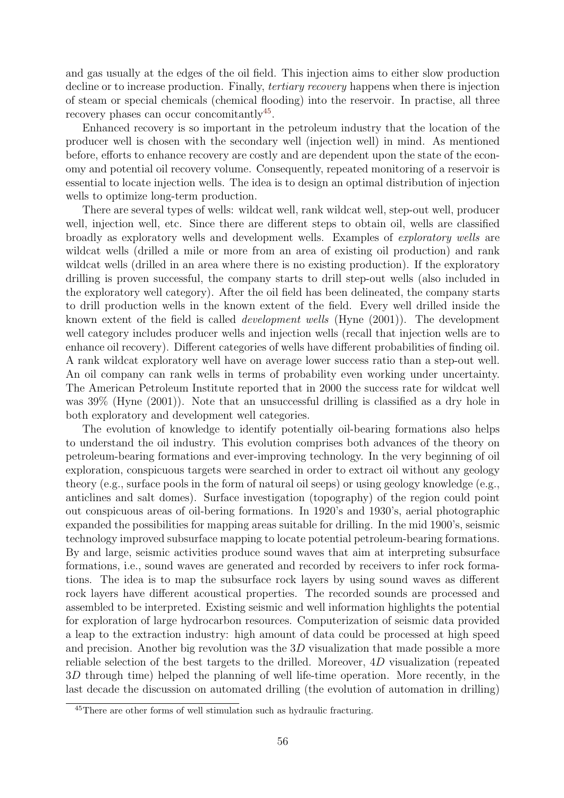and gas usually at the edges of the oil field. This injection aims to either slow production decline or to increase production. Finally, *tertiary recovery* happens when there is injection of steam or special chemicals (chemical flooding) into the reservoir. In practise, all three recovery phases can occur concomitantly<sup>45</sup>.

Enhanced recovery is so important in the petroleum industry that the location of the producer well is chosen with the secondary well (injection well) in mind. As mentioned before, efforts to enhance recovery are costly and are dependent upon the state of the economy and potential oil recovery volume. Consequently, repeated monitoring of a reservoir is essential to locate injection wells. The idea is to design an optimal distribution of injection wells to optimize long-term production.

There are several types of wells: wildcat well, rank wildcat well, step-out well, producer well, injection well, etc. Since there are different steps to obtain oil, wells are classified broadly as exploratory wells and development wells. Examples of *exploratory wells* are wildcat wells (drilled a mile or more from an area of existing oil production) and rank wildcat wells (drilled in an area where there is no existing production). If the exploratory drilling is proven successful, the company starts to drill step-out wells (also included in the exploratory well category). After the oil field has been delineated, the company starts to drill production wells in the known extent of the field. Every well drilled inside the known extent of the field is called *development wells* (Hyne (2001)). The development well category includes producer wells and injection wells (recall that injection wells are to enhance oil recovery). Different categories of wells have different probabilities of finding oil. A rank wildcat exploratory well have on average lower success ratio than a step-out well. An oil company can rank wells in terms of probability even working under uncertainty. The American Petroleum Institute reported that in 2000 the success rate for wildcat well was 39% (Hyne (2001)). Note that an unsuccessful drilling is classified as a dry hole in both exploratory and development well categories.

The evolution of knowledge to identify potentially oil-bearing formations also helps to understand the oil industry. This evolution comprises both advances of the theory on petroleum-bearing formations and ever-improving technology. In the very beginning of oil exploration, conspicuous targets were searched in order to extract oil without any geology theory (e.g., surface pools in the form of natural oil seeps) or using geology knowledge (e.g., anticlines and salt domes). Surface investigation (topography) of the region could point out conspicuous areas of oil-bering formations. In 1920's and 1930's, aerial photographic expanded the possibilities for mapping areas suitable for drilling. In the mid 1900's, seismic technology improved subsurface mapping to locate potential petroleum-bearing formations. By and large, seismic activities produce sound waves that aim at interpreting subsurface formations, i.e., sound waves are generated and recorded by receivers to infer rock formations. The idea is to map the subsurface rock layers by using sound waves as different rock layers have different acoustical properties. The recorded sounds are processed and assembled to be interpreted. Existing seismic and well information highlights the potential for exploration of large hydrocarbon resources. Computerization of seismic data provided a leap to the extraction industry: high amount of data could be processed at high speed and precision. Another big revolution was the 3*D* visualization that made possible a more reliable selection of the best targets to the drilled. Moreover, 4*D* visualization (repeated 3*D* through time) helped the planning of well life-time operation. More recently, in the last decade the discussion on automated drilling (the evolution of automation in drilling)

<sup>45</sup>There are other forms of well stimulation such as hydraulic fracturing.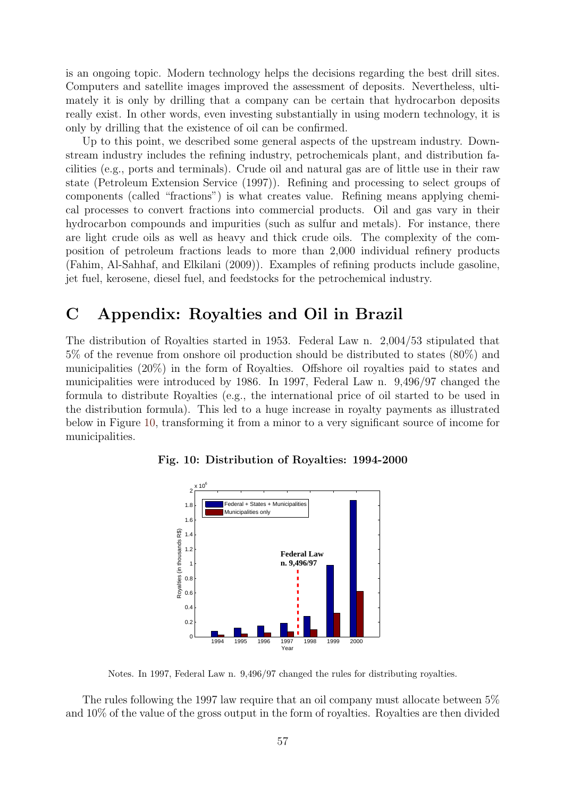is an ongoing topic. Modern technology helps the decisions regarding the best drill sites. Computers and satellite images improved the assessment of deposits. Nevertheless, ultimately it is only by drilling that a company can be certain that hydrocarbon deposits really exist. In other words, even investing substantially in using modern technology, it is only by drilling that the existence of oil can be confirmed.

Up to this point, we described some general aspects of the upstream industry. Downstream industry includes the refining industry, petrochemicals plant, and distribution facilities (e.g., ports and terminals). Crude oil and natural gas are of little use in their raw state (Petroleum Extension Service (1997)). Refining and processing to select groups of components (called "fractions") is what creates value. Refining means applying chemical processes to convert fractions into commercial products. Oil and gas vary in their hydrocarbon compounds and impurities (such as sulfur and metals). For instance, there are light crude oils as well as heavy and thick crude oils. The complexity of the composition of petroleum fractions leads to more than 2,000 individual refinery products (Fahim, Al-Sahhaf, and Elkilani (2009)). Examples of refining products include gasoline, jet fuel, kerosene, diesel fuel, and feedstocks for the petrochemical industry.

# **C Appendix: Royalties and Oil in Brazil**

The distribution of Royalties started in 1953. Federal Law n. 2,004/53 stipulated that 5% of the revenue from onshore oil production should be distributed to states (80%) and municipalities (20%) in the form of Royalties. Offshore oil royalties paid to states and municipalities were introduced by 1986. In 1997, Federal Law n. 9,496/97 changed the formula to distribute Royalties (e.g., the international price of oil started to be used in the distribution formula). This led to a huge increase in royalty payments as illustrated below in Figure 10, transforming it from a minor to a very significant source of income for municipalities.

![](_page_57_Figure_4.jpeg)

**Fig. 10: Distribution of Royalties: 1994-2000**

Notes. In 1997, Federal Law n. 9,496/97 changed the rules for distributing royalties.

The rules following the 1997 law require that an oil company must allocate between 5% and 10% of the value of the gross output in the form of royalties. Royalties are then divided